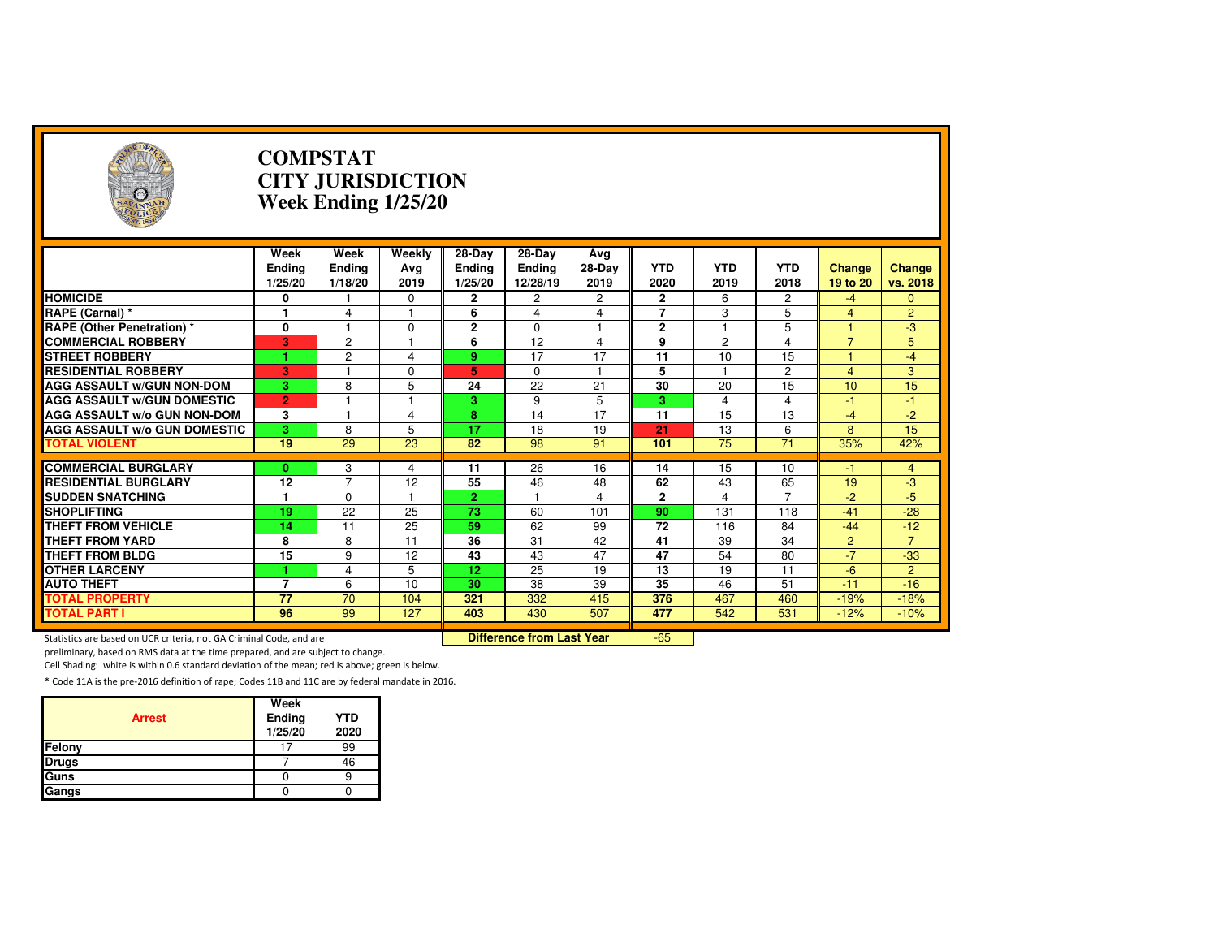| ۸<br>4 N N                                                          |                                   | <b>COMPSTAT</b><br><b>CITY JURISDICTION</b><br>Week Ending 1/25/20 |                         |                          |                                  |                  |                      |                    |                      |                           |                         |  |
|---------------------------------------------------------------------|-----------------------------------|--------------------------------------------------------------------|-------------------------|--------------------------|----------------------------------|------------------|----------------------|--------------------|----------------------|---------------------------|-------------------------|--|
|                                                                     | Week                              | Week                                                               | Weekly                  | 28-Day                   | 28-Day                           | Avg              |                      |                    |                      |                           |                         |  |
|                                                                     | <b>Ending</b><br>1/25/20          | Ending<br>1/18/20                                                  | Avg<br>2019             | <b>Ending</b><br>1/25/20 | Ending<br>12/28/19               | $28-Day$<br>2019 | <b>YTD</b><br>2020   | <b>YTD</b><br>2019 | <b>YTD</b><br>2018   | <b>Change</b><br>19 to 20 | Change<br>vs. 2018      |  |
| <b>HOMICIDE</b>                                                     | 0                                 |                                                                    | 0                       | $\mathbf{2}$             | 2                                | 2                | $\mathbf{2}$         | 6                  | $\overline{c}$       | -4                        | $\mathbf{0}$            |  |
| RAPE (Carnal) *                                                     | 1                                 | 4                                                                  | $\overline{1}$          | 6                        | 4                                | 4                | $\overline{7}$       | 3                  | 5                    | $\overline{4}$            | $\overline{2}$          |  |
| <b>RAPE (Other Penetration) *</b>                                   | 0                                 |                                                                    | $\mathbf 0$             | $\overline{2}$           | $\Omega$                         | $\mathbf{1}$     | $\overline{2}$       |                    | 5                    | 4                         | $-3$                    |  |
| <b>COMMERCIAL ROBBERY</b>                                           | 3                                 | $\overline{2}$                                                     | $\overline{1}$          | 6                        | $\overline{12}$                  | 4                | 9                    | $\overline{2}$     | $\overline{4}$       | $\overline{7}$            | 5                       |  |
| <b>STREET ROBBERY</b>                                               | 1.                                | $\overline{2}$                                                     | $\overline{\mathbf{A}}$ | 9                        | 17                               | 17               | 11                   | 10                 | 15                   | $\overline{1}$            | $-4$                    |  |
| <b>RESIDENTIAL ROBBERY</b>                                          | 3                                 | $\overline{1}$                                                     | $\Omega$                | 5                        | $\mathbf 0$                      | $\mathbf{1}$     | 5                    | 1                  | $\overline{2}$       | $\overline{4}$            | 3                       |  |
| <b>AGG ASSAULT W/GUN NON-DOM</b>                                    | 3                                 | 8                                                                  | 5                       | 24                       | $\overline{22}$                  | 21               | 30                   | 20                 | 15                   | 10                        | 15                      |  |
| <b>AGG ASSAULT W/GUN DOMESTIC</b>                                   | $\overline{2}$                    |                                                                    | $\mathbf{1}$            | 3.                       | 9                                | 5                | 3                    | 4                  | $\overline{4}$       | $-1$                      | $-1$                    |  |
| <b>AGG ASSAULT W/o GUN NON-DOM</b>                                  | 3                                 |                                                                    | 4                       | 8                        | 14                               | 17               | 11                   | 15                 | 13                   | $-4$                      | $-2$                    |  |
| <b>AGG ASSAULT w/o GUN DOMESTIC</b>                                 | 3                                 | 8                                                                  | 5                       | 17                       | 18                               | 19               | 21                   | 13                 | 6                    | 8                         | 15                      |  |
| <b>TOTAL VIOLENT</b>                                                | 19                                | 29                                                                 | 23                      | 82                       | 98                               | 91               | 101                  | $\overline{75}$    | $\overline{71}$      | 35%                       | 42%                     |  |
|                                                                     |                                   |                                                                    |                         |                          |                                  |                  |                      |                    |                      |                           |                         |  |
| <b>COMMERCIAL BURGLARY</b>                                          | $\mathbf{0}$                      | 3<br>$\overline{7}$                                                | 4                       | 11                       | 26                               | 16               | 14                   | 15                 | 10                   | -1                        | 4                       |  |
| <b>RESIDENTIAL BURGLARY</b>                                         | 12                                |                                                                    | 12<br>$\overline{1}$    | 55<br>$\overline{2}$     | 46<br>$\mathbf{1}$               | 48               | 62                   | 43                 | 65<br>$\overline{7}$ | 19<br>$-2$                | $-3$<br>$-5$            |  |
| <b>SUDDEN SNATCHING</b><br><b>SHOPLIFTING</b>                       | 1<br>19                           | $\Omega$<br>$\overline{22}$                                        | 25                      | $\overline{73}$          | 60                               | 4<br>101         | $\overline{2}$<br>90 | 4<br>131           | 118                  | $-41$                     | $-28$                   |  |
| <b>THEFT FROM VEHICLE</b>                                           |                                   | 11                                                                 | 25                      | 59                       | 62                               |                  | 72                   |                    | 84                   |                           |                         |  |
|                                                                     | 14                                |                                                                    |                         |                          |                                  | 99               |                      | 116                |                      | $-44$                     | $-12$<br>$\overline{7}$ |  |
| <b>THEFT FROM YARD</b>                                              | 8<br>$\overline{15}$              | 8                                                                  | 11<br>$\overline{12}$   | 36<br>43                 | 31<br>43                         | 42<br>47         | 41<br>47             | 39<br>54           | 34                   | 2<br>$-7$                 |                         |  |
| <b>THEFT FROM BLDG</b>                                              |                                   | 9                                                                  |                         |                          |                                  |                  |                      |                    | 80                   |                           | $-33$                   |  |
| <b>OTHER LARCENY</b>                                                | 1                                 | $\overline{4}$                                                     | 5                       | 12                       | 25                               | 19               | 13                   | 19                 | 11                   | $-6$                      | 2                       |  |
| <b>AUTO THEFT</b>                                                   | $\overline{7}$<br>$\overline{77}$ | 6<br>$\overline{70}$                                               | 10                      | 30                       | 38                               | 39               | 35                   | 46                 | 51                   | $-11$                     | $-16$                   |  |
| <b>TOTAL PROPERTY</b><br><b>TOTAL PART I</b>                        | 96                                | 99                                                                 | 104<br>127              | 321<br>403               | 332<br>430                       | 415<br>507       | 376<br>477           | 467<br>542         | 460<br>531           | $-19%$<br>$-12%$          | $-18%$<br>$-10%$        |  |
|                                                                     |                                   |                                                                    |                         |                          |                                  |                  |                      |                    |                      |                           |                         |  |
| Statistics are based on UCR criteria, not GA Criminal Code, and are |                                   |                                                                    |                         |                          | <b>Difference from Last Year</b> |                  | $-65$                |                    |                      |                           |                         |  |

Statistics are based on UCR criteria, not GA Criminal Code, and are **Difference from Last Year** 

preliminary, based on RMS data at the time prepared, and are subject to change.

Cell Shading: white is within 0.6 standard deviation of the mean; red is above; green is below.

| <b>Arrest</b> | Week<br><b>Ending</b><br>1/25/20 | <b>YTD</b><br>2020 |
|---------------|----------------------------------|--------------------|
| Felony        |                                  | 99                 |
| <b>Drugs</b>  |                                  | 46                 |
| Guns          |                                  |                    |
| Gangs         |                                  |                    |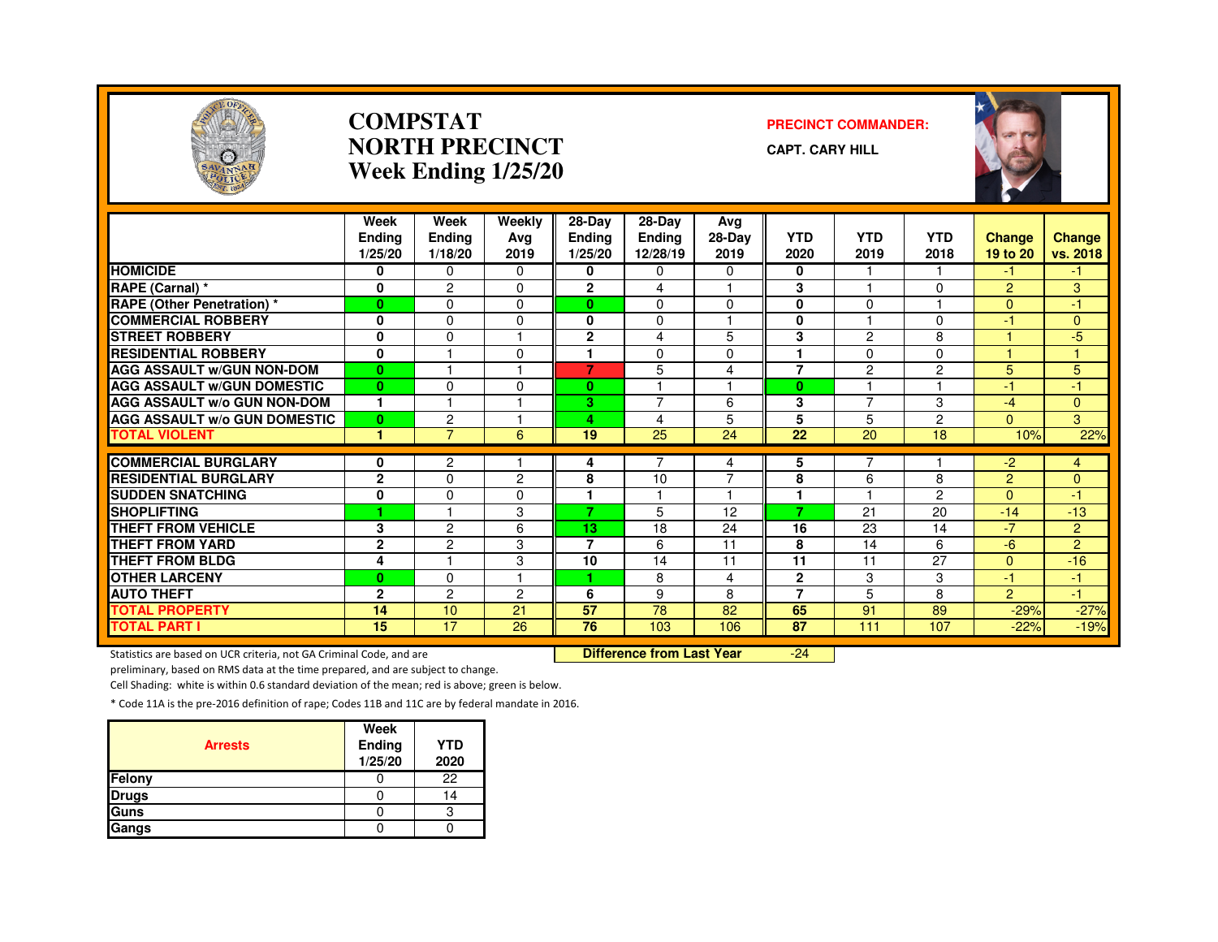

#### **COMPSTATNORTH PRECINCTWeek Ending 1/25/20**

#### **PRECINCT COMMANDER:**

**CAPT. CARY HILL**



|                                     | Week<br><b>Endina</b><br>1/25/20 | Week<br><b>Ending</b><br>1/18/20 | Weekly<br>Avg<br>2019 | $28 - Day$<br><b>Ending</b><br>1/25/20 | 28-Day<br><b>Ending</b><br>12/28/19 | Avg<br>28-Day<br>2019   | <b>YTD</b><br>2020 | <b>YTD</b><br>2019 | <b>YTD</b><br>2018 | Change<br>19 to 20 | Change<br>vs. 2018 |
|-------------------------------------|----------------------------------|----------------------------------|-----------------------|----------------------------------------|-------------------------------------|-------------------------|--------------------|--------------------|--------------------|--------------------|--------------------|
| <b>HOMICIDE</b>                     | 0                                | $\Omega$                         | $\Omega$              | 0                                      | 0                                   | $\Omega$                | 0                  |                    |                    | -1                 | -1                 |
| RAPE (Carnal) *                     | 0                                | $\overline{c}$                   | 0                     | $\overline{2}$                         | 4                                   |                         | 3                  |                    | $\Omega$           | $\overline{2}$     | 3                  |
| <b>RAPE (Other Penetration) *</b>   | $\mathbf{0}$                     | $\Omega$                         | 0                     | 0                                      | $\Omega$                            | $\Omega$                | 0                  | $\Omega$           |                    | $\Omega$           | -1                 |
| <b>COMMERCIAL ROBBERY</b>           | $\mathbf 0$                      | $\Omega$                         | 0                     | 0                                      | $\Omega$                            |                         | 0                  |                    | $\Omega$           | $-1$               | $\Omega$           |
| <b>STREET ROBBERY</b>               | 0                                | $\Omega$                         |                       | $\overline{2}$                         | 4                                   | 5                       | 3                  | 2                  | 8                  |                    | $-5$               |
| <b>RESIDENTIAL ROBBERY</b>          | $\mathbf{0}$                     |                                  | $\Omega$              |                                        | $\Omega$                            | $\Omega$                |                    | $\Omega$           | $\Omega$           |                    |                    |
| <b>AGG ASSAULT W/GUN NON-DOM</b>    | $\mathbf{0}$                     |                                  |                       | 7                                      | 5                                   | 4                       | $\overline{7}$     | $\overline{c}$     | 2                  | 5                  | 5                  |
| <b>AGG ASSAULT W/GUN DOMESTIC</b>   | $\mathbf{0}$                     | $\Omega$                         | $\Omega$              | 0                                      | ٠                                   | $\overline{\mathbf{1}}$ | $\bf{0}$           |                    |                    | $-1$               | $-1$               |
| <b>AGG ASSAULT W/o GUN NON-DOM</b>  | 1                                | н                                |                       | 3.                                     | $\overline{7}$                      | 6                       | 3                  | $\overline{7}$     | 3                  | $-4$               | $\overline{0}$     |
| <b>AGG ASSAULT W/o GUN DOMESTIC</b> | $\mathbf{0}$                     | $\overline{2}$                   |                       | 4                                      | 4                                   | 5                       | 5                  | 5                  | $\overline{c}$     | $\Omega$           | 3                  |
| <b>TOTAL VIOLENT</b>                | 1                                | $\overline{7}$                   | 6                     | 19                                     | 25                                  | 24                      | 22                 | 20                 | 18                 | 10%                | 22%                |
|                                     |                                  |                                  |                       |                                        |                                     |                         |                    |                    |                    |                    |                    |
| <b>COMMERCIAL BURGLARY</b>          | 0                                | $\overline{2}$                   |                       | 4                                      |                                     | 4                       | 5                  |                    |                    | $-2$               | 4                  |
| <b>RESIDENTIAL BURGLARY</b>         | $\mathbf{2}$                     | $\Omega$                         | $\overline{2}$        | 8                                      | 10                                  | $\overline{7}$          | 8                  | 6                  | 8                  | $\overline{2}$     | $\Omega$           |
| <b>SUDDEN SNATCHING</b>             | 0                                | 0                                | 0                     |                                        |                                     | 1                       | 1                  |                    | $\overline{2}$     | $\Omega$           | -1                 |
| <b>SHOPLIFTING</b>                  | 1                                |                                  | 3                     | 7                                      | 5                                   | 12                      | 7                  | 21                 | 20                 | $-14$              | $-13$              |
| <b>THEFT FROM VEHICLE</b>           | 3                                | $\overline{c}$                   | 6                     | 13                                     | 18                                  | 24                      | 16                 | 23                 | 14                 | $\sqrt{-7}$        | $\overline{2}$     |
| <b>THEFT FROM YARD</b>              | $\mathbf{2}$                     | $\overline{2}$                   | 3                     | $\overline{7}$                         | 6                                   | 11                      | 8                  | 14                 | 6                  | $-6$               | $\overline{2}$     |
| <b>THEFT FROM BLDG</b>              | 4                                | $\overline{1}$                   | 3                     | 10                                     | 14                                  | 11                      | 11                 | 11                 | 27                 | $\Omega$           | $-16$              |
| <b>OTHER LARCENY</b>                | $\bf{0}$                         | $\Omega$                         |                       | 1                                      | 8                                   | 4                       | $\mathbf{2}$       | 3                  | 3                  | $-1$               | Æ                  |
| <b>AUTO THEFT</b>                   | $\mathbf{2}$                     | $\overline{c}$                   | 2                     | 6                                      | 9                                   | 8                       | $\overline{7}$     | 5                  | 8                  | $\overline{2}$     | $-1$               |
| <b>TOTAL PROPERTY</b>               | 14                               | 10                               | 21                    | 57                                     | 78                                  | 82                      | 65                 | 91                 | 89                 | $-29%$             | $-27%$             |
| <b>TOTAL PART I</b>                 | 15                               | $\overline{17}$                  | 26                    | $\overline{76}$                        | 103                                 | 106                     | 87                 | 111                | 107                | $-22%$             | $-19%$             |

Statistics are based on UCR criteria, not GA Criminal Code, and are **Difference from Last Year** 

-24

preliminary, based on RMS data at the time prepared, and are subject to change.

Cell Shading: white is within 0.6 standard deviation of the mean; red is above; green is below.

| <b>Arrests</b> | Week<br>Ending<br>1/25/20 | <b>YTD</b><br>2020 |
|----------------|---------------------------|--------------------|
| Felony         |                           | 22                 |
| <b>Drugs</b>   |                           | 14                 |
| Guns           |                           | ົ                  |
| Gangs          |                           |                    |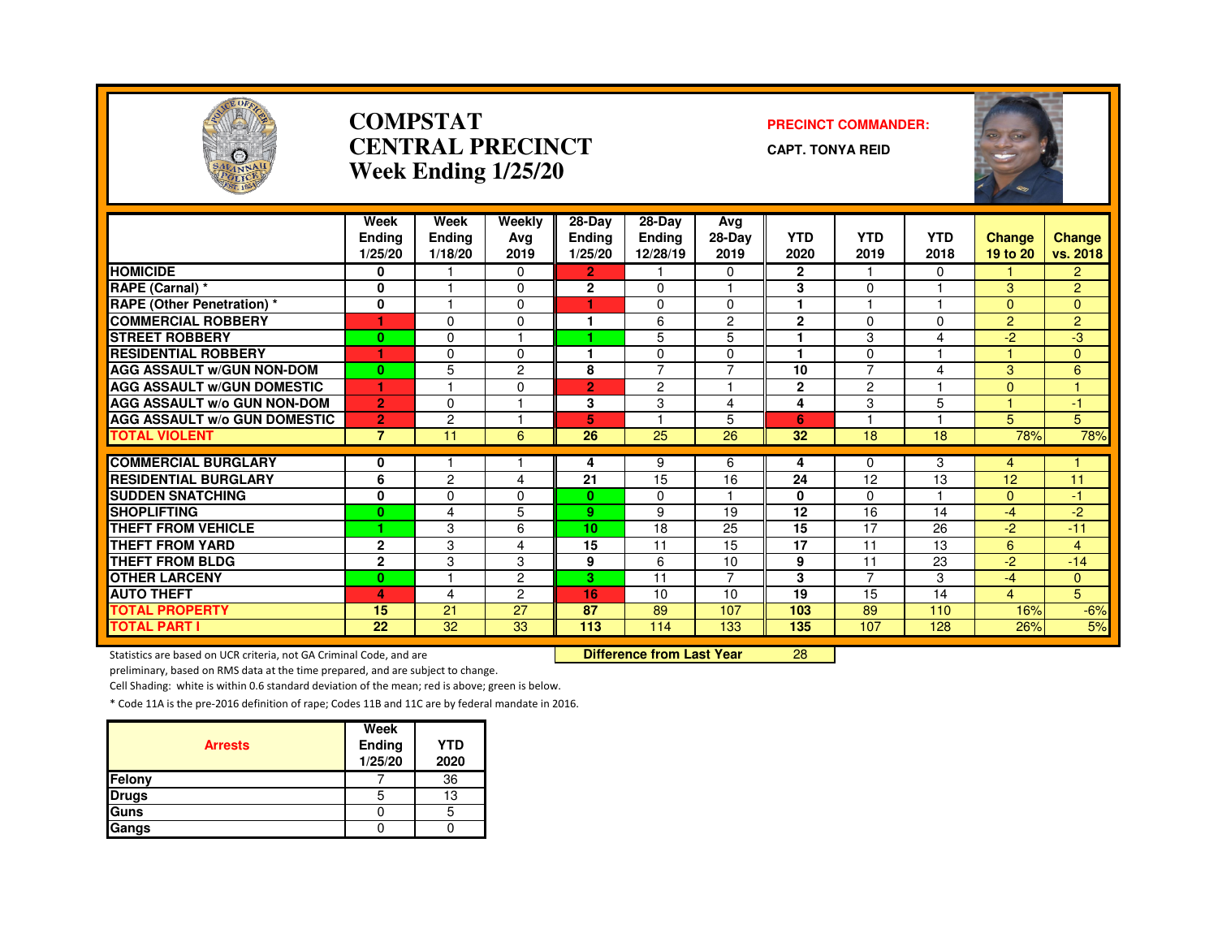

#### **COMPSTATCENTRAL PRECINCTWeek Ending 1/25/20**

#### **PRECINCT COMMANDER:**

**CAPT. TONYA REID**



|                                                                     | Week<br><b>Ending</b><br>1/25/20 | Week<br><b>Ending</b><br>1/18/20 | Weekly<br>Avg<br>2019 | 28-Day<br><b>Ending</b><br>1/25/20 | 28-Day<br><b>Ending</b><br>12/28/19 | Avg<br>28-Day<br>2019 | <b>YTD</b><br>2020 | <b>YTD</b><br>2019 | <b>YTD</b><br>2018 | <b>Change</b><br>19 to 20 | <b>Change</b><br>vs. 2018 |
|---------------------------------------------------------------------|----------------------------------|----------------------------------|-----------------------|------------------------------------|-------------------------------------|-----------------------|--------------------|--------------------|--------------------|---------------------------|---------------------------|
| <b>HOMICIDE</b>                                                     | 0                                |                                  | $\Omega$              | 2.                                 |                                     | 0                     | $\overline{2}$     |                    | $\Omega$           |                           | $\overline{2}$            |
| RAPE (Carnal) *                                                     | 0                                |                                  | $\Omega$              | $\overline{2}$                     | $\Omega$                            |                       | 3                  | $\Omega$           |                    | 3                         | $\overline{2}$            |
| <b>RAPE (Other Penetration) *</b>                                   | 0                                |                                  | $\mathbf 0$           | 1                                  | 0                                   | 0                     | 1                  |                    |                    | $\Omega$                  | $\overline{0}$            |
| <b>COMMERCIAL ROBBERY</b>                                           | 1                                | $\Omega$                         | $\Omega$              | 1                                  | 6                                   | $\overline{2}$        | $\mathbf{2}$       | $\Omega$           | $\Omega$           | $\overline{2}$            | $\overline{2}$            |
| <b>STREET ROBBERY</b>                                               | $\bf{0}$                         | $\Omega$                         |                       |                                    | 5                                   | 5                     | 1                  | 3                  | 4                  | $-2$                      | $-3$                      |
| <b>RESIDENTIAL ROBBERY</b>                                          | 1                                | $\Omega$                         | $\Omega$              | 1                                  | $\Omega$                            | $\Omega$              | 1                  | $\Omega$           |                    |                           | $\mathbf{0}$              |
| <b>AGG ASSAULT w/GUN NON-DOM</b>                                    | $\bf{0}$                         | 5                                | $\overline{c}$        | 8                                  | 7                                   | $\overline{7}$        | 10                 | $\overline{7}$     | 4                  | 3                         | 6                         |
| <b>AGG ASSAULT W/GUN DOMESTIC</b>                                   | 1                                |                                  | $\Omega$              | $\overline{2}$                     | $\overline{2}$                      |                       | $\mathbf{2}$       | $\overline{2}$     |                    | $\Omega$                  |                           |
| <b>AGG ASSAULT W/o GUN NON-DOM</b>                                  | $\overline{2}$                   | $\Omega$                         |                       | 3                                  | 3                                   | 4                     | 4                  | 3                  | 5                  |                           | $\bullet$                 |
| <b>AGG ASSAULT W/o GUN DOMESTIC</b>                                 | $\overline{2}$                   | $\overline{c}$                   |                       | 5                                  |                                     | 5                     | 6                  |                    |                    | 5                         | 5                         |
| <b>TOTAL VIOLENT</b>                                                | $\overline{7}$                   | 11                               | 6                     | 26                                 | 25                                  | 26                    | 32                 | 18                 | 18                 | 78%                       | 78%                       |
| <b>COMMERCIAL BURGLARY</b>                                          | 0                                |                                  |                       | 4                                  | 9                                   | 6                     | 4                  | $\Omega$           | 3                  | 4                         |                           |
| <b>RESIDENTIAL BURGLARY</b>                                         | 6                                | $\overline{c}$                   | 4                     | $\overline{21}$                    | 15                                  | 16                    | 24                 | 12                 | 13                 | 12                        | 11                        |
| <b>SUDDEN SNATCHING</b>                                             | 0                                | $\Omega$                         | $\Omega$              | $\mathbf{0}$                       | $\Omega$                            |                       | $\bf{0}$           | 0                  |                    | $\Omega$                  | $-1$                      |
| <b>SHOPLIFTING</b>                                                  | $\bf{0}$                         | 4                                | 5                     | 9.                                 | 9                                   | 19                    | 12                 | 16                 | 14                 | $-4$                      | $-2$                      |
| THEFT FROM VEHICLE                                                  |                                  | 3                                | 6                     | 10                                 | 18                                  | 25                    | 15                 | 17                 | 26                 | $-2$                      | $-11$                     |
| THEFT FROM YARD                                                     | $\mathbf{2}$                     | 3                                | 4                     | 15                                 | 11                                  | 15                    | $\overline{17}$    | 11                 | 13                 | 6                         | $\overline{4}$            |
| <b>THEFT FROM BLDG</b>                                              | $\mathbf{2}$                     | 3                                | 3                     | 9                                  | 6                                   | 10                    | 9                  | 11                 | 23                 | $-2$                      | $-14$                     |
| <b>OTHER LARCENY</b>                                                | $\bf{0}$                         |                                  | $\overline{c}$        | 3                                  | 11                                  | 7                     | 3                  |                    | 3                  | $-4$                      | $\mathbf{0}$              |
| <b>AUTO THEFT</b>                                                   | 4                                | 4                                | $\overline{c}$        | 16                                 | 10                                  | 10                    | 19                 | 15                 | 14                 | $\overline{4}$            | 5                         |
| <b>TOTAL PROPERTY</b>                                               | 15                               | 21                               | $\overline{27}$       | 87                                 | 89                                  | 107                   | 103                | 89                 | 110                | 16%                       | $-6%$                     |
| <b>TOTAL PART I</b>                                                 | 22                               | 32                               | 33                    | 113                                | 114                                 | 133                   | 135                | 107                | 128                | 26%                       | 5%                        |
| Statistics are based on UCR criteria, not GA Criminal Code, and are |                                  |                                  |                       |                                    | <b>Difference from Last Year</b>    |                       | 28                 |                    |                    |                           |                           |

Statistics are based on UCR criteria, not GA Criminal Code, and are **Difference from Last Year** 

preliminary, based on RMS data at the time prepared, and are subject to change.

Cell Shading: white is within 0.6 standard deviation of the mean; red is above; green is below.

| <b>Arrests</b> | Week<br>Ending<br>1/25/20 | <b>YTD</b><br>2020 |
|----------------|---------------------------|--------------------|
| Felony         |                           | 36                 |
| <b>Drugs</b>   |                           | 13                 |
| Guns           |                           |                    |
| Gangs          |                           |                    |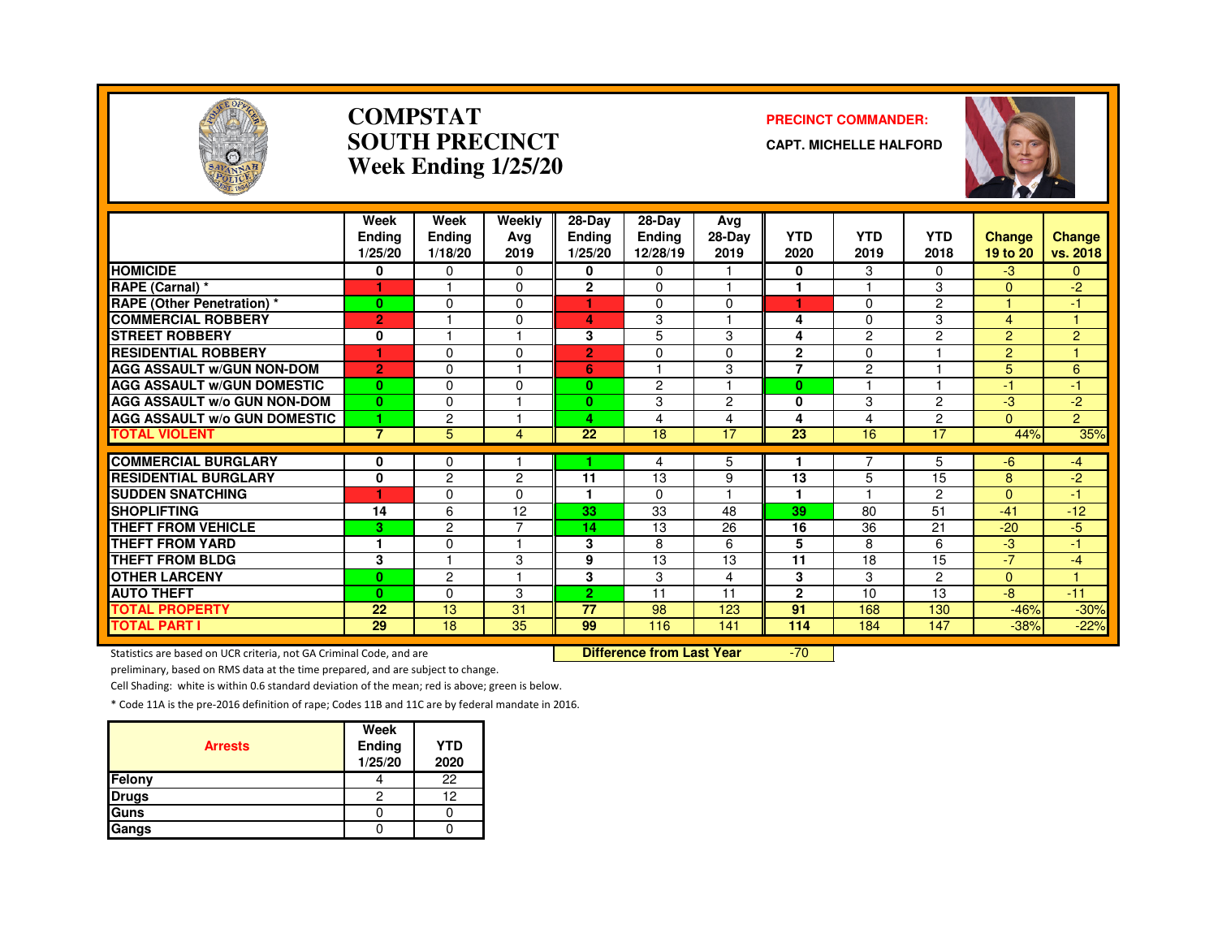

#### **COMPSTATSOUTH PRECINCTWeek Ending 1/25/20**

#### **PRECINCT COMMANDER:**

**CAPT. MICHELLE HALFORD**



|                                               | Week<br><b>Ending</b><br>1/25/20 | Week<br>Ending<br>1/18/20 | Weekly<br>Avg<br>2019 | 28-Day<br><b>Ending</b><br>1/25/20 | $28-Dav$<br><b>Ending</b><br>12/28/19 | Ava<br>28-Day<br>2019 | <b>YTD</b><br>2020 | <b>YTD</b><br>2019 | <b>YTD</b><br>2018 | <b>Change</b><br>19 to 20 | Change<br>vs. 2018 |
|-----------------------------------------------|----------------------------------|---------------------------|-----------------------|------------------------------------|---------------------------------------|-----------------------|--------------------|--------------------|--------------------|---------------------------|--------------------|
| <b>HOMICIDE</b>                               | 0                                | $\Omega$                  | $\Omega$              | 0                                  | $\Omega$                              |                       | 0                  | 3                  | 0                  | $-3$                      | $\mathbf{0}$       |
| RAPE (Carnal) *                               |                                  |                           | $\Omega$              | $\mathbf{2}$                       | $\Omega$                              |                       | 1                  |                    | 3                  | $\Omega$                  | $-2$               |
| <b>RAPE (Other Penetration)</b> *             | $\mathbf{0}$                     | $\Omega$                  | $\Omega$              | ٠                                  | $\Omega$                              | $\Omega$              | 1                  | 0                  | $\overline{2}$     |                           | -1                 |
| <b>COMMERCIAL ROBBERY</b>                     | $\overline{2}$                   |                           | $\Omega$              | 4                                  | 3                                     |                       | 4                  | 0                  | 3                  | 4                         |                    |
| <b>STREET ROBBERY</b>                         | 0                                |                           |                       | 3                                  | 5                                     | 3                     | 4                  | $\overline{2}$     | $\overline{c}$     | 2                         | $\overline{2}$     |
| <b>RESIDENTIAL ROBBERY</b>                    | ۴                                | $\Omega$                  | O                     | $\overline{2}$                     | $\Omega$                              | $\Omega$              | $\overline{2}$     | $\Omega$           |                    | 2                         |                    |
| <b>AGG ASSAULT W/GUN NON-DOM</b>              | $\overline{2}$                   | 0                         |                       | 6                                  |                                       | 3                     | $\overline{7}$     | 2                  |                    | 5                         | 6                  |
| <b>AGG ASSAULT W/GUN DOMESTIC</b>             | $\mathbf{0}$                     | $\Omega$                  | $\Omega$              | 0                                  | 2                                     |                       | $\bf{0}$           |                    |                    | $-1$                      | -1                 |
| <b>AGG ASSAULT w/o GUN NON-DOM</b>            | $\bf{0}$                         | $\Omega$                  |                       | $\bf{0}$                           | 3                                     | $\overline{2}$        | $\Omega$           | 3                  | $\overline{c}$     | -3                        | $-2$               |
| <b>AGG ASSAULT W/o GUN DOMESTIC</b>           | 1                                | $\overline{c}$            |                       | 4                                  | 4                                     | $\overline{4}$        | 4                  | 4                  | 2                  | $\Omega$                  | $\overline{2}$     |
| <b>TOTAL VIOLENT</b>                          | $\overline{7}$                   | 5                         | 4                     | 22                                 | 18                                    | 17                    | 23                 | 16                 | 17                 | 44%                       | 35%                |
| <b>COMMERCIAL BURGLARY</b>                    |                                  |                           |                       |                                    |                                       |                       |                    |                    |                    |                           |                    |
| <b>RESIDENTIAL BURGLARY</b>                   | 0<br>$\mathbf{0}$                | 0<br>$\overline{2}$       | $\overline{2}$        | 11                                 | 4<br>13                               | 5<br>9                | 13                 | 5                  | 5<br>15            | -6<br>8                   | $-4$<br>$-2$       |
|                                               | ۴                                |                           | 0                     | ٩                                  |                                       |                       | 1                  |                    |                    | $\Omega$                  |                    |
| <b>SUDDEN SNATCHING</b><br><b>SHOPLIFTING</b> |                                  | $\Omega$<br>6             |                       | 33                                 | $\Omega$<br>33                        | 48                    | 39                 | 80                 | 2<br>51            | $-41$                     | -1<br>$-12$        |
| <b>THEFT FROM VEHICLE</b>                     | 14                               |                           | 12<br>⇁               |                                    |                                       |                       | 16                 |                    |                    |                           |                    |
| <b>THEFT FROM YARD</b>                        | 3                                | 2                         |                       | 14                                 | 13                                    | 26                    |                    | 36                 | 21                 | $-20$                     | $-5$               |
|                                               | 1                                | $\mathbf 0$               |                       | 3                                  | 8                                     | 6                     | 5                  | 8                  | 6                  | -3                        | -1                 |
| <b>THEFT FROM BLDG</b>                        | 3                                |                           | 3                     | 9                                  | 13                                    | 13                    | 11                 | 18                 | 15                 | $-7$                      | $-4$<br>и          |
| <b>OTHER LARCENY</b>                          | $\bf{0}$                         | $\overline{2}$            |                       | 3                                  | 3                                     | 4                     | 3                  | 3                  | $\overline{2}$     | $\Omega$                  |                    |
| <b>AUTO THEFT</b>                             | $\bf{0}$                         | $\Omega$                  | 3                     | $\overline{2}$                     | 11                                    | 11                    | $\mathbf{2}$       | 10                 | 13                 | -8                        | $-11$              |
| <b>TOTAL PROPERTY</b>                         | 22                               | 13                        | 31                    | 77                                 | 98                                    | 123                   | 91                 | 168                | 130                | $-46%$                    | $-30%$             |
| <b>TOTAL PART I</b>                           | 29                               | 18                        | 35                    | 99                                 | 116                                   | 141                   | 114                | 184                | 147                | $-38%$                    | $-22%$             |

Statistics are based on UCR criteria, not GA Criminal Code, and are **Difference from Last Year** 

-70

preliminary, based on RMS data at the time prepared, and are subject to change.

Cell Shading: white is within 0.6 standard deviation of the mean; red is above; green is below.

| <b>Arrests</b> | Week<br>Ending<br>1/25/20 | <b>YTD</b><br>2020 |
|----------------|---------------------------|--------------------|
| Felony         |                           | 22                 |
| <b>Drugs</b>   | 2                         | 12                 |
| Guns           |                           |                    |
| Gangs          |                           |                    |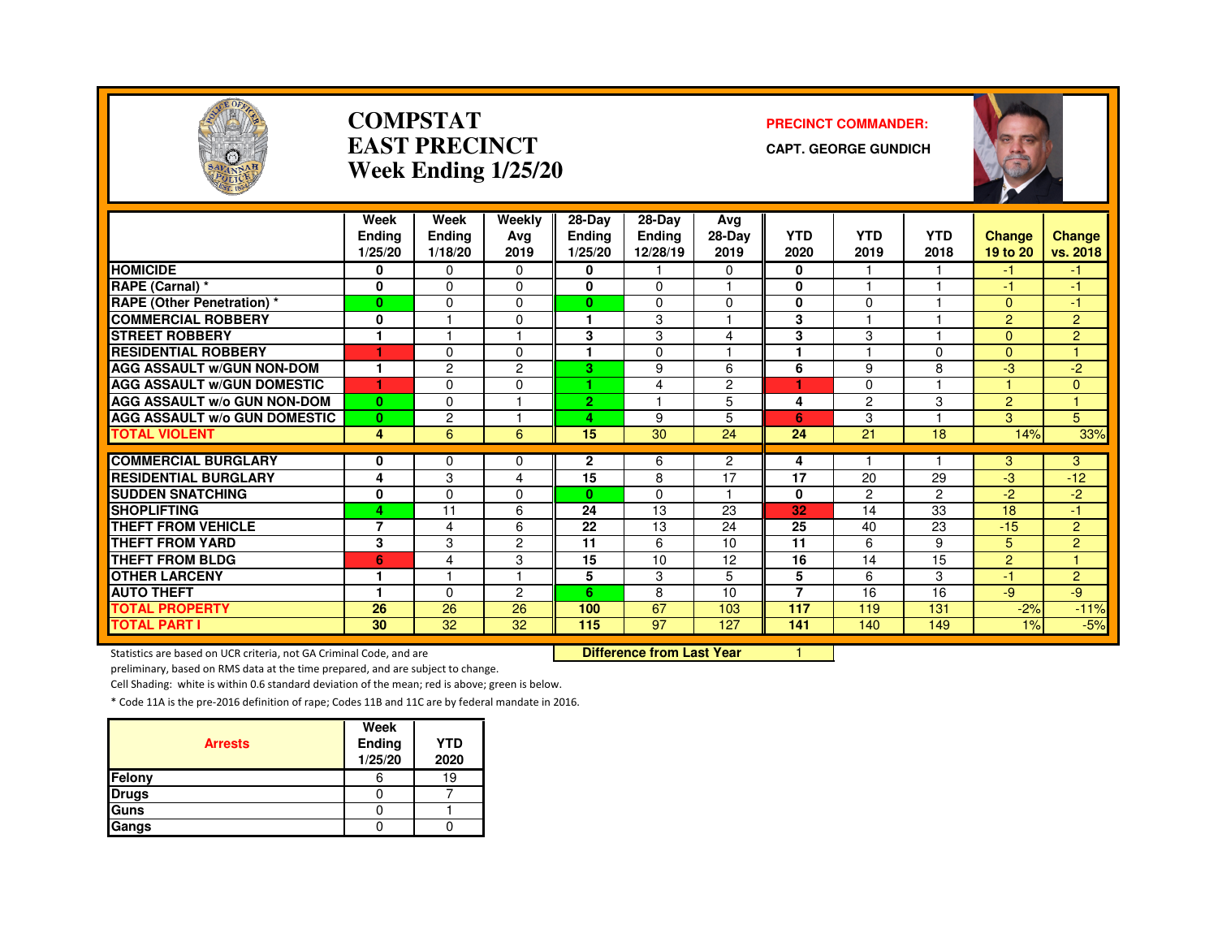

#### **COMPSTATEAST PRECINCTWeek Ending 1/25/20**

#### **PRECINCT COMMANDER:**

**CAPT. GEORGE GUNDICH**



|                                     | Week                    | Week           | Weekly                  | $28-Dav$       | $28-Dav$      | Avg            |                 |                |              |                |                      |
|-------------------------------------|-------------------------|----------------|-------------------------|----------------|---------------|----------------|-----------------|----------------|--------------|----------------|----------------------|
|                                     | <b>Endina</b>           | Ending         | Ava                     | <b>Ending</b>  | <b>Ending</b> | 28-Day         | <b>YTD</b>      | <b>YTD</b>     | <b>YTD</b>   | <b>Change</b>  | <b>Change</b>        |
|                                     | 1/25/20                 | 1/18/20        | 2019                    | 1/25/20        | 12/28/19      | 2019           | 2020            | 2019           | 2018         | 19 to 20       | vs. 2018             |
| <b>HOMICIDE</b>                     | 0                       | 0              | $\Omega$                | 0              |               | $\Omega$       | 0               |                |              | -1             | -1                   |
| RAPE (Carnal) *                     | 0                       | $\Omega$       | $\Omega$                | 0              | 0             |                | 0               |                |              | $-1$           | -1                   |
| <b>RAPE (Other Penetration)</b> *   | $\mathbf{0}$            | $\Omega$       | $\Omega$                | $\mathbf{0}$   | $\Omega$      | $\Omega$       | $\mathbf{0}$    | $\Omega$       |              | $\Omega$       | $-1$                 |
| <b>COMMERCIAL ROBBERY</b>           | 0                       |                | 0                       |                | 3             |                | 3               |                |              | $\overline{2}$ | $\overline{2}$       |
| <b>STREET ROBBERY</b>               |                         |                |                         | 3              | 3             | $\overline{4}$ | 3               | 3              |              | $\Omega$       | $\overline{2}$       |
| <b>RESIDENTIAL ROBBERY</b>          | 1                       | $\Omega$       | 0                       |                | $\Omega$      |                |                 |                | <sup>n</sup> | $\Omega$       |                      |
| <b>AGG ASSAULT W/GUN NON-DOM</b>    | 1                       | 2              | 2                       | 3.             | 9             | 6              | 6               | 9              | 8            | $-3$           | $-2$                 |
| <b>AGG ASSAULT W/GUN DOMESTIC</b>   | 1                       | $\Omega$       | 0                       |                | 4             | 2              |                 | 0              |              | н              | $\mathbf{0}$         |
| AGG ASSAULT w/o GUN NON-DOM         | $\bf{0}$                | $\Omega$       | н                       | $\overline{2}$ |               | 5              | 4               | $\overline{c}$ | 3            | $\overline{2}$ | $\blacktriangleleft$ |
| <b>AGG ASSAULT w/o GUN DOMESTIC</b> | $\mathbf{0}$            | $\overline{c}$ | ٠                       | 4              | 9             | 5              | 6               | 3              |              | 3              | 5                    |
| <b>TOTAL VIOLENT</b>                | 4                       | 6              | 6                       | 15             | 30            | 24             | 24              | 21             | 18           | 14%            | 33%                  |
| <b>COMMERCIAL BURGLARY</b>          | 0                       | $\Omega$       | 0                       | $\mathbf{2}$   | 6             | $\overline{2}$ |                 |                |              | 3              | 3                    |
| <b>RESIDENTIAL BURGLARY</b>         | 4                       | 3              | 4                       | 15             | 8             | 17             | 4<br>17         | 20             | 29           | $-3$           | $-12$                |
| <b>SUDDEN SNATCHING</b>             |                         | $\Omega$       | 0                       |                |               | 1              |                 |                | 2            | $-2$           |                      |
| <b>SHOPLIFTING</b>                  | 0                       | 11             |                         | $\mathbf{0}$   | 0<br>13       |                | 0               | $\overline{2}$ | 33           |                | $-2$<br>-1           |
|                                     | 4                       |                | 6                       | 24             |               | 23             | 32              | 14             |              | 18             |                      |
| <b>THEFT FROM VEHICLE</b>           | $\overline{7}$          | 4              | 6                       | 22             | 13            | 24             | 25              | 40             | 23           | $-15$          | $\overline{2}$       |
| <b>THEFT FROM YARD</b>              | $\overline{\mathbf{3}}$ | 3              | 2                       | 11             | 6             | 10             | $\overline{11}$ | 6              | 9            | 5              | $\overline{c}$       |
| <b>THEFT FROM BLDG</b>              | 6                       | 4              | 3                       | 15             | 10            | 12             | 16              | 14             | 15           | 2              |                      |
| <b>OTHER LARCENY</b>                | 1                       | 1              | $\overline{\mathbf{1}}$ | 5              | 3             | 5              | 5               | 6              | 3            | $-1$           | $\overline{2}$       |
| <b>AUTO THEFT</b>                   | 1                       | $\Omega$       | 2                       | 6              | 8             | 10             | 7               | 16             | 16           | $-9$           | $-9$                 |
| <b>TOTAL PROPERTY</b>               | 26                      | 26             | 26                      | 100            | 67            | 103            | 117             | 119            | 131          | $-2%$          | $-11%$               |
| <b>TOTAL PART I</b>                 | 30                      | 32             | 32                      | 115            | 97            | 127            | 141             | 140            | 149          | 1%             | $-5%$                |

Statistics are based on UCR criteria, not GA Criminal Code, and are

Difference from Last Year 1

preliminary, based on RMS data at the time prepared, and are subject to change.

Cell Shading: white is within 0.6 standard deviation of the mean; red is above; green is below.

| <b>Arrests</b> | Week<br>Ending<br>1/25/20 | <b>YTD</b><br>2020 |
|----------------|---------------------------|--------------------|
| Felony         | 6                         | 19                 |
| <b>Drugs</b>   |                           |                    |
| Guns           |                           |                    |
| Gangs          |                           |                    |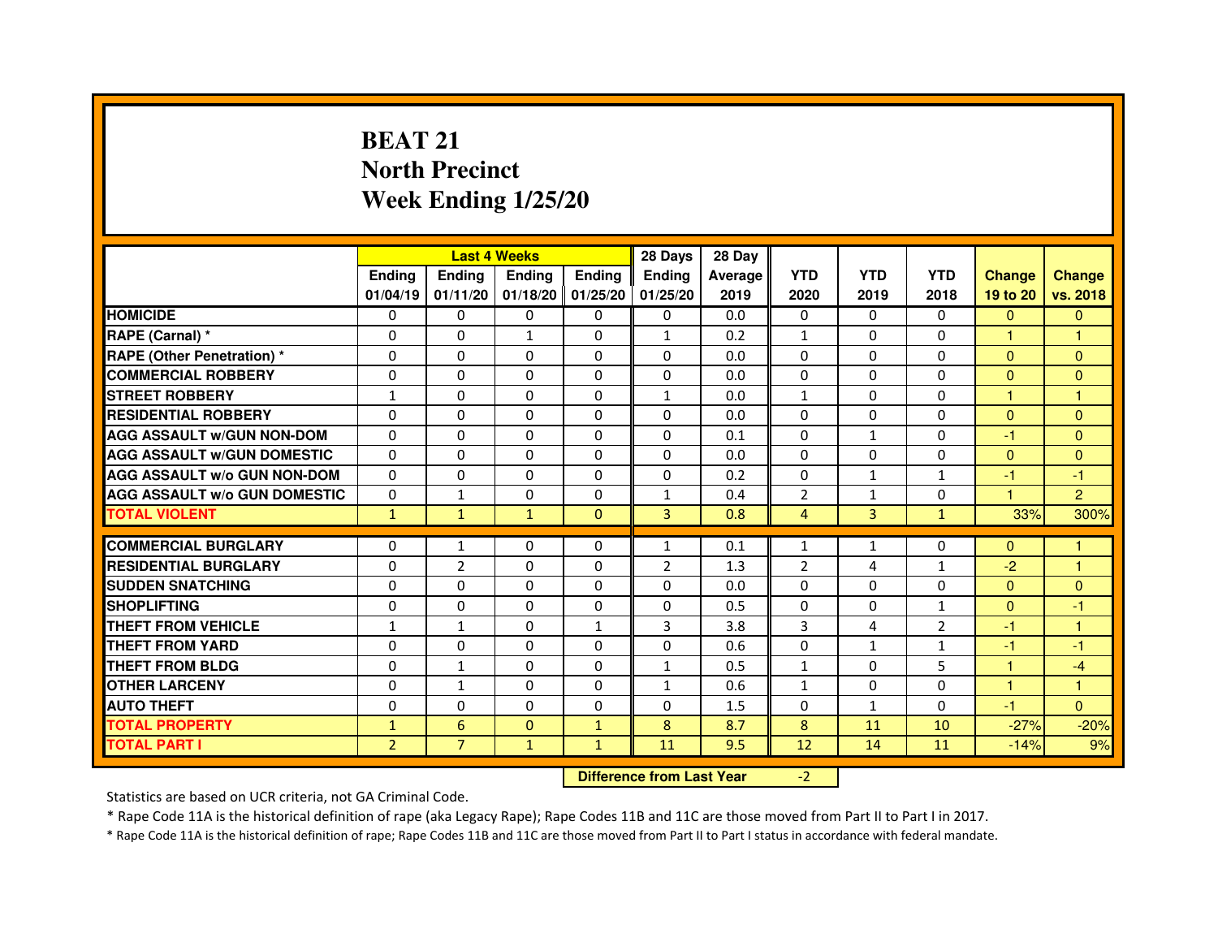# **BEAT 21 North PrecinctWeek Ending 1/25/20**

|                                     |                | <b>Last 4 Weeks</b>              |                     |               | 28 Days        | 28 Day  |                |                |                |               |                |
|-------------------------------------|----------------|----------------------------------|---------------------|---------------|----------------|---------|----------------|----------------|----------------|---------------|----------------|
|                                     | <b>Ending</b>  | <b>Endina</b>                    | <b>Ending</b>       | <b>Ending</b> | <b>Endina</b>  | Average | <b>YTD</b>     | <b>YTD</b>     | <b>YTD</b>     | <b>Change</b> | <b>Change</b>  |
|                                     | 01/04/19       | 01/11/20                         | $01/18/20$ 01/25/20 |               | 01/25/20       | 2019    | 2020           | 2019           | 2018           | 19 to 20      | vs. 2018       |
| <b>HOMICIDE</b>                     | $\mathbf{0}$   | $\Omega$                         | $\mathbf{0}$        | $\Omega$      | $\mathbf{0}$   | 0.0     | $\Omega$       | $\Omega$       | $\Omega$       | $\mathbf{0}$  | $\mathbf{0}$   |
| RAPE (Carnal) *                     | 0              | 0                                | 1                   | $\mathbf{0}$  | 1              | 0.2     | 1              | $\mathbf{0}$   | 0              | 1             | 1              |
| <b>RAPE (Other Penetration) *</b>   | 0              | 0                                | $\Omega$            | $\mathbf{0}$  | $\Omega$       | 0.0     | $\Omega$       | $\Omega$       | $\Omega$       | $\Omega$      | $\mathbf{0}$   |
| <b>COMMERCIAL ROBBERY</b>           | $\mathbf 0$    | $\Omega$                         | $\Omega$            | $\mathbf{0}$  | $\mathbf{0}$   | 0.0     | $\Omega$       | $\Omega$       | $\Omega$       | $\Omega$      | $\Omega$       |
| <b>STREET ROBBERY</b>               | 1              | 0                                | 0                   | $\Omega$      | $\mathbf{1}$   | 0.0     | $\mathbf{1}$   | $\Omega$       | $\Omega$       | $\mathbf{1}$  | $\mathbf{1}$   |
| <b>RESIDENTIAL ROBBERY</b>          | 0              | 0                                | 0                   | $\mathbf{0}$  | $\Omega$       | 0.0     | 0              | 0              | 0              | $\Omega$      | $\Omega$       |
| <b>AGG ASSAULT W/GUN NON-DOM</b>    | $\Omega$       | 0                                | $\Omega$            | $\Omega$      | $\Omega$       | 0.1     | $\Omega$       | $\mathbf{1}$   | $\Omega$       | $-1$          | $\Omega$       |
| <b>AGG ASSAULT W/GUN DOMESTIC</b>   | $\Omega$       | $\Omega$                         | $\Omega$            | $\Omega$      | $\Omega$       | 0.0     | $\Omega$       | $\Omega$       | $\Omega$       | $\Omega$      | $\Omega$       |
| <b>AGG ASSAULT w/o GUN NON-DOM</b>  | 0              | 0                                | 0                   | 0             | 0              | 0.2     | 0              | $\mathbf{1}$   | 1              | $-1$          | $-1$           |
| <b>AGG ASSAULT W/o GUN DOMESTIC</b> | 0              | $\mathbf{1}$                     | 0                   | $\Omega$      | $\mathbf{1}$   | 0.4     | $\overline{2}$ | $\mathbf{1}$   | $\Omega$       | 1             | $\overline{2}$ |
| <b>TOTAL VIOLENT</b>                | $\mathbf{1}$   | $\mathbf{1}$                     | $\mathbf{1}$        | $\mathbf{0}$  | 3              | 0.8     | $\overline{4}$ | $\overline{3}$ | $\mathbf{1}$   | 33%           | 300%           |
| <b>COMMERCIAL BURGLARY</b>          | 0              | 1                                | 0                   | $\mathbf{0}$  | $\mathbf{1}$   | 0.1     | 1              | $\mathbf{1}$   | 0              | $\mathbf{0}$  | 1              |
| <b>RESIDENTIAL BURGLARY</b>         | $\mathbf 0$    | $\overline{2}$                   | $\Omega$            | $\Omega$      | $\overline{2}$ | 1.3     | $\overline{2}$ | 4              | $\mathbf{1}$   | $-2$          | 1              |
| <b>SUDDEN SNATCHING</b>             | 0              | 0                                | $\Omega$            | $\Omega$      | $\Omega$       | 0.0     | $\Omega$       | $\Omega$       | $\Omega$       | $\Omega$      | $\mathbf{0}$   |
| <b>SHOPLIFTING</b>                  | 0              | $\Omega$                         | 0                   | $\mathbf{0}$  | $\Omega$       | 0.5     | $\mathbf{0}$   | 0              | $\mathbf{1}$   | $\Omega$      | $-1$           |
| THEFT FROM VEHICLE                  | $\mathbf{1}$   | $\mathbf{1}$                     | $\Omega$            | $\mathbf{1}$  | 3              | 3.8     | 3              | 4              | $\overline{2}$ | $-1$          | $\mathbf{1}$   |
| <b>THEFT FROM YARD</b>              | $\mathbf 0$    | 0                                | $\Omega$            | $\mathbf{0}$  | $\Omega$       | 0.6     | $\Omega$       | $\mathbf{1}$   | $\mathbf{1}$   | $-1$          | $-1$           |
| <b>THEFT FROM BLDG</b>              | 0              | $\mathbf{1}$                     | 0                   | $\Omega$      | $\mathbf{1}$   | 0.5     | $\mathbf{1}$   | $\Omega$       | 5              | $\mathbf{1}$  | $-4$           |
| <b>OTHER LARCENY</b>                | 0              | $\mathbf{1}$                     | 0                   | $\mathbf{0}$  | $\mathbf{1}$   | 0.6     | $\mathbf{1}$   | $\Omega$       | $\Omega$       | $\mathbf{1}$  | 1              |
| <b>AUTO THEFT</b>                   | $\mathbf 0$    | 0                                | 0                   | 0             | $\Omega$       | 1.5     | 0              | $\mathbf{1}$   | $\Omega$       | $-1$          | $\Omega$       |
| <b>TOTAL PROPERTY</b>               | $\mathbf{1}$   | $6\phantom{1}6$                  | $\Omega$            | $\mathbf{1}$  | 8              | 8.7     | 8              | 11             | 10             | $-27%$        | $-20%$         |
| <b>TOTAL PART I</b>                 | $\overline{2}$ | $\overline{7}$                   | $\mathbf{1}$        | $\mathbf{1}$  | 11             | 9.5     | 12             | 14             | 11             | $-14%$        | 9%             |
|                                     |                | <b>Difference from Last Year</b> |                     | $-2$          |                |         |                |                |                |               |                |

Statistics are based on UCR criteria, not GA Criminal Code.

\* Rape Code 11A is the historical definition of rape (aka Legacy Rape); Rape Codes 11B and 11C are those moved from Part II to Part I in 2017.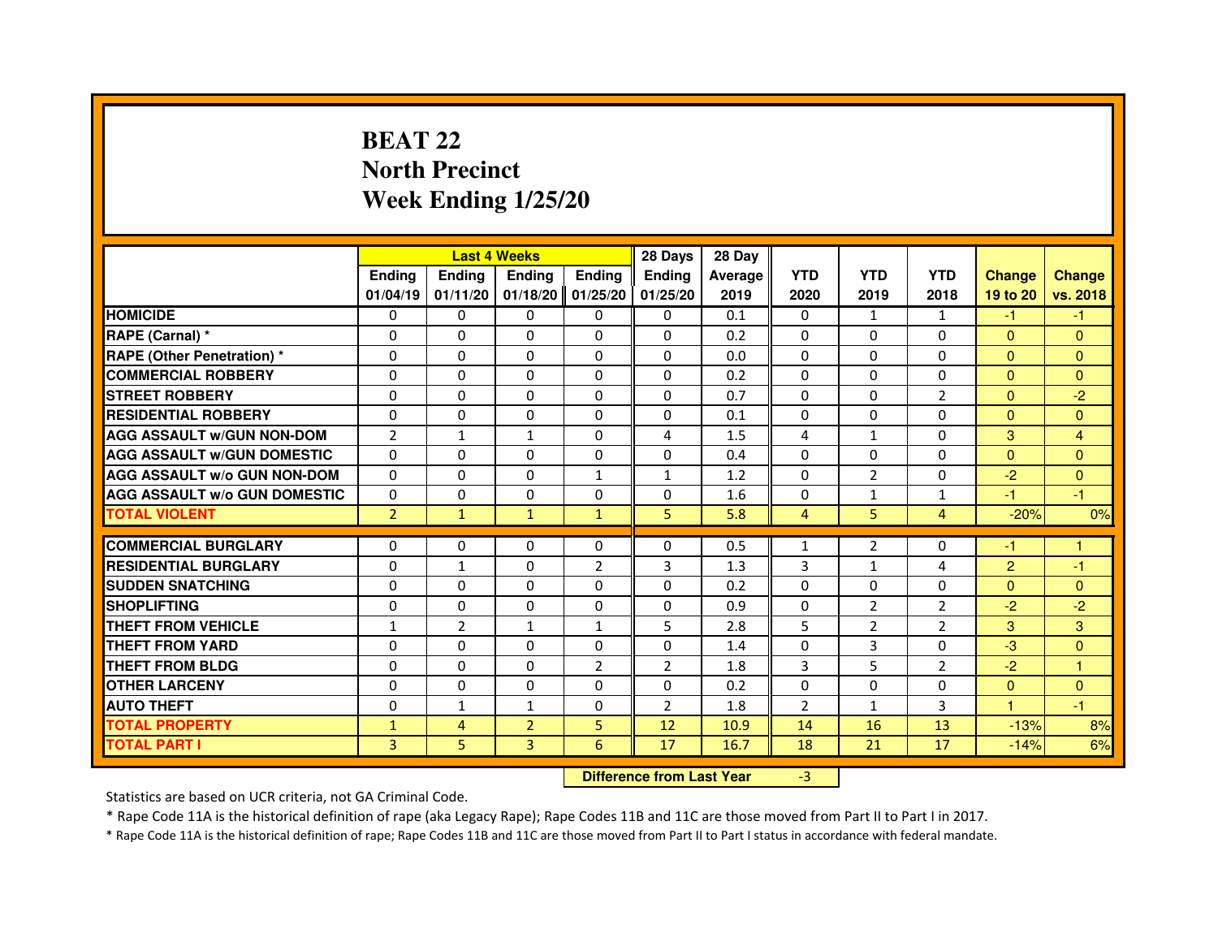# **BEAT 22 North PrecinctWeek Ending 1/25/20**

|                                     |                | <b>Last 4 Weeks</b> |                                  |                | 28 Days        | 28 Day  |                |                |                |                |               |
|-------------------------------------|----------------|---------------------|----------------------------------|----------------|----------------|---------|----------------|----------------|----------------|----------------|---------------|
|                                     | <b>Ending</b>  | <b>Ending</b>       | <b>Ending</b>                    | <b>Ending</b>  | <b>Ending</b>  | Average | <b>YTD</b>     | <b>YTD</b>     | <b>YTD</b>     | <b>Change</b>  | <b>Change</b> |
|                                     | 01/04/19       | 01/11/20            | 01/18/20                         | 01/25/20       | 01/25/20       | 2019    | 2020           | 2019           | 2018           | 19 to 20       | vs. 2018      |
| <b>HOMICIDE</b>                     | $\mathbf{0}$   | $\Omega$            | $\mathbf{0}$                     | 0              | 0              | 0.1     | $\mathbf{0}$   | $\mathbf{1}$   | $\mathbf{1}$   | $-1$           | $-1$          |
| RAPE (Carnal) *                     | 0              | $\mathbf{0}$        | 0                                | 0              | 0              | 0.2     | 0              | 0              | 0              | $\mathbf{0}$   | $\mathbf{0}$  |
| <b>RAPE (Other Penetration) *</b>   | $\Omega$       | $\Omega$            | $\Omega$                         | $\Omega$       | $\mathbf{0}$   | 0.0     | $\mathbf{0}$   | $\mathbf{0}$   | $\Omega$       | $\Omega$       | $\Omega$      |
| <b>COMMERCIAL ROBBERY</b>           | 0              | 0                   | $\Omega$                         | $\Omega$       | 0              | 0.2     | 0              | $\mathbf{0}$   | 0              | $\overline{0}$ | $\mathbf{0}$  |
| <b>STREET ROBBERY</b>               | $\Omega$       | $\Omega$            | $\Omega$                         | $\Omega$       | $\Omega$       | 0.7     | $\Omega$       | $\Omega$       | $\overline{2}$ | $\mathbf{0}$   | $-2$          |
| <b>RESIDENTIAL ROBBERY</b>          | 0              | 0                   | 0                                | 0              | 0              | 0.1     | 0              | 0              | $\Omega$       | $\Omega$       | $\mathbf{0}$  |
| <b>AGG ASSAULT W/GUN NON-DOM</b>    | $\overline{2}$ | $\mathbf{1}$        | $\mathbf{1}$                     | $\Omega$       | 4              | 1.5     | 4              | $\mathbf{1}$   | 0              | 3              | 4             |
| <b>AGG ASSAULT W/GUN DOMESTIC</b>   | $\Omega$       | $\Omega$            | 0                                | $\Omega$       | $\Omega$       | 0.4     | $\Omega$       | $\Omega$       | 0              | $\Omega$       | $\Omega$      |
| <b>AGG ASSAULT W/o GUN NON-DOM</b>  | $\Omega$       | $\Omega$            | $\Omega$                         | $\mathbf{1}$   | $\mathbf{1}$   | 1.2     | $\Omega$       | $\overline{2}$ | $\Omega$       | $-2$           | $\mathbf{0}$  |
| <b>AGG ASSAULT W/o GUN DOMESTIC</b> | 0              | 0                   | 0                                | $\Omega$       | $\Omega$       | 1.6     | 0              | 1              | $\mathbf{1}$   | -1             | $-1$          |
| <b>TOTAL VIOLENT</b>                | $\overline{2}$ | $\mathbf{1}$        | $\mathbf{1}$                     | $\mathbf{1}$   | 5              | 5.8     | $\overline{4}$ | 5              | $\overline{4}$ | $-20%$         | 0%            |
| <b>COMMERCIAL BURGLARY</b>          | 0              | 0                   | 0                                | 0              | 0              | 0.5     | $\mathbf{1}$   | 2              | 0              | $-1$           | 1             |
| <b>RESIDENTIAL BURGLARY</b>         | $\Omega$       | $\mathbf{1}$        | $\Omega$                         | $\overline{2}$ | 3              | 1.3     | 3              | $\mathbf{1}$   | 4              | $\overline{2}$ | $-1$          |
| <b>SUDDEN SNATCHING</b>             | $\Omega$       | $\Omega$            | $\Omega$                         | $\Omega$       | $\Omega$       | 0.2     | $\Omega$       | $\Omega$       | $\Omega$       | $\Omega$       | $\mathbf{0}$  |
| <b>SHOPLIFTING</b>                  | 0              | $\mathbf{0}$        | 0                                | $\Omega$       | 0              | 0.9     | $\Omega$       | $\overline{2}$ | $\overline{2}$ | $-2$           | $-2$          |
| THEFT FROM VEHICLE                  | 1              | $\overline{2}$      | $\mathbf{1}$                     | $\mathbf{1}$   | 5              | 2.8     | 5              | $\overline{2}$ | $\overline{2}$ | 3              | 3             |
| <b>THEFT FROM YARD</b>              | $\Omega$       | $\Omega$            | $\Omega$                         | $\Omega$       | 0              | 1.4     | 0              | 3              | $\Omega$       | $-3$           | $\mathbf{0}$  |
| <b>THEFT FROM BLDG</b>              | $\Omega$       | $\Omega$            | $\Omega$                         | $\overline{2}$ | $\overline{2}$ | 1.8     | 3              | 5              | $\overline{2}$ | $-2$           | $\mathbf{1}$  |
| <b>OTHER LARCENY</b>                | $\Omega$       | $\Omega$            | $\Omega$                         | $\Omega$       | $\mathbf{0}$   | 0.2     | $\Omega$       | $\Omega$       | $\Omega$       | $\overline{0}$ | $\mathbf{0}$  |
| <b>AUTO THEFT</b>                   | $\Omega$       | $\mathbf{1}$        | $\mathbf{1}$                     | $\Omega$       | $\overline{2}$ | 1.8     | $\overline{2}$ | $\mathbf{1}$   | 3              | $\mathbf{1}$   | $-1$          |
| <b>TOTAL PROPERTY</b>               | $\mathbf{1}$   | $\overline{4}$      | $\overline{2}$                   | 5              | 12             | 10.9    | 14             | 16             | 13             | $-13%$         | 8%            |
| <b>TOTAL PART I</b>                 | 3              | 5                   | 3                                | 6              | 17             | 16.7    | 18             | 21             | 17             | $-14%$         | 6%            |
|                                     |                |                     | <b>Difference from Last Year</b> |                | $-3$           |         |                |                |                |                |               |

 **Difference from Last Year**

Statistics are based on UCR criteria, not GA Criminal Code.

\* Rape Code 11A is the historical definition of rape (aka Legacy Rape); Rape Codes 11B and 11C are those moved from Part II to Part I in 2017.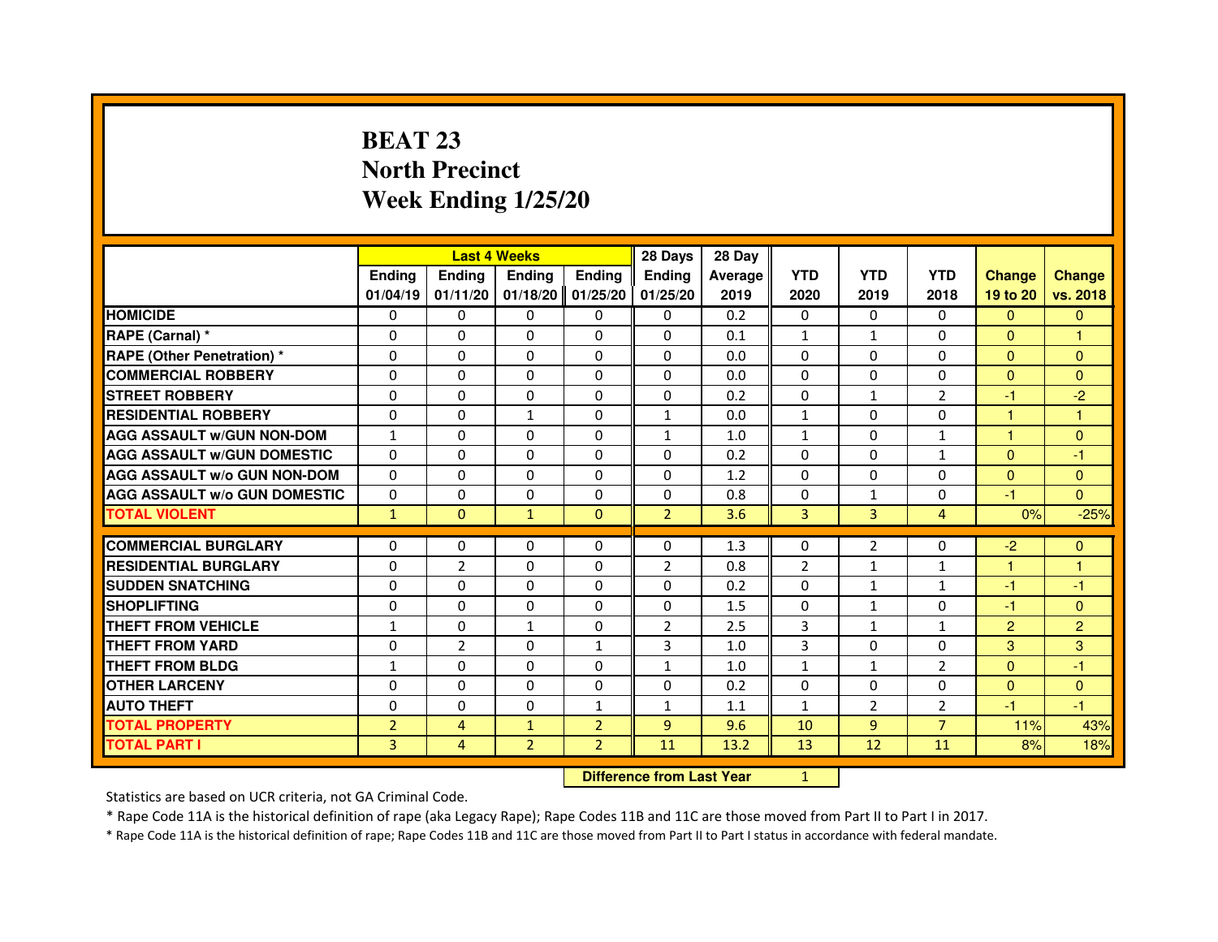# **BEAT 23 North PrecinctWeek Ending 1/25/20**

|                                     |                | <b>Last 4 Weeks</b>              |                |                | 28 Days        | 28 Day  |                |                |                |                |                |
|-------------------------------------|----------------|----------------------------------|----------------|----------------|----------------|---------|----------------|----------------|----------------|----------------|----------------|
|                                     | <b>Ending</b>  | <b>Ending</b>                    | <b>Ending</b>  | <b>Ending</b>  | <b>Ending</b>  | Average | <b>YTD</b>     | <b>YTD</b>     | <b>YTD</b>     | <b>Change</b>  | <b>Change</b>  |
|                                     | 01/04/19       | 01/11/20                         | 01/18/20       | 01/25/20       | 01/25/20       | 2019    | 2020           | 2019           | 2018           | 19 to 20       | vs. 2018       |
| <b>HOMICIDE</b>                     | $\mathbf{0}$   | $\Omega$                         | $\mathbf{0}$   | 0              | 0              | 0.2     | $\mathbf{0}$   | 0              | $\Omega$       | $\Omega$       | $\mathbf{0}$   |
| RAPE (Carnal) *                     | 0              | $\mathbf{0}$                     | 0              | 0              | 0              | 0.1     | 1              | $\mathbf{1}$   | 0              | $\mathbf{0}$   | 1              |
| <b>RAPE (Other Penetration) *</b>   | $\Omega$       | $\Omega$                         | $\Omega$       | $\Omega$       | $\Omega$       | 0.0     | $\Omega$       | $\Omega$       | $\Omega$       | $\Omega$       | $\mathbf{0}$   |
| <b>COMMERCIAL ROBBERY</b>           | 0              | 0                                | $\Omega$       | $\Omega$       | 0              | 0.0     | 0              | 0              | 0              | $\overline{0}$ | $\mathbf{0}$   |
| <b>STREET ROBBERY</b>               | $\Omega$       | $\Omega$                         | $\Omega$       | $\Omega$       | $\Omega$       | 0.2     | $\Omega$       | $\mathbf{1}$   | $\overline{2}$ | $-1$           | $-2$           |
| <b>RESIDENTIAL ROBBERY</b>          | 0              | 0                                | 1              | 0              | $\mathbf{1}$   | 0.0     | $\mathbf{1}$   | 0              | $\Omega$       | 1              | 1              |
| <b>AGG ASSAULT W/GUN NON-DOM</b>    | $\mathbf{1}$   | $\Omega$                         | 0              | $\Omega$       | $\mathbf{1}$   | 1.0     | $\mathbf{1}$   | $\Omega$       | $\mathbf{1}$   | 1              | $\mathbf{0}$   |
| <b>AGG ASSAULT W/GUN DOMESTIC</b>   | $\Omega$       | $\Omega$                         | $\Omega$       | $\Omega$       | $\Omega$       | 0.2     | $\Omega$       | $\Omega$       | $\mathbf{1}$   | $\Omega$       | $-1$           |
| <b>AGG ASSAULT W/o GUN NON-DOM</b>  | $\Omega$       | $\Omega$                         | $\Omega$       | $\Omega$       | $\mathbf{0}$   | 1.2     | $\Omega$       | $\mathbf{0}$   | $\Omega$       | $\Omega$       | $\mathbf{0}$   |
| <b>AGG ASSAULT W/o GUN DOMESTIC</b> | 0              | 0                                | 0              | $\Omega$       | $\Omega$       | 0.8     | 0              | 1              | $\Omega$       | $-1$           | $\Omega$       |
| <b>TOTAL VIOLENT</b>                | $\mathbf{1}$   | $\mathbf{0}$                     | $\mathbf{1}$   | $\mathbf{0}$   | $\overline{2}$ | 3.6     | 3              | 3              | $\overline{4}$ | 0%             | $-25%$         |
| <b>COMMERCIAL BURGLARY</b>          | 0              | 0                                | 0              | 0              | 0              | 1.3     | 0              | 2              | 0              | $-2$           | $\mathbf{0}$   |
| <b>RESIDENTIAL BURGLARY</b>         | $\Omega$       | $\overline{2}$                   | $\Omega$       | $\Omega$       | $\overline{2}$ | 0.8     | $\overline{2}$ | $\mathbf{1}$   | $\mathbf{1}$   | 1              | $\mathbf{1}$   |
| <b>SUDDEN SNATCHING</b>             | $\Omega$       | $\Omega$                         | $\Omega$       | $\Omega$       | $\Omega$       | 0.2     | $\Omega$       | $\mathbf{1}$   | $\mathbf{1}$   | $-1$           | $-1$           |
| <b>SHOPLIFTING</b>                  | 0              | $\mathbf{0}$                     | 0              | $\Omega$       | 0              | 1.5     | $\mathbf{0}$   | $\mathbf{1}$   | 0              | $-1$           | $\mathbf{0}$   |
| THEFT FROM VEHICLE                  | 1              | $\Omega$                         | $\mathbf{1}$   | $\Omega$       | $\overline{2}$ | 2.5     | 3              | $\mathbf{1}$   | $\mathbf{1}$   | $\overline{2}$ | $\overline{2}$ |
| <b>THEFT FROM YARD</b>              | $\Omega$       | $\overline{2}$                   | $\Omega$       | $\mathbf{1}$   | 3              | 1.0     | 3              | $\Omega$       | $\Omega$       | 3              | 3              |
| <b>THEFT FROM BLDG</b>              | $\mathbf{1}$   | $\Omega$                         | $\Omega$       | $\Omega$       | $\mathbf{1}$   | 1.0     | $\mathbf{1}$   | $\mathbf{1}$   | $\overline{2}$ | $\Omega$       | $-1$           |
| <b>OTHER LARCENY</b>                | $\Omega$       | $\Omega$                         | 0              | $\Omega$       | $\Omega$       | 0.2     | $\Omega$       | $\Omega$       | $\Omega$       | $\Omega$       | $\mathbf{0}$   |
| <b>AUTO THEFT</b>                   | $\Omega$       | $\Omega$                         | $\Omega$       | $\mathbf{1}$   | $\mathbf{1}$   | 1.1     | $\mathbf{1}$   | $\overline{2}$ | $\overline{2}$ | $-1$           | $-1$           |
| <b>TOTAL PROPERTY</b>               | $\overline{2}$ | $\overline{4}$                   | $\mathbf{1}$   | $\overline{2}$ | 9              | 9.6     | 10             | $\overline{9}$ | $\overline{7}$ | 11%            | 43%            |
| <b>TOTAL PART I</b>                 | $\overline{3}$ | $\overline{4}$                   | $\overline{2}$ | $\overline{2}$ | 11             | 13.2    | 13             | 12             | 11             | 8%             | 18%            |
|                                     |                | <b>Difference from Last Year</b> |                | $\mathbf{1}$   |                |         |                |                |                |                |                |

 **Difference from Last Year**

Statistics are based on UCR criteria, not GA Criminal Code.

\* Rape Code 11A is the historical definition of rape (aka Legacy Rape); Rape Codes 11B and 11C are those moved from Part II to Part I in 2017.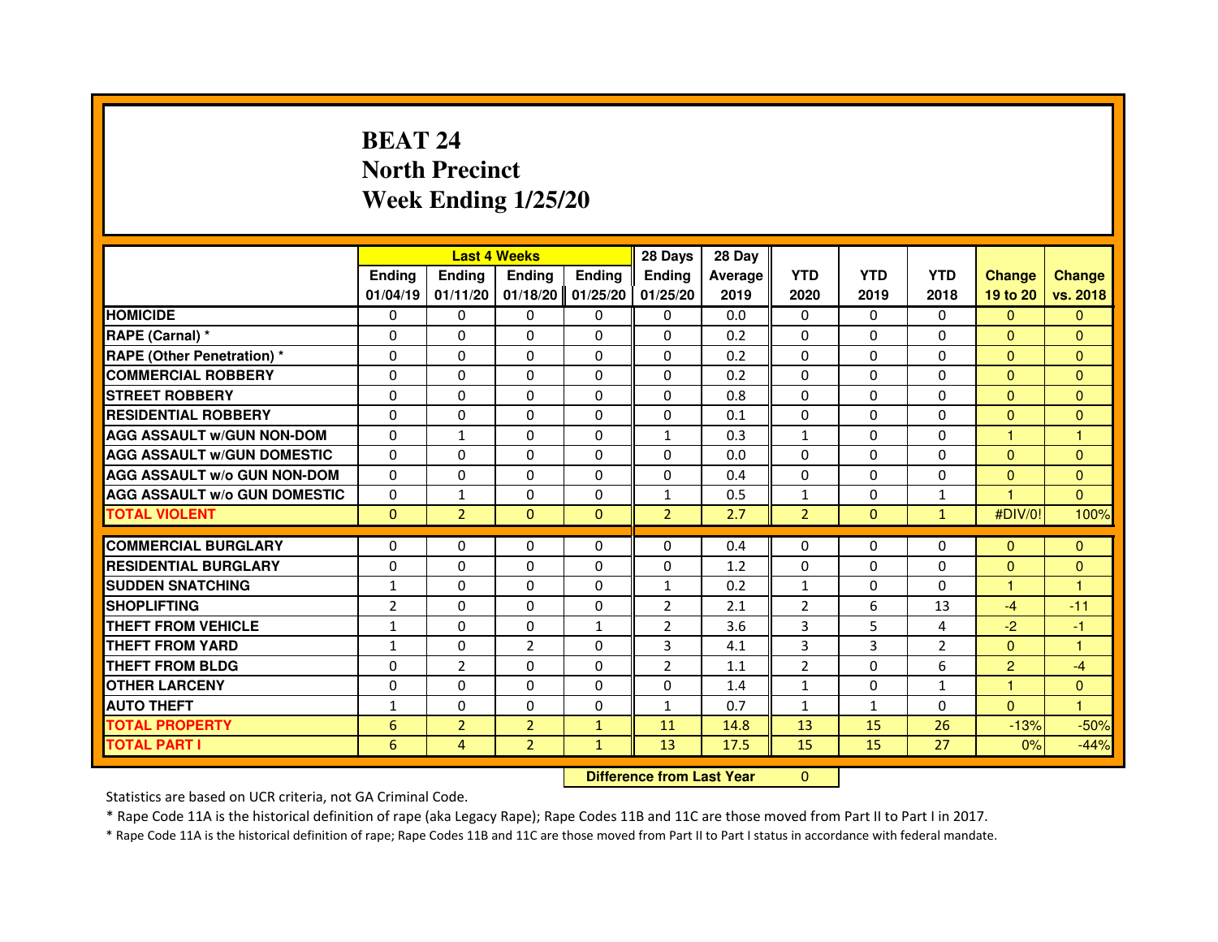# **BEAT 24 North PrecinctWeek Ending 1/25/20**

|                                                  |                          |                                  | <b>Last 4 Weeks</b> |                   | 28 Days             | 28 Day     |                |                   |                     |                |               |
|--------------------------------------------------|--------------------------|----------------------------------|---------------------|-------------------|---------------------|------------|----------------|-------------------|---------------------|----------------|---------------|
|                                                  | <b>Ending</b>            | <b>Ending</b>                    | <b>Ending</b>       | <b>Ending</b>     | <b>Ending</b>       | Average    | <b>YTD</b>     | <b>YTD</b>        | <b>YTD</b>          | <b>Change</b>  | <b>Change</b> |
|                                                  | 01/04/19                 | 01/11/20                         | 01/18/20            | 01/25/20          | 01/25/20            | 2019       | 2020           | 2019              | 2018                | 19 to 20       | vs. 2018      |
| <b>HOMICIDE</b>                                  | $\Omega$                 | $\Omega$                         | $\Omega$            | $\Omega$          | $\mathbf{0}$        | 0.0        | $\Omega$       | $\Omega$          | $\Omega$            | $\Omega$       | $\mathbf{0}$  |
| RAPE (Carnal) *                                  | 0                        | $\Omega$                         | 0                   | $\Omega$          | $\mathbf{0}$        | 0.2        | $\Omega$       | $\mathbf{0}$      | 0                   | $\mathbf{0}$   | $\mathbf{0}$  |
| <b>RAPE (Other Penetration) *</b>                | $\Omega$                 | $\Omega$                         | $\Omega$            | $\Omega$          | $\Omega$            | 0.2        | $\Omega$       | $\Omega$          | $\Omega$            | $\Omega$       | $\mathbf{0}$  |
| <b>COMMERCIAL ROBBERY</b>                        | $\Omega$                 | $\Omega$                         | $\Omega$            | $\Omega$          | $\mathbf{0}$        | 0.2        | $\mathbf{0}$   | $\mathbf{0}$      | $\mathbf{0}$        | $\Omega$       | $\mathbf{0}$  |
| <b>STREET ROBBERY</b>                            | 0                        | $\Omega$                         | 0                   | $\Omega$          | $\Omega$            | 0.8        | $\mathbf{0}$   | $\Omega$          | $\Omega$            | $\Omega$       | $\mathbf{0}$  |
| <b>RESIDENTIAL ROBBERY</b>                       | 0                        | $\Omega$                         | 0                   | $\Omega$          | $\Omega$            | 0.1        | $\mathbf{0}$   | $\Omega$          | $\Omega$            | $\mathbf{0}$   | $\Omega$      |
| <b>AGG ASSAULT W/GUN NON-DOM</b>                 | $\Omega$                 | $\mathbf{1}$                     | 0                   | $\Omega$          | $\mathbf{1}$        | 0.3        | $\mathbf{1}$   | $\mathbf{0}$      | $\Omega$            | 1              | $\mathbf{1}$  |
| <b>AGG ASSAULT W/GUN DOMESTIC</b>                | $\Omega$                 | $\Omega$                         | $\Omega$            | $\Omega$          | $\Omega$            | 0.0        | $\Omega$       | $\Omega$          | $\Omega$            | $\Omega$       | $\mathbf{0}$  |
| <b>AGG ASSAULT W/o GUN NON-DOM</b>               | $\Omega$                 | 0                                | 0                   | $\mathbf{0}$      | $\Omega$            | 0.4        | 0              | 0                 | 0                   | $\mathbf{0}$   | $\mathbf{0}$  |
| <b>AGG ASSAULT W/o GUN DOMESTIC</b>              | 0                        | 1                                | 0                   | $\Omega$          | 1                   | 0.5        | $\mathbf{1}$   | 0                 | 1                   | н              | $\Omega$      |
| <b>TOTAL VIOLENT</b>                             | $\mathbf{0}$             | $\overline{2}$                   | $\mathbf{0}$        | $\mathbf{0}$      | $\overline{2}$      | 2.7        | $\overline{2}$ | $\mathbf{0}$      | $\mathbf{1}$        | #DIV/0!        | 100%          |
| <b>COMMERCIAL BURGLARY</b>                       | 0                        | 0                                | 0                   | $\mathbf{0}$      | 0                   | 0.4        | 0              | 0                 | 0                   | $\Omega$       | $\Omega$      |
| <b>RESIDENTIAL BURGLARY</b>                      | $\Omega$                 | $\Omega$                         | $\Omega$            | $\Omega$          | 0                   | 1.2        | $\Omega$       | $\mathbf{0}$      | $\mathbf{0}$        | $\mathbf{0}$   | $\mathbf{0}$  |
| <b>SUDDEN SNATCHING</b>                          | $\mathbf{1}$             | $\Omega$                         | $\Omega$            | $\Omega$          | $\mathbf{1}$        | 0.2        | $\mathbf{1}$   | $\Omega$          | $\Omega$            | 1              | 1             |
| <b>SHOPLIFTING</b>                               |                          |                                  | 0                   |                   |                     |            |                |                   |                     | $-4$           | $-11$         |
| THEFT FROM VEHICLE                               | 2                        | 0<br>$\Omega$                    | 0                   | 0<br>$\mathbf{1}$ | 2<br>$\overline{2}$ | 2.1<br>3.6 | 2<br>3         | 6<br>5            | 13<br>4             | $-2$           | -1            |
|                                                  | 1                        |                                  |                     |                   |                     |            | 3              |                   |                     |                |               |
| <b>THEFT FROM YARD</b><br><b>THEFT FROM BLDG</b> | $\mathbf{1}$<br>$\Omega$ | 0                                | $\overline{2}$<br>0 | 0<br>$\Omega$     | 3                   | 4.1        |                | 3<br>$\mathbf{0}$ | $\overline{2}$<br>6 | $\overline{0}$ | $\mathbf{1}$  |
|                                                  |                          | $\overline{2}$                   |                     |                   | $\overline{2}$      | 1.1        | $\overline{2}$ |                   |                     | $\overline{2}$ | $-4$          |
| <b>OTHER LARCENY</b>                             | $\Omega$                 | $\Omega$                         | 0                   | $\Omega$          | $\mathbf{0}$        | 1.4        | $\mathbf{1}$   | $\mathbf{0}$      | $\mathbf{1}$        | $\mathbf{1}$   | $\Omega$      |
| <b>AUTO THEFT</b>                                | $\mathbf{1}$             | $\Omega$                         | $\Omega$            | $\Omega$          | $\mathbf{1}$        | 0.7        | $\mathbf{1}$   | $\mathbf{1}$      | 0                   | $\Omega$       | $\mathbf{1}$  |
| <b>TOTAL PROPERTY</b>                            | 6                        | $\overline{2}$                   | $\overline{2}$      | $\mathbf{1}$      | 11                  | 14.8       | 13             | 15                | 26                  | $-13%$         | $-50%$        |
| <b>TOTAL PART I</b>                              | 6                        | $\overline{4}$                   | $\overline{2}$      | $\mathbf{1}$      | 13                  | 17.5       | 15             | 15                | 27                  | 0%             | $-44%$        |
|                                                  |                          | <b>Difference from Last Year</b> |                     | $\mathbf{0}$      |                     |            |                |                   |                     |                |               |

 **Difference from Last Year**

Statistics are based on UCR criteria, not GA Criminal Code.

\* Rape Code 11A is the historical definition of rape (aka Legacy Rape); Rape Codes 11B and 11C are those moved from Part II to Part I in 2017.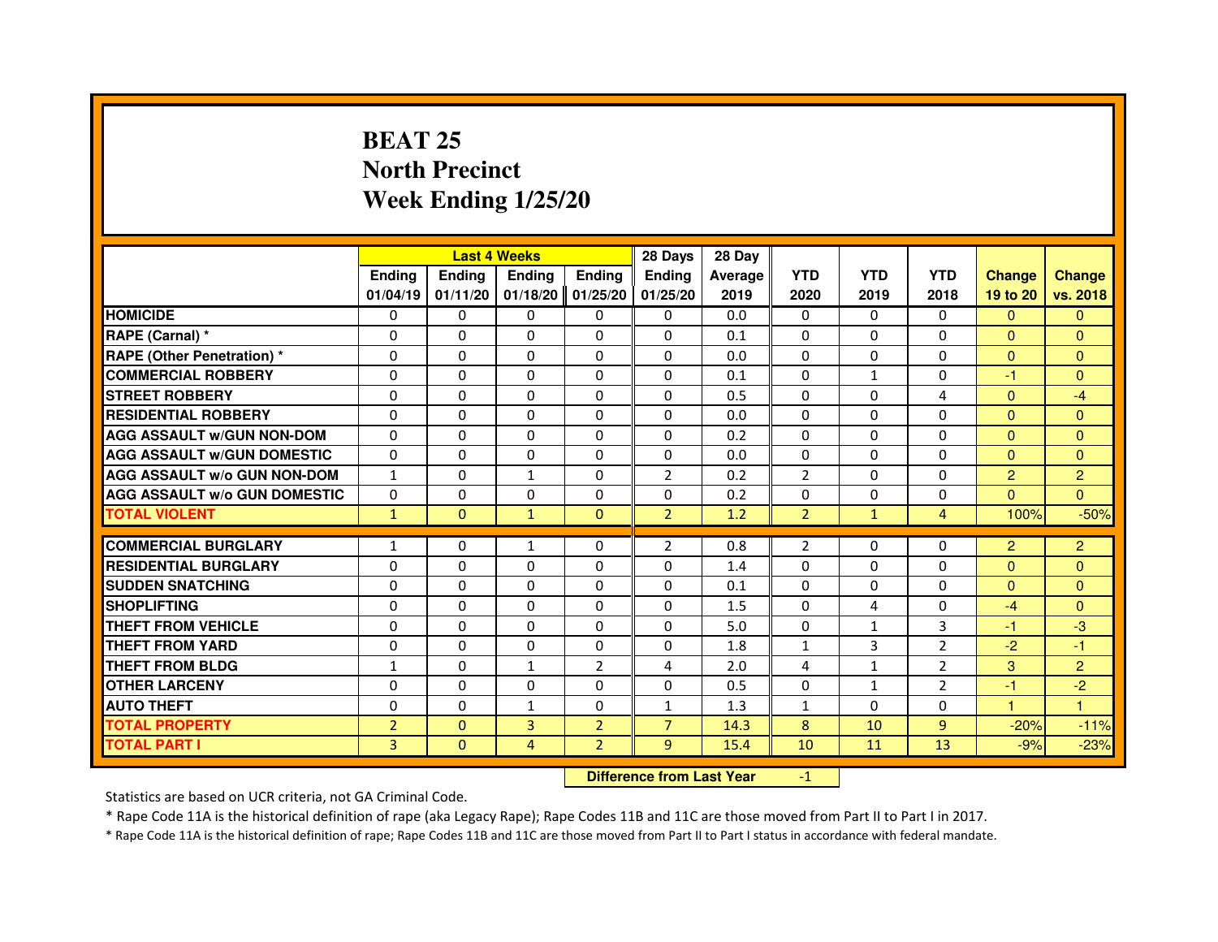## **BEAT 25 North PrecinctWeek Ending 1/25/20**

|                                     |                |                                  | <b>Last 4 Weeks</b> |                | 28 Days        | 28 Day  |                |              |                |                |                |
|-------------------------------------|----------------|----------------------------------|---------------------|----------------|----------------|---------|----------------|--------------|----------------|----------------|----------------|
|                                     | <b>Ending</b>  | <b>Ending</b>                    | <b>Ending</b>       | <b>Ending</b>  | Ending         | Average | <b>YTD</b>     | <b>YTD</b>   | <b>YTD</b>     | <b>Change</b>  | <b>Change</b>  |
|                                     | 01/04/19       | 01/11/20                         | 01/18/20            | 01/25/20       | 01/25/20       | 2019    | 2020           | 2019         | 2018           | 19 to 20       | vs. 2018       |
| <b>HOMICIDE</b>                     | $\Omega$       | $\Omega$                         | $\mathbf{0}$        | 0              | 0              | 0.0     | $\Omega$       | $\Omega$     | $\Omega$       | $\Omega$       | $\mathbf{0}$   |
| RAPE (Carnal) *                     | 0              | $\Omega$                         | 0                   | 0              | 0              | 0.1     | 0              | 0            | 0              | $\mathbf{0}$   | $\mathbf{0}$   |
| <b>RAPE (Other Penetration) *</b>   | $\Omega$       | $\Omega$                         | $\Omega$            | $\Omega$       | $\Omega$       | 0.0     | $\Omega$       | $\Omega$     | $\Omega$       | $\Omega$       | $\overline{0}$ |
| <b>COMMERCIAL ROBBERY</b>           | $\Omega$       | $\Omega$                         | $\Omega$            | $\Omega$       | $\Omega$       | 0.1     | $\Omega$       | $\mathbf{1}$ | $\Omega$       | $-1$           | $\overline{0}$ |
| <b>STREET ROBBERY</b>               | $\Omega$       | $\Omega$                         | $\Omega$            | $\Omega$       | $\Omega$       | 0.5     | $\Omega$       | $\Omega$     | 4              | $\Omega$       | $-4$           |
| <b>RESIDENTIAL ROBBERY</b>          | 0              | 0                                | 0                   | 0              | 0              | 0.0     | 0              | 0            | $\Omega$       | $\mathbf{0}$   | $\overline{0}$ |
| <b>AGG ASSAULT w/GUN NON-DOM</b>    | $\Omega$       | $\Omega$                         | $\Omega$            | $\Omega$       | $\Omega$       | 0.2     | $\Omega$       | $\Omega$     | $\Omega$       | $\Omega$       | $\Omega$       |
| <b>AGG ASSAULT W/GUN DOMESTIC</b>   | $\Omega$       | $\Omega$                         | $\Omega$            | $\Omega$       | $\Omega$       | 0.0     | $\Omega$       | $\Omega$     | 0              | $\Omega$       | $\Omega$       |
| <b>AGG ASSAULT W/o GUN NON-DOM</b>  | $\mathbf{1}$   | $\Omega$                         | $\mathbf{1}$        | $\Omega$       | $\overline{2}$ | 0.2     | $\overline{2}$ | $\Omega$     | $\Omega$       | 2              | $\overline{2}$ |
| <b>AGG ASSAULT W/o GUN DOMESTIC</b> | $\Omega$       | $\Omega$                         | $\Omega$            | $\Omega$       | $\Omega$       | 0.2     | $\Omega$       | $\Omega$     | $\Omega$       | $\Omega$       | $\Omega$       |
| <b>TOTAL VIOLENT</b>                | $\mathbf{1}$   | $\mathbf{0}$                     | $\mathbf{1}$        | $\mathbf{0}$   | $\overline{2}$ | 1.2     | $\overline{2}$ | $\mathbf{1}$ | $\overline{4}$ | 100%           | $-50%$         |
| <b>COMMERCIAL BURGLARY</b>          | 1              | 0                                | 1                   | 0              | 2              | 0.8     | 2              | 0            | 0              | $\overline{2}$ | $\overline{2}$ |
| <b>RESIDENTIAL BURGLARY</b>         | 0              | $\Omega$                         | $\Omega$            | $\Omega$       | 0              | 1.4     | 0              | $\mathbf{0}$ | $\Omega$       | $\Omega$       | $\mathbf{0}$   |
| <b>SUDDEN SNATCHING</b>             | $\Omega$       | $\Omega$                         | $\Omega$            | $\Omega$       | $\Omega$       | 0.1     | $\Omega$       | $\Omega$     | $\Omega$       | $\Omega$       | $\Omega$       |
| <b>SHOPLIFTING</b>                  | 0              | $\Omega$                         | $\Omega$            | $\Omega$       | $\Omega$       | 1.5     | $\mathbf{0}$   | 4            | 0              | $-4$           | $\Omega$       |
| <b>THEFT FROM VEHICLE</b>           | 0              | 0                                | $\Omega$            | $\Omega$       | 0              | 5.0     | 0              | 1            | 3              | $-1$           | $-3$           |
| <b>THEFT FROM YARD</b>              | $\Omega$       | $\Omega$                         | $\Omega$            | $\Omega$       | $\Omega$       | 1.8     | $\mathbf 1$    | 3            | $\overline{2}$ | $-2$           | $-1$           |
| <b>THEFT FROM BLDG</b>              | $\mathbf{1}$   | $\Omega$                         | $\mathbf{1}$        | $\overline{2}$ | 4              | 2.0     | 4              | $\mathbf{1}$ | $\overline{2}$ | 3              | $\overline{2}$ |
| <b>OTHER LARCENY</b>                | 0              | $\Omega$                         | $\Omega$            | $\Omega$       | $\Omega$       | 0.5     | $\mathbf{0}$   | $\mathbf{1}$ | $\overline{2}$ | $-1$           | $-2$           |
| <b>AUTO THEFT</b>                   | $\Omega$       | $\Omega$                         | $\mathbf{1}$        | $\Omega$       | $\mathbf{1}$   | 1.3     | $\mathbf{1}$   | $\Omega$     | $\Omega$       | $\mathbf{1}$   | $\mathbf{1}$   |
| <b>TOTAL PROPERTY</b>               | $\overline{2}$ | $\Omega$                         | $\overline{3}$      | $\overline{2}$ | $\overline{7}$ | 14.3    | 8              | 10           | $\overline{9}$ | $-20%$         | $-11%$         |
| <b>TOTAL PART I</b>                 | $\overline{3}$ | $\mathbf{0}$                     | $\overline{4}$      | $\overline{2}$ | 9              | 15.4    | 10             | 11           | 13             | $-9%$          | $-23%$         |
|                                     |                | <b>Difference from Last Year</b> |                     | $-1$           |                |         |                |              |                |                |                |

 **Difference from Last Year**

Statistics are based on UCR criteria, not GA Criminal Code.

\* Rape Code 11A is the historical definition of rape (aka Legacy Rape); Rape Codes 11B and 11C are those moved from Part II to Part I in 2017.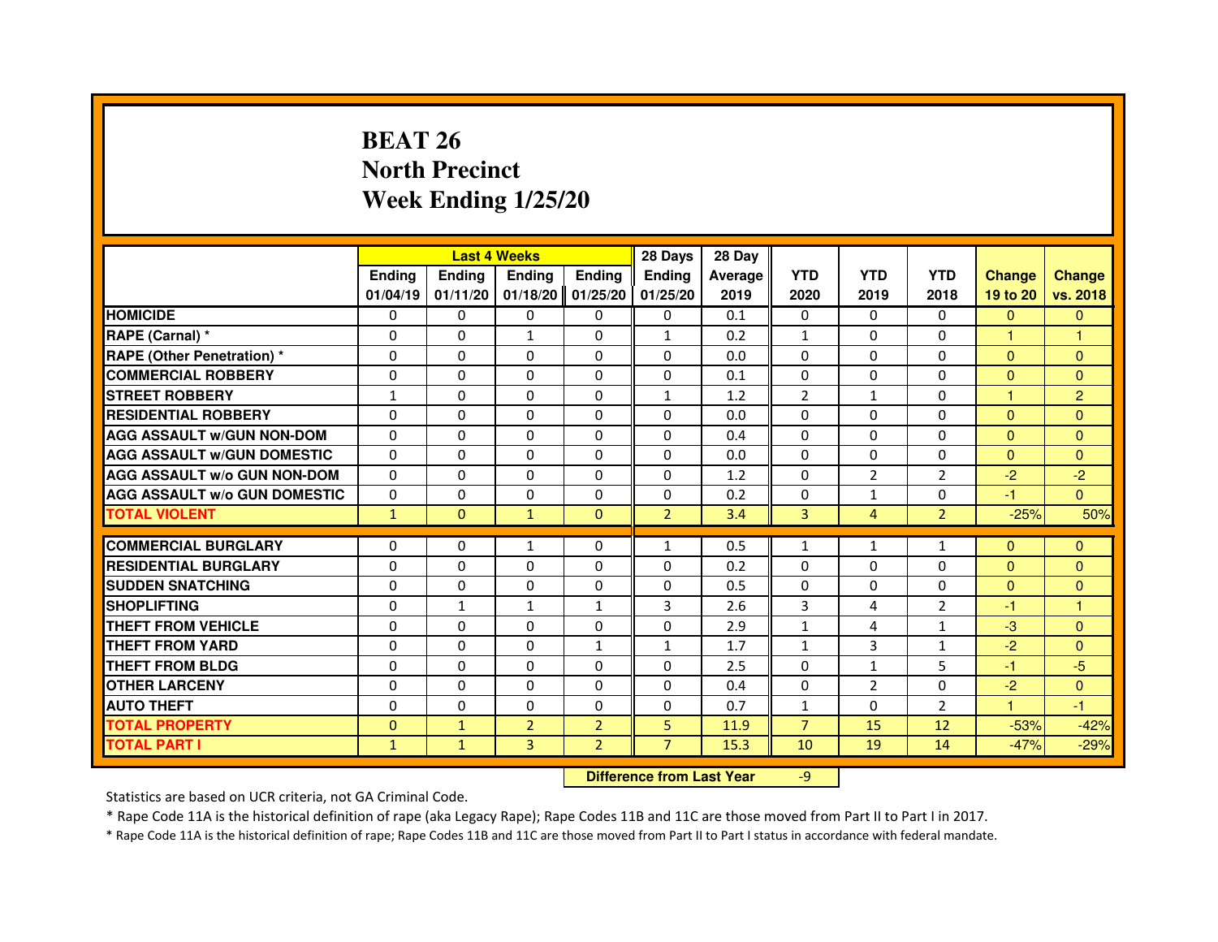# **BEAT 26 North PrecinctWeek Ending 1/25/20**

|                                     |               | <b>Last 4 Weeks</b>              |                |                | 28 Days        | 28 Day  |                |                |                |               |                |
|-------------------------------------|---------------|----------------------------------|----------------|----------------|----------------|---------|----------------|----------------|----------------|---------------|----------------|
|                                     | <b>Ending</b> | <b>Ending</b>                    | <b>Ending</b>  | <b>Ending</b>  | <b>Ending</b>  | Average | <b>YTD</b>     | <b>YTD</b>     | <b>YTD</b>     | <b>Change</b> | <b>Change</b>  |
|                                     | 01/04/19      | 01/11/20                         | 01/18/20       | 01/25/20       | 01/25/20       | 2019    | 2020           | 2019           | 2018           | 19 to 20      | vs. 2018       |
| <b>HOMICIDE</b>                     | $\Omega$      | $\Omega$                         | $\Omega$       | $\Omega$       | $\mathbf{0}$   | 0.1     | $\Omega$       | $\Omega$       | $\Omega$       | $\Omega$      | $\mathbf{0}$   |
| RAPE (Carnal) *                     | 0             | $\mathbf{0}$                     | $\mathbf{1}$   | $\Omega$       | $\mathbf{1}$   | 0.2     | $\mathbf{1}$   | $\mathbf{0}$   | $\mathbf{0}$   | $\mathbf{1}$  | 1              |
| <b>RAPE (Other Penetration) *</b>   | $\Omega$      | $\Omega$                         | $\Omega$       | $\Omega$       | $\mathbf{0}$   | 0.0     | $\mathbf{0}$   | $\mathbf{0}$   | $\mathbf{0}$   | $\mathbf{0}$  | $\mathbf{0}$   |
| <b>COMMERCIAL ROBBERY</b>           | 0             | $\Omega$                         | $\Omega$       | $\Omega$       | 0              | 0.1     | $\mathbf{0}$   | $\mathbf{0}$   | $\mathbf{0}$   | $\mathbf{0}$  | $\mathbf{0}$   |
| <b>STREET ROBBERY</b>               | $\mathbf{1}$  | $\Omega$                         | 0              | $\Omega$       | $\mathbf{1}$   | 1.2     | $\overline{2}$ | $\mathbf{1}$   | $\Omega$       | $\mathbf{1}$  | $\overline{2}$ |
| <b>RESIDENTIAL ROBBERY</b>          | 0             | $\Omega$                         | 0              | $\Omega$       | $\mathbf{0}$   | 0.0     | $\Omega$       | $\Omega$       | $\Omega$       | $\mathbf{0}$  | $\Omega$       |
| <b>AGG ASSAULT W/GUN NON-DOM</b>    | $\Omega$      | $\Omega$                         | 0              | $\Omega$       | $\Omega$       | 0.4     | $\Omega$       | $\Omega$       | $\Omega$       | $\mathbf{0}$  | $\mathbf{0}$   |
| <b>AGG ASSAULT W/GUN DOMESTIC</b>   | $\Omega$      | $\Omega$                         | $\Omega$       | $\Omega$       | $\Omega$       | 0.0     | $\Omega$       | $\Omega$       | $\Omega$       | $\Omega$      | $\mathbf{0}$   |
| <b>AGG ASSAULT W/o GUN NON-DOM</b>  | $\Omega$      | $\mathbf{0}$                     | 0              | $\mathbf{0}$   | 0              | 1.2     | 0              | $\overline{2}$ | $\overline{2}$ | $-2$          | $-2$           |
| <b>AGG ASSAULT W/o GUN DOMESTIC</b> | 0             | 0                                | 0              | $\Omega$       | $\mathbf{0}$   | 0.2     | $\Omega$       | 1              | 0              | $-1$          | $\Omega$       |
| <b>TOTAL VIOLENT</b>                | $\mathbf{1}$  | $\mathbf{0}$                     | $\mathbf{1}$   | $\mathbf{0}$   | $\overline{2}$ | 3.4     | 3              | $\overline{4}$ | $\overline{2}$ | $-25%$        | 50%            |
| <b>COMMERCIAL BURGLARY</b>          | 0             | 0                                | $\mathbf{1}$   | $\mathbf{0}$   | $\mathbf{1}$   | 0.5     | $\mathbf{1}$   | 1              | $\mathbf{1}$   | $\Omega$      | $\Omega$       |
| <b>RESIDENTIAL BURGLARY</b>         | $\Omega$      | $\Omega$                         | $\Omega$       | $\Omega$       | $\Omega$       | 0.2     | $\Omega$       | $\mathbf{0}$   | 0              | $\Omega$      | $\mathbf{0}$   |
| <b>SUDDEN SNATCHING</b>             | $\Omega$      | $\Omega$                         | $\Omega$       | $\Omega$       | $\Omega$       | 0.5     | $\Omega$       | $\Omega$       | $\Omega$       | $\Omega$      | $\Omega$       |
| <b>SHOPLIFTING</b>                  | 0             | 1                                | 1              | 1              | 3              | 2.6     | 3              | 4              | 2              | $-1$          | 1              |
| THEFT FROM VEHICLE                  | 0             | $\Omega$                         | 0              | $\Omega$       | $\mathbf{0}$   | 2.9     | $\mathbf{1}$   | 4              | $\mathbf{1}$   | $-3$          | $\mathbf{0}$   |
| <b>THEFT FROM YARD</b>              | 0             | 0                                | $\Omega$       | $\mathbf{1}$   | $\mathbf{1}$   | 1.7     | $\mathbf{1}$   | 3              | $\mathbf{1}$   | $-2$          | $\mathbf{0}$   |
| <b>THEFT FROM BLDG</b>              | $\Omega$      | $\Omega$                         | $\Omega$       | $\Omega$       | $\Omega$       | 2.5     | $\Omega$       | $\mathbf{1}$   | 5              | $-1$          | $-5$           |
| <b>OTHER LARCENY</b>                | 0             | $\Omega$                         | 0              | $\Omega$       | $\Omega$       | 0.4     | $\Omega$       | $\overline{2}$ | $\Omega$       | $-2$          | $\Omega$       |
| <b>AUTO THEFT</b>                   | $\Omega$      | $\Omega$                         | $\Omega$       | $\Omega$       | $\mathbf{0}$   | 0.7     | $\mathbf{1}$   | $\Omega$       | $\overline{2}$ | $\mathbf{1}$  | $-1$           |
| <b>TOTAL PROPERTY</b>               | $\Omega$      | $\mathbf{1}$                     | $\overline{2}$ | $\overline{2}$ | 5              | 11.9    | $\overline{7}$ | 15             | 12             | $-53%$        | $-42%$         |
| <b>TOTAL PART I</b>                 | $\mathbf{1}$  | $\mathbf{1}$                     | 3              | $\overline{2}$ | $\overline{7}$ | 15.3    | 10             | 19             | 14             | $-47%$        | $-29%$         |
|                                     |               | <b>Difference from Last Year</b> |                | $-9$           |                |         |                |                |                |               |                |

 **Difference from Last Year**

Statistics are based on UCR criteria, not GA Criminal Code.

\* Rape Code 11A is the historical definition of rape (aka Legacy Rape); Rape Codes 11B and 11C are those moved from Part II to Part I in 2017.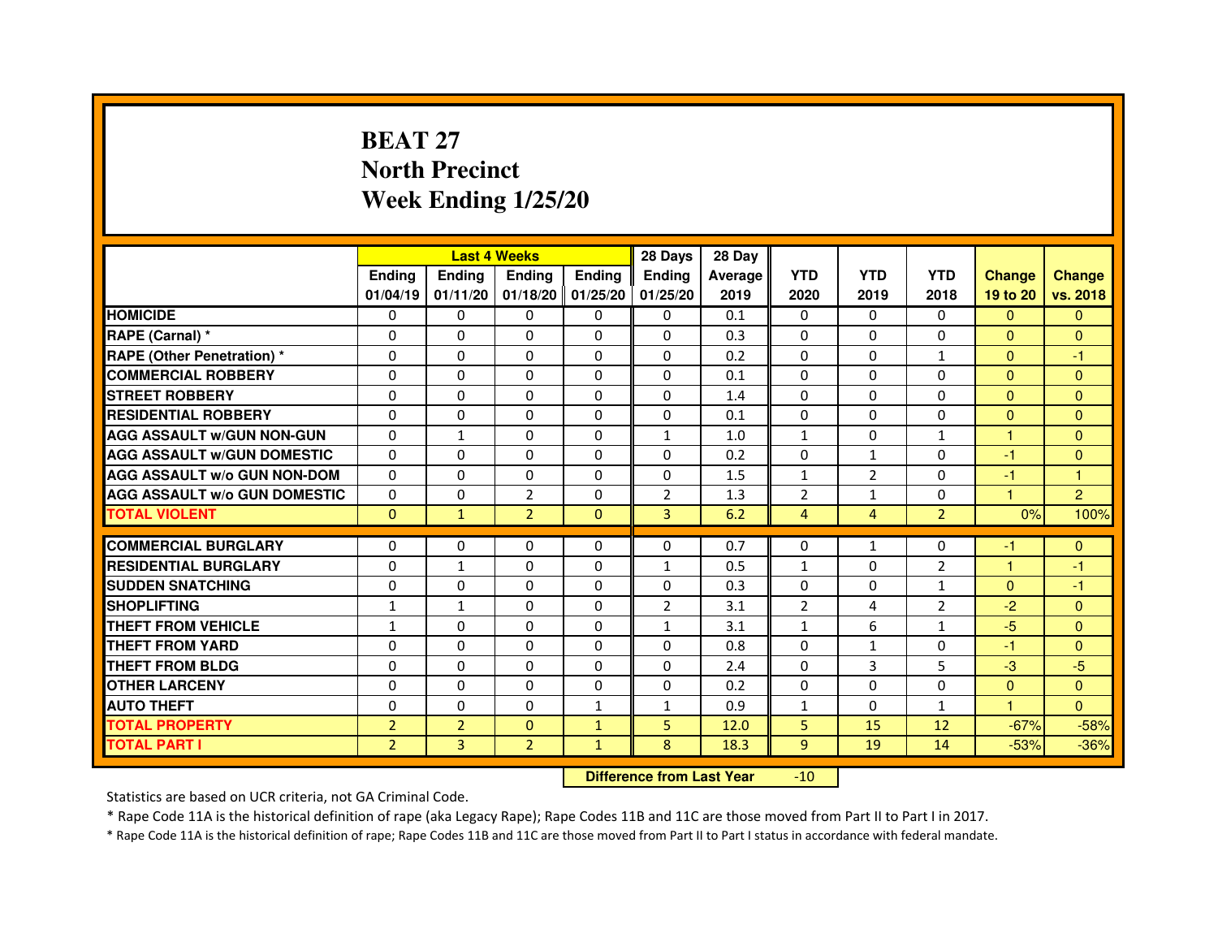# **BEAT 27 North PrecinctWeek Ending 1/25/20**

|                                     |                |                | <b>Last 4 Weeks</b> |                     | 28 Days        | 28 Day  |                |                |                |               |                |
|-------------------------------------|----------------|----------------|---------------------|---------------------|----------------|---------|----------------|----------------|----------------|---------------|----------------|
|                                     | <b>Ending</b>  | <b>Endina</b>  | <b>Ending</b>       | <b>Ending</b>       | <b>Ending</b>  | Average | <b>YTD</b>     | <b>YTD</b>     | <b>YTD</b>     | <b>Change</b> | <b>Change</b>  |
|                                     | 01/04/19       | 01/11/20       |                     | $01/18/20$ 01/25/20 | 01/25/20       | 2019    | 2020           | 2019           | 2018           | 19 to 20      | vs. 2018       |
| <b>HOMICIDE</b>                     | $\Omega$       | $\mathbf{0}$   | $\mathbf{0}$        | $\Omega$            | $\Omega$       | 0.1     | $\mathbf{0}$   | $\Omega$       | $\Omega$       | $\mathbf{0}$  | $\mathbf{0}$   |
| RAPE (Carnal) *                     | 0              | $\Omega$       | $\Omega$            | $\mathbf{0}$        | $\Omega$       | 0.3     | $\Omega$       | $\Omega$       | $\Omega$       | $\Omega$      | $\Omega$       |
| <b>RAPE (Other Penetration)*</b>    | 0              | $\mathbf{0}$   | $\Omega$            | $\mathbf{0}$        | $\mathbf{0}$   | 0.2     | $\mathbf{0}$   | 0              | $\mathbf{1}$   | $\Omega$      | $-1$           |
| <b>COMMERCIAL ROBBERY</b>           | 0              | 0              | 0                   | $\Omega$            | 0              | 0.1     | $\Omega$       | $\Omega$       | $\Omega$       | $\Omega$      | $\Omega$       |
| <b>STREET ROBBERY</b>               | 0              | 0              | 0                   | 0                   | 0              | 1.4     | 0              | 0              | $\Omega$       | $\Omega$      | $\mathbf{0}$   |
| <b>RESIDENTIAL ROBBERY</b>          | 0              | $\Omega$       | $\Omega$            | $\Omega$            | $\Omega$       | 0.1     | $\Omega$       | $\Omega$       | $\Omega$       | $\Omega$      | $\Omega$       |
| <b>AGG ASSAULT W/GUN NON-GUN</b>    | $\Omega$       | $\mathbf{1}$   | $\Omega$            | $\mathbf{0}$        | $\mathbf{1}$   | 1.0     | $\mathbf{1}$   | $\Omega$       | $\mathbf{1}$   | $\mathbf{1}$  | $\Omega$       |
| <b>AGG ASSAULT W/GUN DOMESTIC</b>   | $\Omega$       | 0              | 0                   | 0                   | 0              | 0.2     | 0              | $\mathbf{1}$   | $\Omega$       | $-1$          | $\Omega$       |
| <b>AGG ASSAULT W/o GUN NON-DOM</b>  | 0              | 0              | 0                   | $\Omega$            | 0              | 1.5     | $\mathbf{1}$   | $\overline{2}$ | $\Omega$       | $-1$          | 1              |
| <b>AGG ASSAULT W/o GUN DOMESTIC</b> | 0              | 0              | $\overline{2}$      | 0                   | $\overline{2}$ | 1.3     | $\overline{2}$ | $\mathbf{1}$   | $\Omega$       | 1             | $\overline{2}$ |
| <b>TOTAL VIOLENT</b>                | $\mathbf{0}$   | $\mathbf{1}$   | $\overline{2}$      | $\mathbf{0}$        | 3              | 6.2     | 4              | 4              | $\overline{2}$ | 0%            | 100%           |
|                                     |                |                |                     |                     |                |         |                |                |                |               |                |
| <b>COMMERCIAL BURGLARY</b>          | 0              | 0              | 0                   | 0                   | 0              | 0.7     | 0              | $\mathbf{1}$   | $\Omega$       | -1            | $\mathbf{0}$   |
| <b>RESIDENTIAL BURGLARY</b>         | 0              | $\mathbf{1}$   | 0                   | 0                   | $\mathbf{1}$   | 0.5     | $\mathbf{1}$   | 0              | $\overline{2}$ | 1             | $-1$           |
| <b>SUDDEN SNATCHING</b>             | 0              | 0              | 0                   | $\Omega$            | 0              | 0.3     | 0              | 0              | $\mathbf{1}$   | $\Omega$      | $-1$           |
| <b>SHOPLIFTING</b>                  | $\mathbf{1}$   | $\mathbf{1}$   | $\Omega$            | $\Omega$            | $\overline{2}$ | 3.1     | $\overline{2}$ | 4              | $\overline{2}$ | $-2$          | $\Omega$       |
| THEFT FROM VEHICLE                  | 1              | 0              | $\Omega$            | 0                   | $\mathbf{1}$   | 3.1     | $\mathbf{1}$   | 6              | $\mathbf{1}$   | $-5$          | $\Omega$       |
| THEFT FROM YARD                     | 0              | 0              | $\Omega$            | $\Omega$            | $\Omega$       | 0.8     | $\Omega$       | $\mathbf{1}$   | $\Omega$       | $-1$          | $\Omega$       |
| <b>THEFT FROM BLDG</b>              | 0              | $\Omega$       | 0                   | 0                   | $\Omega$       | 2.4     | 0              | 3              | 5              | $-3$          | $-5$           |
| <b>OTHER LARCENY</b>                | 0              | $\Omega$       | 0                   | $\Omega$            | 0              | 0.2     | 0              | $\Omega$       | $\Omega$       | $\Omega$      | $\Omega$       |
| <b>AUTO THEFT</b>                   | $\Omega$       | $\Omega$       | $\Omega$            | $\mathbf{1}$        | $\mathbf{1}$   | 0.9     | $\mathbf{1}$   | $\Omega$       | $\mathbf{1}$   | $\mathbf{1}$  | $\Omega$       |
| <b>TOTAL PROPERTY</b>               | $\overline{2}$ | $\overline{2}$ | $\Omega$            | $\mathbf{1}$        | 5              | 12.0    | 5              | 15             | 12             | $-67%$        | $-58%$         |
| <b>TOTAL PART I</b>                 | $\overline{2}$ | 3              | $\overline{2}$      | $\mathbf{1}$        | 8              | 18.3    | 9              | 19             | 14             | $-53%$        | $-36%$         |

 **Difference from Last Year**-10

Statistics are based on UCR criteria, not GA Criminal Code.

\* Rape Code 11A is the historical definition of rape (aka Legacy Rape); Rape Codes 11B and 11C are those moved from Part II to Part I in 2017.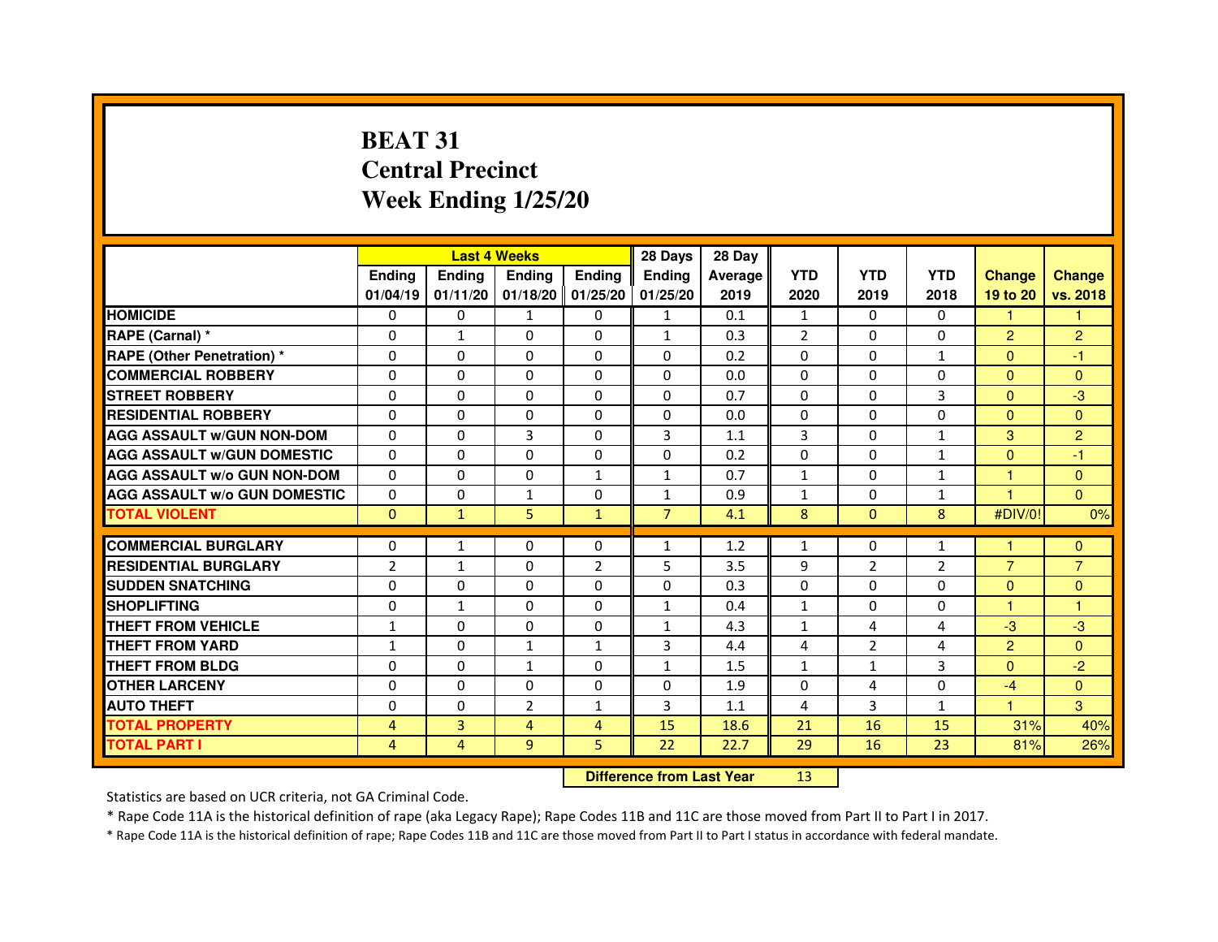# **BEAT 31 Central PrecinctWeek Ending 1/25/20**

|                                     |                | <b>Last 4 Weeks</b> |                |                   | 28 Days                          | 28 Day  |                |                |                |                |                |
|-------------------------------------|----------------|---------------------|----------------|-------------------|----------------------------------|---------|----------------|----------------|----------------|----------------|----------------|
|                                     | <b>Ending</b>  | <b>Ending</b>       | <b>Ending</b>  | <b>Ending</b>     | <b>Ending</b>                    | Average | <b>YTD</b>     | <b>YTD</b>     | <b>YTD</b>     | <b>Change</b>  | <b>Change</b>  |
|                                     | 01/04/19       | 01/11/20            |                | 01/18/20 01/25/20 | 01/25/20                         | 2019    | 2020           | 2019           | 2018           | 19 to 20       | vs. 2018       |
| <b>HOMICIDE</b>                     | 0              | 0                   | $\mathbf{1}$   | 0                 | $\mathbf{1}$                     | 0.1     | $\mathbf{1}$   | $\Omega$       | 0              | $\mathbf{1}$   | 1.             |
| RAPE (Carnal) *                     | 0              | 1                   | 0              | 0                 | $\mathbf{1}$                     | 0.3     | $\overline{2}$ | 0              | 0              | $\overline{2}$ | $\overline{c}$ |
| <b>RAPE (Other Penetration) *</b>   | 0              | 0                   | 0              | $\mathbf{0}$      | $\Omega$                         | 0.2     | $\Omega$       | $\mathbf{0}$   | $\mathbf{1}$   | $\Omega$       | $-1$           |
| <b>COMMERCIAL ROBBERY</b>           | $\mathbf 0$    | 0                   | $\Omega$       | $\mathbf{0}$      | $\mathbf{0}$                     | 0.0     | $\mathbf{0}$   | $\mathbf{0}$   | $\Omega$       | $\Omega$       | $\mathbf{0}$   |
| <b>STREET ROBBERY</b>               | 0              | $\Omega$            | $\Omega$       | $\mathbf{0}$      | $\Omega$                         | 0.7     | $\Omega$       | $\Omega$       | 3              | $\Omega$       | $-3$           |
| <b>RESIDENTIAL ROBBERY</b>          | 0              | 0                   | 0              | 0                 | $\Omega$                         | 0.0     | $\Omega$       | $\Omega$       | $\Omega$       | $\Omega$       | $\Omega$       |
| <b>AGG ASSAULT W/GUN NON-DOM</b>    | $\Omega$       | $\Omega$            | 3              | $\mathbf{0}$      | 3                                | 1.1     | 3              | $\Omega$       | $\mathbf{1}$   | 3              | $\overline{2}$ |
| <b>AGG ASSAULT W/GUN DOMESTIC</b>   | $\Omega$       | $\Omega$            | $\Omega$       | $\Omega$          | $\Omega$                         | 0.2     | $\Omega$       | $\Omega$       | $\mathbf{1}$   | $\Omega$       | $-1$           |
| <b>AGG ASSAULT W/o GUN NON-DOM</b>  | $\Omega$       | $\Omega$            | 0              | $\mathbf{1}$      | $\mathbf{1}$                     | 0.7     | $\mathbf{1}$   | $\Omega$       | $\mathbf{1}$   | 1              | $\Omega$       |
| <b>AGG ASSAULT W/o GUN DOMESTIC</b> | $\Omega$       | 0                   | $\mathbf{1}$   | $\Omega$          | $\mathbf{1}$                     | 0.9     | $\mathbf{1}$   | 0              | $\mathbf{1}$   | 1              | $\Omega$       |
| <b>TOTAL VIOLENT</b>                | $\mathbf{0}$   | $\mathbf{1}$        | 5              | $\mathbf{1}$      | $\overline{7}$                   | 4.1     | 8              | $\mathbf{0}$   | 8              | #DIV/0!        | 0%             |
| <b>COMMERCIAL BURGLARY</b>          | 0              | 1                   | 0              | 0                 | $\mathbf{1}$                     | 1.2     | 1              | 0              | $\mathbf{1}$   | 1              | $\mathbf{0}$   |
| <b>RESIDENTIAL BURGLARY</b>         | $\overline{2}$ | $\mathbf{1}$        | $\Omega$       | $\overline{2}$    | 5                                | 3.5     | 9              | $\overline{2}$ | $\overline{2}$ | $\overline{7}$ | $\overline{7}$ |
| <b>SUDDEN SNATCHING</b>             | 0              | $\Omega$            | $\Omega$       | $\Omega$          | $\Omega$                         | 0.3     | $\Omega$       | $\Omega$       | $\Omega$       | $\Omega$       | $\mathbf{0}$   |
| <b>SHOPLIFTING</b>                  | 0              | $\mathbf{1}$        | 0              | $\mathbf{0}$      | $\mathbf{1}$                     | 0.4     | $\mathbf{1}$   | 0              | 0              | $\mathbf{1}$   | 1              |
| THEFT FROM VEHICLE                  | $\mathbf{1}$   | 0                   | 0              | $\Omega$          | $\mathbf{1}$                     | 4.3     | $\mathbf{1}$   | 4              | 4              | $-3$           | $-3$           |
| <b>THEFT FROM YARD</b>              | $\mathbf{1}$   | 0                   | $\mathbf{1}$   | $\mathbf{1}$      | 3                                | 4.4     | 4              | $\overline{2}$ | 4              | $\overline{2}$ | $\Omega$       |
| <b>THEFT FROM BLDG</b>              | 0              | $\Omega$            | $\mathbf{1}$   | $\Omega$          | $\mathbf{1}$                     | 1.5     | $\mathbf{1}$   | $\mathbf{1}$   | 3              | $\Omega$       | $-2$           |
| <b>OTHER LARCENY</b>                | 0              | $\Omega$            | $\Omega$       | $\mathbf{0}$      | $\Omega$                         | 1.9     | $\Omega$       | 4              | $\Omega$       | $-4$           | $\Omega$       |
| <b>AUTO THEFT</b>                   | $\Omega$       | $\Omega$            | $\overline{2}$ | $\mathbf{1}$      | 3                                | 1.1     | 4              | 3              | $\mathbf{1}$   | $\mathbf{1}$   | 3              |
| <b>TOTAL PROPERTY</b>               | $\overline{4}$ | 3                   | $\overline{4}$ | 4                 | 15                               | 18.6    | 21             | 16             | 15             | 31%            | 40%            |
| <b>TOTAL PART I</b>                 | 4              | 4                   | 9              | 5                 | 22                               | 22.7    | 29             | 16             | 23             | 81%            | 26%            |
|                                     |                |                     |                |                   | <b>Difference from Last Year</b> |         | 13             |                |                |                |                |

 **Difference from Last Year**

Statistics are based on UCR criteria, not GA Criminal Code.

\* Rape Code 11A is the historical definition of rape (aka Legacy Rape); Rape Codes 11B and 11C are those moved from Part II to Part I in 2017.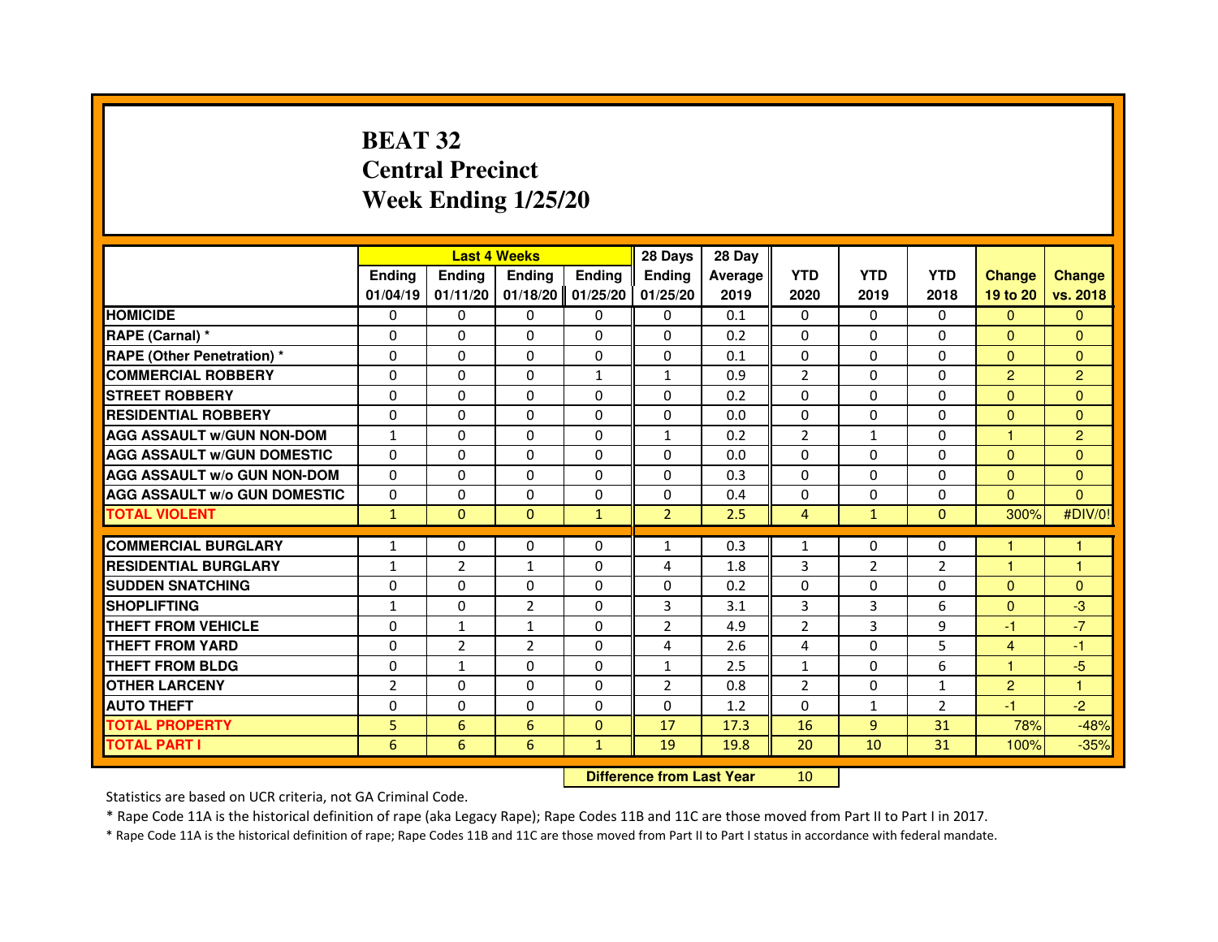# **BEAT 32 Central PrecinctWeek Ending 1/25/20**

|                                     |                | <b>Last 4 Weeks</b>              |                |               | 28 Days        | 28 Day  |                |                |                |                |                |
|-------------------------------------|----------------|----------------------------------|----------------|---------------|----------------|---------|----------------|----------------|----------------|----------------|----------------|
|                                     | <b>Ending</b>  | <b>Ending</b>                    | <b>Ending</b>  | <b>Ending</b> | <b>Ending</b>  | Average | <b>YTD</b>     | <b>YTD</b>     | <b>YTD</b>     | <b>Change</b>  | <b>Change</b>  |
|                                     | 01/04/19       | 01/11/20                         | 01/18/20       | 01/25/20      | 01/25/20       | 2019    | 2020           | 2019           | 2018           | 19 to 20       | vs. 2018       |
| <b>HOMICIDE</b>                     | $\mathbf{0}$   | $\Omega$                         | $\mathbf{0}$   | 0             | 0              | 0.1     | $\mathbf{0}$   | $\Omega$       | $\Omega$       | $\Omega$       | $\mathbf{0}$   |
| RAPE (Carnal) *                     | 0              | 0                                | 0              | 0             | 0              | 0.2     | 0              | 0              | 0              | $\Omega$       | $\mathbf{0}$   |
| <b>RAPE (Other Penetration) *</b>   | $\Omega$       | $\Omega$                         | $\Omega$       | $\Omega$      | $\mathbf{0}$   | 0.1     | $\mathbf{0}$   | $\mathbf{0}$   | $\Omega$       | $\Omega$       | $\mathbf{0}$   |
| <b>COMMERCIAL ROBBERY</b>           | 0              | 0                                | $\Omega$       | $\mathbf{1}$  | $\mathbf{1}$   | 0.9     | $\overline{2}$ | $\Omega$       | $\Omega$       | $\overline{2}$ | $\overline{2}$ |
| <b>STREET ROBBERY</b>               | $\Omega$       | $\Omega$                         | $\Omega$       | $\Omega$      | $\Omega$       | 0.2     | $\Omega$       | $\Omega$       | $\Omega$       | $\Omega$       | $\mathbf{0}$   |
| <b>RESIDENTIAL ROBBERY</b>          | 0              | 0                                | 0              | 0             | 0              | 0.0     | $\Omega$       | 0              | $\Omega$       | $\overline{0}$ | $\mathbf{0}$   |
| <b>AGG ASSAULT W/GUN NON-DOM</b>    | $\mathbf{1}$   | $\Omega$                         | 0              | $\Omega$      | $\mathbf{1}$   | 0.2     | $\overline{2}$ | $\mathbf{1}$   | 0              | 1              | $\overline{2}$ |
| <b>AGG ASSAULT W/GUN DOMESTIC</b>   | $\Omega$       | $\Omega$                         | $\Omega$       | $\Omega$      | $\Omega$       | 0.0     | $\Omega$       | $\Omega$       | 0              | $\Omega$       | $\Omega$       |
| <b>AGG ASSAULT W/o GUN NON-DOM</b>  | $\Omega$       | $\Omega$                         | $\Omega$       | $\Omega$      | $\Omega$       | 0.3     | $\Omega$       | $\Omega$       | $\Omega$       | $\Omega$       | $\mathbf{0}$   |
| <b>AGG ASSAULT W/o GUN DOMESTIC</b> | 0              | 0                                | 0              | $\Omega$      | $\Omega$       | 0.4     | 0              | $\Omega$       | 0              | $\Omega$       | $\Omega$       |
| <b>TOTAL VIOLENT</b>                | $\mathbf{1}$   | $\mathbf{0}$                     | $\mathbf{0}$   | $\mathbf{1}$  | $\overline{2}$ | 2.5     | $\overline{4}$ | $\mathbf{1}$   | $\mathbf{0}$   | 300%           | #DIV/0!        |
| <b>COMMERCIAL BURGLARY</b>          | 1              | 0                                | 0              | 0             | $\mathbf{1}$   | 0.3     | $\mathbf{1}$   | 0              | 0              | 1              | 1              |
| <b>RESIDENTIAL BURGLARY</b>         | $\mathbf{1}$   | $\overline{2}$                   | $\mathbf{1}$   | $\Omega$      | 4              | 1.8     | 3              | $\overline{2}$ | $\overline{2}$ | $\mathbf{1}$   | $\mathbf{1}$   |
| <b>SUDDEN SNATCHING</b>             | 0              | $\Omega$                         | $\Omega$       | $\Omega$      | $\Omega$       | 0.2     | $\Omega$       | $\Omega$       | $\Omega$       | $\Omega$       | $\mathbf{0}$   |
| <b>SHOPLIFTING</b>                  | $\mathbf{1}$   | $\mathbf{0}$                     | $\overline{2}$ | $\mathbf{0}$  | 3              | 3.1     | 3              | 3              | 6              | $\mathbf{0}$   | $-3$           |
| THEFT FROM VEHICLE                  | 0              | $\mathbf{1}$                     | $\mathbf{1}$   | $\Omega$      | $\overline{2}$ | 4.9     | $\overline{2}$ | 3              | 9              | -1             | $-7$           |
| <b>THEFT FROM YARD</b>              | $\Omega$       | $\overline{2}$                   | $\overline{2}$ | $\Omega$      | 4              | 2.6     | 4              | $\Omega$       | 5              | 4              | $-1$           |
| <b>THEFT FROM BLDG</b>              | $\Omega$       | $\mathbf{1}$                     | $\Omega$       | $\Omega$      | $\mathbf{1}$   | 2.5     | $\mathbf{1}$   | $\mathbf{0}$   | 6              | $\mathbf{1}$   | $-5$           |
| <b>OTHER LARCENY</b>                | $\overline{2}$ | $\Omega$                         | 0              | $\Omega$      | $\overline{2}$ | 0.8     | $\overline{2}$ | $\mathbf{0}$   | $\mathbf{1}$   | $\overline{2}$ | $\mathbf{1}$   |
| <b>AUTO THEFT</b>                   | $\Omega$       | $\Omega$                         | $\Omega$       | $\Omega$      | $\Omega$       | 1.2     | $\Omega$       | $\mathbf{1}$   | $\overline{2}$ | $-1$           | $-2$           |
| <b>TOTAL PROPERTY</b>               | 5              | $6\phantom{1}6$                  | 6              | $\mathbf{0}$  | 17             | 17.3    | 16             | $\overline{9}$ | 31             | 78%            | $-48%$         |
| <b>TOTAL PART I</b>                 | 6              | 6                                | 6              | $\mathbf{1}$  | 19             | 19.8    | 20             | 10             | 31             | 100%           | $-35%$         |
|                                     |                | <b>Difference from Last Year</b> |                | 10            |                |         |                |                |                |                |                |

#### **Difference from Last Year**

Statistics are based on UCR criteria, not GA Criminal Code.

\* Rape Code 11A is the historical definition of rape (aka Legacy Rape); Rape Codes 11B and 11C are those moved from Part II to Part I in 2017.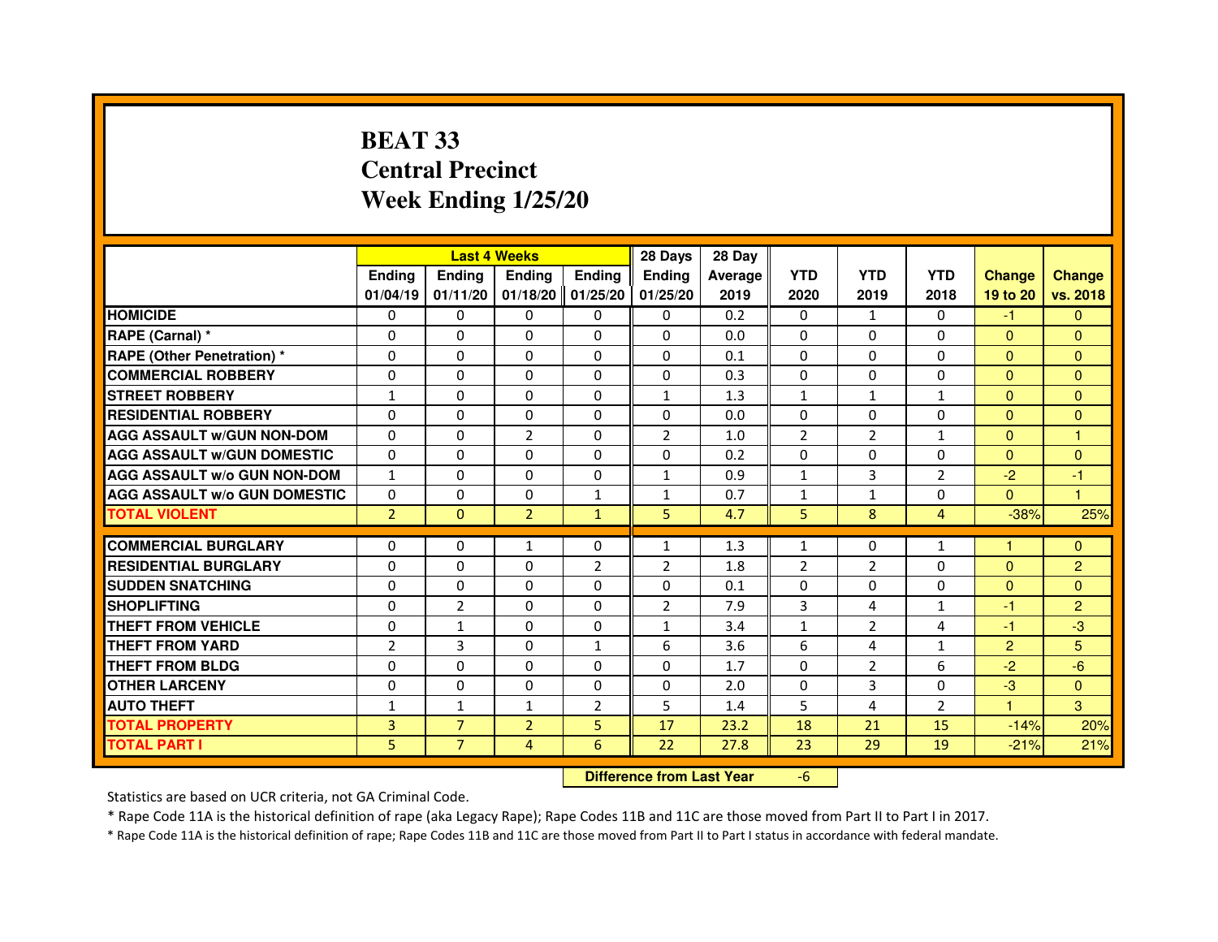# **BEAT 33 Central PrecinctWeek Ending 1/25/20**

|                                     |                | <b>Last 4 Weeks</b> |                |                     | 28 Days        | 28 Day  |                |                |                |                      |                |
|-------------------------------------|----------------|---------------------|----------------|---------------------|----------------|---------|----------------|----------------|----------------|----------------------|----------------|
|                                     | <b>Endina</b>  | <b>Ending</b>       | <b>Ending</b>  | <b>Ending</b>       | <b>Endina</b>  | Average | <b>YTD</b>     | <b>YTD</b>     | <b>YTD</b>     | <b>Change</b>        | <b>Change</b>  |
|                                     | 01/04/19       | 01/11/20            |                | $01/18/20$ 01/25/20 | 01/25/20       | 2019    | 2020           | 2019           | 2018           | 19 to 20             | vs. 2018       |
| <b>HOMICIDE</b>                     | 0              | 0                   | 0              | 0                   | 0              | 0.2     | 0              | $\mathbf{1}$   | $\mathbf{0}$   | -1.                  | $\mathbf{0}$   |
| RAPE (Carnal) *                     | $\Omega$       | $\Omega$            | $\Omega$       | $\Omega$            | $\Omega$       | 0.0     | $\Omega$       | $\Omega$       | $\Omega$       | $\Omega$             | $\Omega$       |
| <b>RAPE (Other Penetration)*</b>    | $\Omega$       | $\Omega$            | 0              | $\Omega$            | $\Omega$       | 0.1     | $\Omega$       | $\Omega$       | $\Omega$       | $\mathbf{0}$         | $\Omega$       |
| <b>COMMERCIAL ROBBERY</b>           | 0              | 0                   | 0              | $\Omega$            | $\Omega$       | 0.3     | $\Omega$       | $\Omega$       | 0              | $\mathbf{0}$         | $\Omega$       |
| <b>STREET ROBBERY</b>               | $\mathbf{1}$   | $\Omega$            | 0              | 0                   | $\mathbf{1}$   | 1.3     | $\mathbf{1}$   | $\mathbf{1}$   | $\mathbf{1}$   | $\mathbf{0}$         | $\Omega$       |
| <b>RESIDENTIAL ROBBERY</b>          | $\Omega$       | $\Omega$            | 0              | $\Omega$            | $\Omega$       | 0.0     | $\Omega$       | $\Omega$       | $\Omega$       | $\Omega$             | $\Omega$       |
| <b>AGG ASSAULT W/GUN NON-DOM</b>    | $\Omega$       | $\Omega$            | $\overline{2}$ | $\Omega$            | $\overline{2}$ | 1.0     | $\overline{2}$ | $\overline{2}$ | $\mathbf{1}$   | $\Omega$             | $\mathbf{1}$   |
| <b>AGG ASSAULT W/GUN DOMESTIC</b>   | $\Omega$       | $\Omega$            | $\Omega$       | $\Omega$            | $\Omega$       | 0.2     | $\Omega$       | $\Omega$       | $\Omega$       | $\Omega$             | $\Omega$       |
| <b>AGG ASSAULT W/o GUN NON-DOM</b>  | $\mathbf{1}$   | 0                   | $\Omega$       | 0                   | 1              | 0.9     | $\mathbf{1}$   | 3              | 2              | $-2$                 | $-1$           |
| <b>AGG ASSAULT W/o GUN DOMESTIC</b> | $\Omega$       | $\Omega$            | 0              | $\mathbf{1}$        | 1              | 0.7     | $\mathbf{1}$   | 1              | 0              | $\Omega$             | $\overline{1}$ |
| <b>TOTAL VIOLENT</b>                | $\overline{2}$ | $\Omega$            | $\overline{2}$ | $\mathbf{1}$        | 5              | 4.7     | 5              | 8              | 4              | $-38%$               | 25%            |
|                                     |                |                     |                |                     |                |         |                |                |                | $\blacktriangleleft$ |                |
| <b>COMMERCIAL BURGLARY</b>          | 0              | 0                   | $\mathbf{1}$   | 0                   | $\mathbf{1}$   | 1.3     | $\mathbf{1}$   | 0              | $\mathbf{1}$   |                      | $\mathbf{0}$   |
| <b>RESIDENTIAL BURGLARY</b>         | $\Omega$       | $\Omega$            | 0              | $\overline{2}$      | $\overline{2}$ | 1.8     | $\overline{2}$ | $\overline{2}$ | 0              | $\mathbf{0}$         | 2              |
| <b>SUDDEN SNATCHING</b>             | $\Omega$       | $\Omega$            | 0              | 0                   | $\Omega$       | 0.1     | 0              | 0              | 0              | $\Omega$             | $\Omega$       |
| <b>SHOPLIFTING</b>                  | $\Omega$       | $\overline{2}$      | 0              | 0                   | $\overline{2}$ | 7.9     | 3              | 4              | $\mathbf{1}$   | $-1$                 | 2              |
| <b>THEFT FROM VEHICLE</b>           | $\Omega$       | $\mathbf{1}$        | $\Omega$       | $\mathbf{0}$        | $\mathbf{1}$   | 3.4     | $\mathbf{1}$   | $\overline{2}$ | 4              | $-1$                 | $-3$           |
| <b>THEFT FROM YARD</b>              | $\overline{2}$ | 3                   | $\Omega$       | $\mathbf{1}$        | 6              | 3.6     | 6              | 4              | $\mathbf{1}$   | $\overline{2}$       | 5              |
| <b>THEFT FROM BLDG</b>              | 0              | 0                   | 0              | 0                   | 0              | 1.7     | $\Omega$       | $\overline{2}$ | 6              | $-2$                 | $-6$           |
| <b>OTHER LARCENY</b>                | $\Omega$       | $\Omega$            | 0              | 0                   | 0              | 2.0     | $\Omega$       | 3              | 0              | $-3$                 | $\mathbf{0}$   |
| <b>AUTO THEFT</b>                   | $\mathbf{1}$   | $\mathbf{1}$        | $\mathbf{1}$   | $\overline{2}$      | 5              | 1.4     | 5              | 4              | $\overline{2}$ | $\blacktriangleleft$ | 3              |
| <b>TOTAL PROPERTY</b>               | 3              | $\overline{7}$      | $\overline{2}$ | 5                   | 17             | 23.2    | 18             | 21             | 15             | $-14%$               | 20%            |
| <b>TOTAL PART I</b>                 | 5              | $\overline{7}$      | $\overline{4}$ | 6                   | 22             | 27.8    | 23             | 29             | 19             | $-21%$               | 21%            |

#### **Difference from Last Year**

-6

Statistics are based on UCR criteria, not GA Criminal Code.

\* Rape Code 11A is the historical definition of rape (aka Legacy Rape); Rape Codes 11B and 11C are those moved from Part II to Part I in 2017.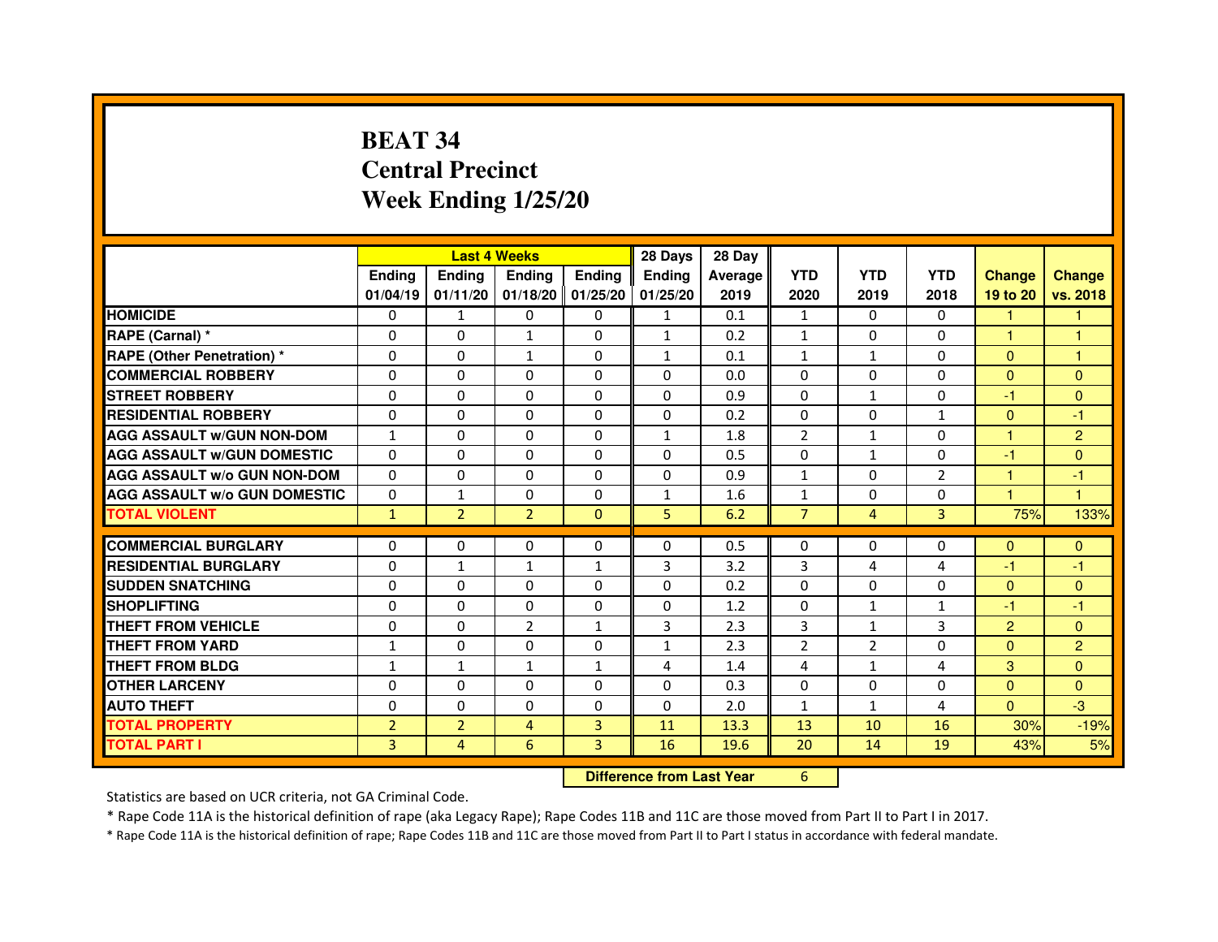# **BEAT 34 Central PrecinctWeek Ending 1/25/20**

|                                     |                | <b>Last 4 Weeks</b> |                |                   | 28 Days                          | 28 Day  |                |                |              |                |                |
|-------------------------------------|----------------|---------------------|----------------|-------------------|----------------------------------|---------|----------------|----------------|--------------|----------------|----------------|
|                                     | <b>Ending</b>  | <b>Ending</b>       | <b>Ending</b>  | <b>Ending</b>     | <b>Ending</b>                    | Average | <b>YTD</b>     | <b>YTD</b>     | <b>YTD</b>   | <b>Change</b>  | <b>Change</b>  |
|                                     | 01/04/19       | 01/11/20            |                | 01/18/20 01/25/20 | 01/25/20                         | 2019    | 2020           | 2019           | 2018         | 19 to 20       | vs. 2018       |
| <b>HOMICIDE</b>                     | 0              | $\mathbf{1}$        | $\mathbf{0}$   | 0                 | $\mathbf{1}$                     | 0.1     | $\mathbf{1}$   | $\Omega$       | 0            | $\mathbf{1}$   | 1.             |
| RAPE (Carnal) *                     | 0              | 0                   | 1              | 0                 | $\mathbf{1}$                     | 0.2     | 1              | 0              | 0            | 1              | 1              |
| <b>RAPE (Other Penetration) *</b>   | 0              | 0                   | $\mathbf{1}$   | $\mathbf{0}$      | 1                                | 0.1     | $\mathbf{1}$   | $\mathbf{1}$   | $\Omega$     | $\mathbf{0}$   | 1              |
| <b>COMMERCIAL ROBBERY</b>           | $\mathbf 0$    | 0                   | $\Omega$       | $\mathbf{0}$      | $\mathbf{0}$                     | 0.0     | $\Omega$       | $\Omega$       | $\Omega$     | $\mathbf{0}$   | $\mathbf{0}$   |
| <b>STREET ROBBERY</b>               | 0              | $\Omega$            | $\Omega$       | $\Omega$          | $\Omega$                         | 0.9     | $\Omega$       | $\mathbf{1}$   | $\Omega$     | $-1$           | $\Omega$       |
| <b>RESIDENTIAL ROBBERY</b>          | 0              | 0                   | 0              | 0                 | $\Omega$                         | 0.2     | $\Omega$       | $\Omega$       | 1            | $\Omega$       | $-1$           |
| <b>AGG ASSAULT W/GUN NON-DOM</b>    | $\mathbf{1}$   | $\Omega$            | 0              | $\Omega$          | $\mathbf{1}$                     | 1.8     | $\overline{2}$ | $\mathbf{1}$   | $\Omega$     | 1              | $\overline{2}$ |
| <b>AGG ASSAULT W/GUN DOMESTIC</b>   | $\Omega$       | $\Omega$            | $\Omega$       | $\Omega$          | $\Omega$                         | 0.5     | $\Omega$       | $\mathbf{1}$   | $\Omega$     | $-1$           | $\Omega$       |
| <b>AGG ASSAULT W/o GUN NON-DOM</b>  | $\Omega$       | $\Omega$            | $\Omega$       | $\Omega$          | $\Omega$                         | 0.9     | $\mathbf{1}$   | $\Omega$       | 2            | $\mathbf{1}$   | $-1$           |
| <b>AGG ASSAULT W/o GUN DOMESTIC</b> | $\Omega$       | 1                   | 0              | $\Omega$          | $\mathbf{1}$                     | 1.6     | $\mathbf{1}$   | $\Omega$       | $\Omega$     | 1              | 1              |
| <b>TOTAL VIOLENT</b>                | $\mathbf{1}$   | $\overline{2}$      | $\overline{2}$ | $\mathbf{0}$      | 5                                | 6.2     | $\overline{7}$ | $\overline{4}$ | 3            | 75%            | 133%           |
| <b>COMMERCIAL BURGLARY</b>          | 0              | 0                   | 0              | 0                 | 0                                | 0.5     | 0              | 0              | 0            | $\Omega$       | $\mathbf{0}$   |
| <b>RESIDENTIAL BURGLARY</b>         | $\mathbf 0$    | $\mathbf{1}$        | 1              | $\mathbf{1}$      | 3                                | 3.2     | 3              | 4              | 4            | $-1$           | $-1$           |
| <b>SUDDEN SNATCHING</b>             | 0              | $\Omega$            | $\Omega$       | $\Omega$          | $\Omega$                         | 0.2     | $\Omega$       | $\Omega$       | $\Omega$     | $\Omega$       | $\Omega$       |
| <b>SHOPLIFTING</b>                  | 0              | $\mathbf{0}$        | 0              | $\mathbf{0}$      | $\mathbf{0}$                     | 1.2     | $\mathbf{0}$   | $\mathbf{1}$   | $\mathbf{1}$ | $-1$           | $-1$           |
| THEFT FROM VEHICLE                  | 0              | 0                   | $\overline{2}$ | $\mathbf{1}$      | 3                                | 2.3     | 3              | $\mathbf{1}$   | 3            | $\overline{2}$ | $\Omega$       |
| <b>THEFT FROM YARD</b>              | $\mathbf{1}$   | 0                   | $\Omega$       | $\Omega$          | $\mathbf{1}$                     | 2.3     | $\overline{2}$ | $\overline{2}$ | $\Omega$     | $\Omega$       | $\overline{2}$ |
| <b>THEFT FROM BLDG</b>              | $\mathbf{1}$   | $\mathbf{1}$        | $\mathbf{1}$   | $\mathbf{1}$      | 4                                | 1.4     | 4              | $\mathbf{1}$   | 4            | 3              | $\Omega$       |
| <b>OTHER LARCENY</b>                | 0              | $\Omega$            | $\Omega$       | $\Omega$          | $\Omega$                         | 0.3     | $\Omega$       | $\Omega$       | $\Omega$     | $\Omega$       | $\Omega$       |
| <b>AUTO THEFT</b>                   | $\Omega$       | 0                   | $\Omega$       | $\Omega$          | $\Omega$                         | 2.0     | $\mathbf{1}$   | $\mathbf{1}$   | 4            | $\Omega$       | $-3$           |
| <b>TOTAL PROPERTY</b>               | $\overline{2}$ | $\overline{2}$      | $\overline{4}$ | 3                 | 11                               | 13.3    | 13             | 10             | 16           | 30%            | $-19%$         |
| <b>TOTAL PART I</b>                 | 3              | 4                   | 6              | 3                 | 16                               | 19.6    | 20             | 14             | 19           | 43%            | 5%             |
|                                     |                |                     |                |                   | <b>Difference from Last Year</b> |         | 6              |                |              |                |                |

 **Difference from Last Year**

Statistics are based on UCR criteria, not GA Criminal Code.

\* Rape Code 11A is the historical definition of rape (aka Legacy Rape); Rape Codes 11B and 11C are those moved from Part II to Part I in 2017.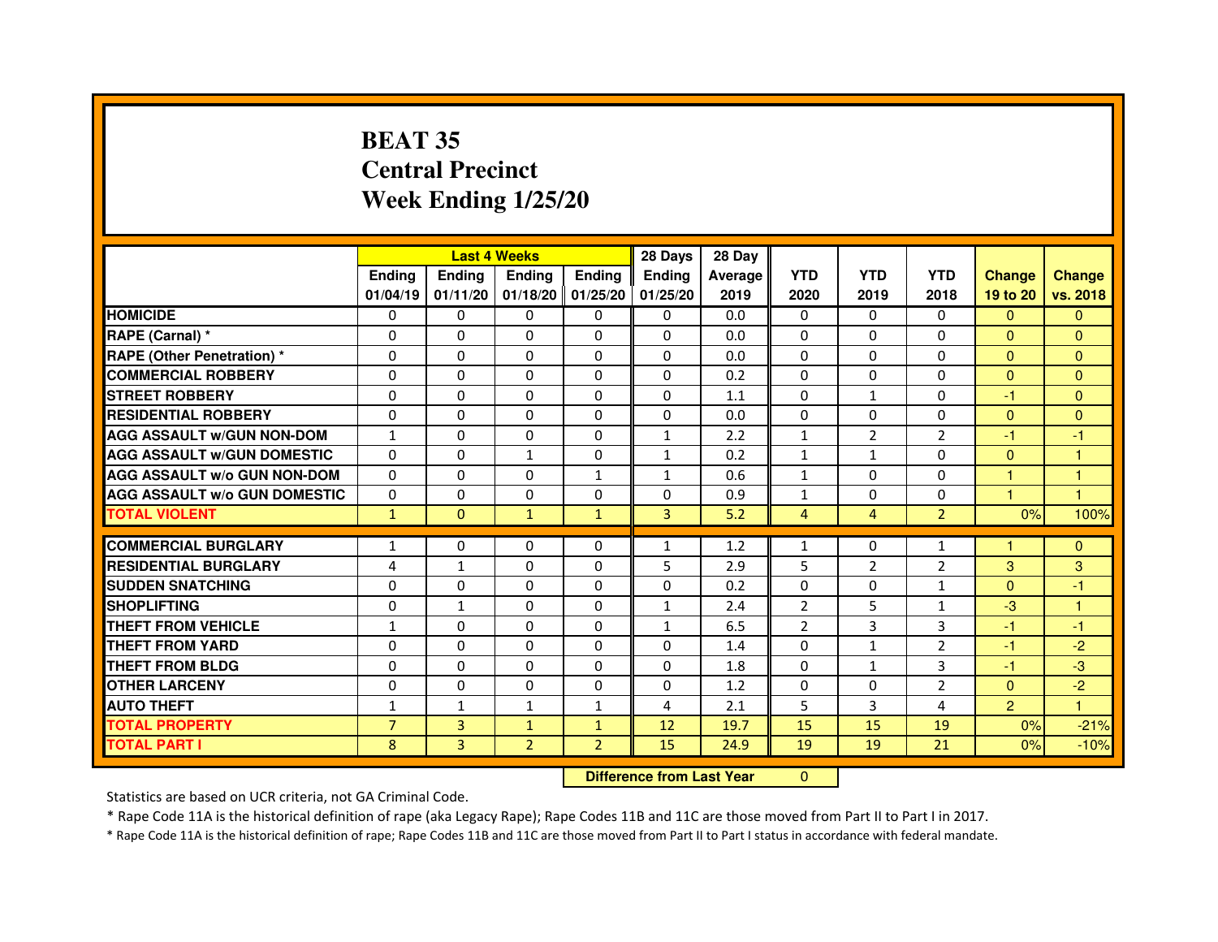# **BEAT 35 Central PrecinctWeek Ending 1/25/20**

|                                     |                | <b>Last 4 Weeks</b> |                |                   | 28 Days                          | 28 Day  |                |                |                |                |               |
|-------------------------------------|----------------|---------------------|----------------|-------------------|----------------------------------|---------|----------------|----------------|----------------|----------------|---------------|
|                                     | <b>Ending</b>  | <b>Ending</b>       | <b>Ending</b>  | <b>Ending</b>     | <b>Ending</b>                    | Average | <b>YTD</b>     | <b>YTD</b>     | <b>YTD</b>     | <b>Change</b>  | <b>Change</b> |
|                                     | 01/04/19       | 01/11/20            |                | 01/18/20 01/25/20 | 01/25/20                         | 2019    | 2020           | 2019           | 2018           | 19 to 20       | vs. 2018      |
| <b>HOMICIDE</b>                     | 0              | 0                   | $\mathbf{0}$   | $\Omega$          | 0                                | 0.0     | $\Omega$       | $\Omega$       | 0              | $\mathbf{0}$   | $\mathbf{0}$  |
| RAPE (Carnal) *                     | 0              | $\mathbf{0}$        | 0              | 0                 | $\Omega$                         | 0.0     | 0              | $\Omega$       | $\Omega$       | $\Omega$       | $\Omega$      |
| <b>RAPE (Other Penetration) *</b>   | 0              | 0                   | 0              | $\mathbf{0}$      | $\Omega$                         | 0.0     | $\Omega$       | $\mathbf{0}$   | $\Omega$       | $\Omega$       | $\Omega$      |
| <b>COMMERCIAL ROBBERY</b>           | $\mathbf 0$    | 0                   | $\Omega$       | $\mathbf{0}$      | $\mathbf{0}$                     | 0.2     | $\mathbf{0}$   | $\mathbf{0}$   | $\Omega$       | $\Omega$       | $\mathbf{0}$  |
| <b>STREET ROBBERY</b>               | 0              | $\Omega$            | $\Omega$       | $\Omega$          | $\Omega$                         | 1.1     | $\Omega$       | $\mathbf{1}$   | $\Omega$       | $-1$           | $\Omega$      |
| <b>RESIDENTIAL ROBBERY</b>          | 0              | 0                   | $\Omega$       | 0                 | $\Omega$                         | 0.0     | $\Omega$       | 0              | $\Omega$       | $\Omega$       | $\mathbf{0}$  |
| <b>AGG ASSAULT W/GUN NON-DOM</b>    | $\mathbf{1}$   | $\Omega$            | 0              | $\Omega$          | $\mathbf{1}$                     | 2.2     | $\mathbf{1}$   | $\overline{2}$ | $\overline{2}$ | $-1$           | $-1$          |
| <b>AGG ASSAULT W/GUN DOMESTIC</b>   | $\Omega$       | $\Omega$            | $\mathbf{1}$   | $\mathbf{0}$      | $\mathbf{1}$                     | 0.2     | $\mathbf{1}$   | $\mathbf{1}$   | $\Omega$       | $\Omega$       | $\mathbf{1}$  |
| <b>AGG ASSAULT W/o GUN NON-DOM</b>  | $\Omega$       | $\Omega$            | $\Omega$       | $\mathbf{1}$      | $\mathbf{1}$                     | 0.6     | $\mathbf{1}$   | $\Omega$       | $\Omega$       | $\mathbf{1}$   | $\mathbf{1}$  |
| <b>AGG ASSAULT W/o GUN DOMESTIC</b> | $\Omega$       | 0                   | 0              | $\Omega$          | $\Omega$                         | 0.9     | $\mathbf{1}$   | 0              | $\Omega$       | 1              | 1             |
| <b>TOTAL VIOLENT</b>                | $\mathbf{1}$   | $\mathbf{0}$        | $\mathbf{1}$   | $\mathbf{1}$      | 3                                | 5.2     | 4              | $\overline{4}$ | $\overline{2}$ | 0%             | 100%          |
| <b>COMMERCIAL BURGLARY</b>          | $\mathbf{1}$   | 0                   | 0              | 0                 | $\mathbf{1}$                     | 1.2     | 1              | 0              | 1              | 1              | $\mathbf{0}$  |
| <b>RESIDENTIAL BURGLARY</b>         | 4              | $\mathbf{1}$        | $\Omega$       | $\Omega$          | 5                                | 2.9     | 5              | $\overline{2}$ | $\overline{2}$ | 3              | 3             |
| <b>SUDDEN SNATCHING</b>             | 0              | $\Omega$            | $\Omega$       | $\Omega$          | $\Omega$                         | 0.2     | $\Omega$       | $\Omega$       | $\mathbf{1}$   | $\Omega$       | $-1$          |
| <b>SHOPLIFTING</b>                  | 0              | $\mathbf{1}$        | 0              | $\mathbf{0}$      | $\mathbf{1}$                     | 2.4     | 2              | 5              | $\mathbf{1}$   | $-3$           | $\mathbf{1}$  |
| THEFT FROM VEHICLE                  | $\mathbf{1}$   | 0                   | 0              | $\Omega$          | $\mathbf{1}$                     | 6.5     | $\overline{2}$ | 3              | 3              | $-1$           | $-1$          |
| <b>THEFT FROM YARD</b>              | $\Omega$       | 0                   | $\Omega$       | $\Omega$          | $\Omega$                         | 1.4     | $\Omega$       | $\mathbf{1}$   | $\overline{2}$ | $-1$           | $-2$          |
| <b>THEFT FROM BLDG</b>              | 0              | $\Omega$            | 0              | $\Omega$          | 0                                | 1.8     | $\Omega$       | $\mathbf{1}$   | 3              | $-1$           | $-3$          |
| <b>OTHER LARCENY</b>                | 0              | $\Omega$            | $\Omega$       | $\Omega$          | $\Omega$                         | 1.2     | $\Omega$       | $\mathbf{0}$   | $\overline{2}$ | $\mathbf{0}$   | $-2$          |
| <b>AUTO THEFT</b>                   | 1              | 1                   | $\mathbf{1}$   | $\mathbf{1}$      | 4                                | 2.1     | 5              | $\overline{3}$ | 4              | $\overline{2}$ | $\mathbf{1}$  |
| <b>TOTAL PROPERTY</b>               | $\overline{7}$ | 3                   | $\mathbf{1}$   | $\mathbf{1}$      | 12                               | 19.7    | 15             | 15             | 19             | 0%             | $-21%$        |
| <b>TOTAL PART I</b>                 | 8              | 3                   | $\overline{2}$ | $\overline{2}$    | 15                               | 24.9    | 19             | 19             | 21             | 0%             | $-10%$        |
|                                     |                |                     |                |                   | <b>Difference from Last Year</b> |         | $\Omega$       |                |                |                |               |

 **Difference from Last Year**

Statistics are based on UCR criteria, not GA Criminal Code.

\* Rape Code 11A is the historical definition of rape (aka Legacy Rape); Rape Codes 11B and 11C are those moved from Part II to Part I in 2017.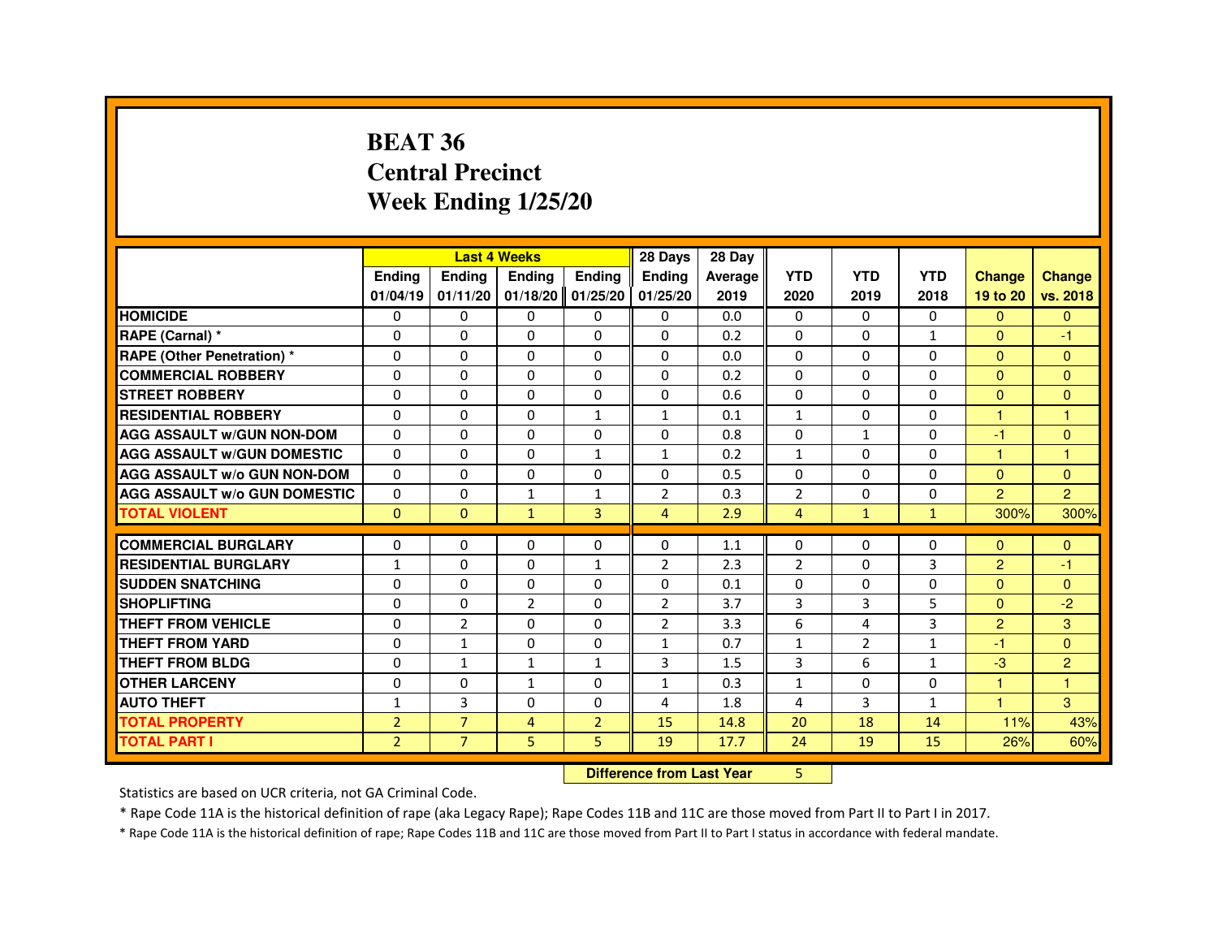#### **BEAT 36 Central PrecinctWeek Ending 1/25/20**

|                                     |                | <b>Last 4 Weeks</b> |                     |                | 28 Days                          | 28 Day  |                |                |              |                |                |
|-------------------------------------|----------------|---------------------|---------------------|----------------|----------------------------------|---------|----------------|----------------|--------------|----------------|----------------|
|                                     | Ending         | Ending              | Ending              | Ending         | Ending                           | Average | <b>YTD</b>     | <b>YTD</b>     | <b>YTD</b>   | <b>Change</b>  | <b>Change</b>  |
|                                     | 01/04/19       | 01/11/20            | $01/18/20$ 01/25/20 |                | 01/25/20                         | 2019    | 2020           | 2019           | 2018         | 19 to 20       | vs. 2018       |
| <b>HOMICIDE</b>                     | 0              | $\Omega$            | 0                   | $\mathbf{0}$   | 0                                | 0.0     | 0              | $\Omega$       | $\mathbf{0}$ | $\mathbf{0}$   | $\mathbf{0}$   |
| RAPE (Carnal) *                     | 0              | $\Omega$            | $\Omega$            | $\Omega$       | $\Omega$                         | 0.2     | $\Omega$       | $\Omega$       | $\mathbf{1}$ | $\Omega$       | -1             |
| <b>RAPE (Other Penetration) *</b>   | $\Omega$       | 0                   | $\Omega$            | $\Omega$       | $\Omega$                         | 0.0     | $\Omega$       | $\Omega$       | $\Omega$     | $\Omega$       | $\Omega$       |
| <b>COMMERCIAL ROBBERY</b>           | $\Omega$       | $\Omega$            | $\Omega$            | $\Omega$       | $\Omega$                         | 0.2     | $\Omega$       | $\Omega$       | $\Omega$     | $\Omega$       | $\Omega$       |
| <b>STREET ROBBERY</b>               | $\Omega$       | $\Omega$            | $\Omega$            | $\Omega$       | $\Omega$                         | 0.6     | $\Omega$       | $\Omega$       | $\Omega$     | $\Omega$       | $\Omega$       |
| <b>RESIDENTIAL ROBBERY</b>          | $\Omega$       | $\mathbf 0$         | 0                   | $\mathbf{1}$   | $\mathbf{1}$                     | 0.1     | 1              | 0              | $\Omega$     | 1              | $\overline{1}$ |
| <b>AGG ASSAULT w/GUN NON-DOM</b>    | $\Omega$       | 0                   | $\Omega$            | $\Omega$       | 0                                | 0.8     | 0              | $\mathbf{1}$   | 0            | -1             | $\Omega$       |
| <b>AGG ASSAULT W/GUN DOMESTIC</b>   | $\Omega$       | $\Omega$            | $\Omega$            | $\mathbf{1}$   | $\mathbf{1}$                     | 0.2     | $\mathbf{1}$   | $\Omega$       | $\Omega$     | $\overline{1}$ | $\mathbf{1}$   |
| <b>AGG ASSAULT w/o GUN NON-DOM</b>  | $\Omega$       | 0                   | 0                   | 0              | 0                                | 0.5     | $\Omega$       | 0              | 0            | $\Omega$       | $\mathbf{0}$   |
| <b>AGG ASSAULT W/o GUN DOMESTIC</b> | $\Omega$       | $\mathbf 0$         | 1                   | $\mathbf{1}$   | $\overline{2}$                   | 0.3     | $\overline{2}$ | $\Omega$       | $\Omega$     | $\mathcal{P}$  | $\overline{2}$ |
| <b>TOTAL VIOLENT</b>                | $\mathbf{0}$   | $\mathbf{0}$        | $\mathbf{1}$        | 3              | $\overline{4}$                   | 2.9     | $\overline{4}$ | $\mathbf{1}$   | $\mathbf{1}$ | 300%           | 300%           |
| <b>COMMERCIAL BURGLARY</b>          | $\Omega$       | 0                   | 0                   | 0              | 0                                | 1.1     | 0              | 0              | 0            | $\Omega$       | $\Omega$       |
| <b>RESIDENTIAL BURGLARY</b>         | $\mathbf{1}$   | $\mathbf 0$         | 0                   | $\mathbf{1}$   | $\overline{2}$                   | 2.3     | $\overline{2}$ | $\mathbf{0}$   | 3            | 2              | -1             |
| <b>SUDDEN SNATCHING</b>             | $\Omega$       | $\Omega$            | $\Omega$            | $\Omega$       | $\Omega$                         | 0.1     | $\Omega$       | $\Omega$       | $\Omega$     | $\Omega$       | $\Omega$       |
| <b>SHOPLIFTING</b>                  | 0              | 0                   | 2                   | 0              | 2                                | 3.7     | 3              | 3              | 5            | $\mathbf{0}$   | $-2$           |
| THEFT FROM VEHICLE                  | 0              | $\overline{2}$      | $\Omega$            | 0              | $\overline{2}$                   | 3.3     | 6              | 4              | 3            | 2              | 3              |
| <b>THEFT FROM YARD</b>              | $\Omega$       | $\mathbf{1}$        | $\Omega$            | $\Omega$       | $\mathbf{1}$                     | 0.7     | $\mathbf{1}$   | $\overline{2}$ | $\mathbf{1}$ | -1             | $\Omega$       |
| <b>THEFT FROM BLDG</b>              | $\Omega$       | $\mathbf{1}$        | $\mathbf{1}$        | $\mathbf{1}$   | 3                                | 1.5     | 3              | 6              | $\mathbf{1}$ | $-3$           | 2              |
| <b>OTHER LARCENY</b>                | $\Omega$       | $\Omega$            | $\mathbf{1}$        | 0              | $\mathbf{1}$                     | 0.3     | $\mathbf{1}$   | $\Omega$       | 0            |                | н              |
| <b>AUTO THEFT</b>                   | $\mathbf{1}$   | $\mathbf{3}$        | 0                   | 0              | 4                                | 1.8     | 4              | 3              | $\mathbf{1}$ |                | $\overline{3}$ |
| <b>TOTAL PROPERTY</b>               | $\overline{2}$ | $\overline{7}$      | 4                   | $\overline{2}$ | 15                               | 14.8    | 20             | 18             | 14           | 11%            | 43%            |
| <b>TOTAL PART I</b>                 | $\overline{2}$ | $\overline{7}$      | 5                   | 5              | 19                               | 17.7    | 24             | 19             | 15           | 26%            | 60%            |
|                                     |                |                     |                     |                | <b>Difference from Last Year</b> |         | 5              |                |              |                |                |

 **Difference from Last Year**

Statistics are based on UCR criteria, not GA Criminal Code.

\* Rape Code 11A is the historical definition of rape (aka Legacy Rape); Rape Codes 11B and 11C are those moved from Part II to Part I in 2017.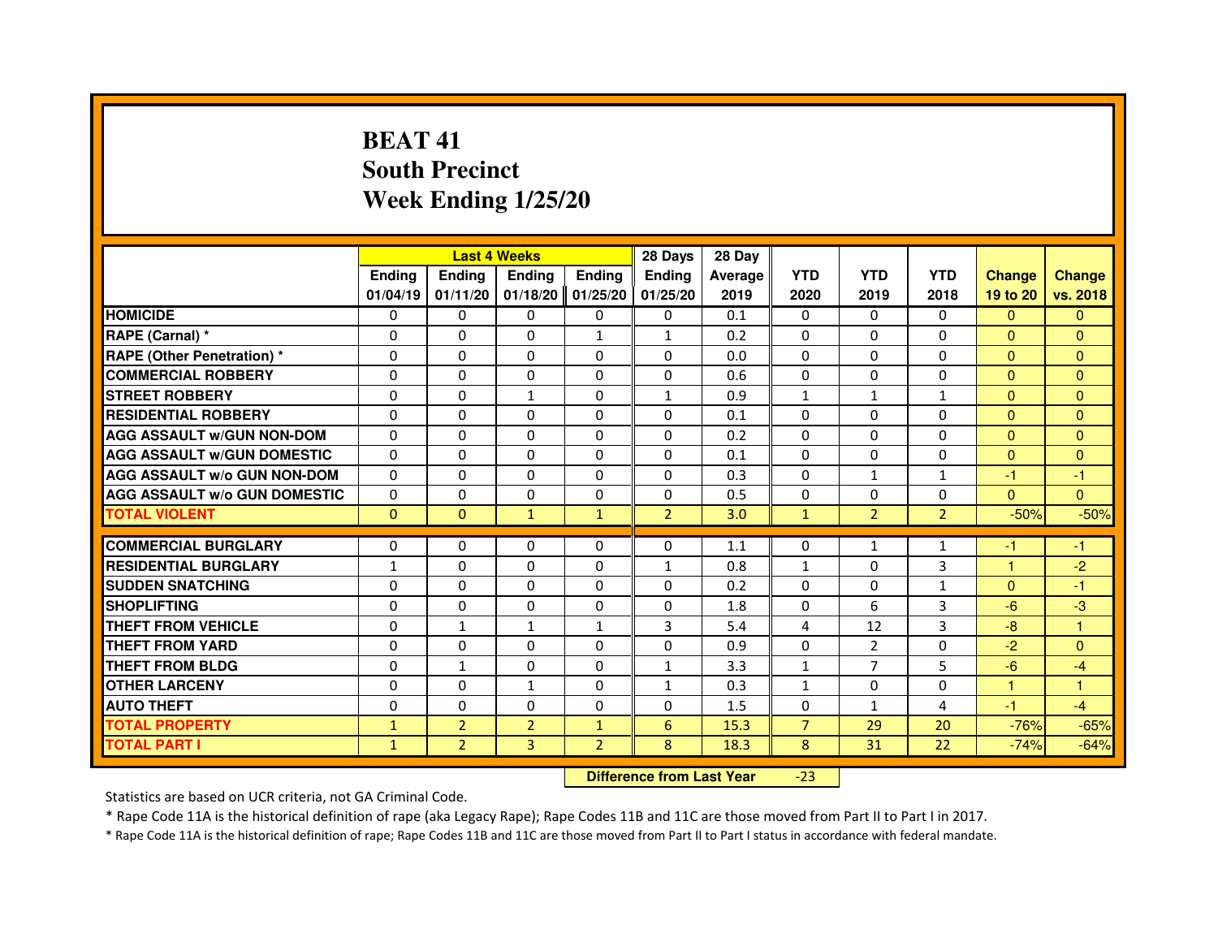# **BEAT 41 South PrecinctWeek Ending 1/25/20**

|                                     |               |                | <b>Last 4 Weeks</b> |                | 28 Days        | 28 Day  |                |                |                |               |               |
|-------------------------------------|---------------|----------------|---------------------|----------------|----------------|---------|----------------|----------------|----------------|---------------|---------------|
|                                     | <b>Ending</b> | Ending         | <b>Ending</b>       | Ending         | <b>Endina</b>  | Average | <b>YTD</b>     | <b>YTD</b>     | <b>YTD</b>     | <b>Change</b> | <b>Change</b> |
|                                     | 01/04/19      | 01/11/20       | 01/18/20            | 01/25/20       | 01/25/20       | 2019    | 2020           | 2019           | 2018           | 19 to 20      | vs. 2018      |
| <b>HOMICIDE</b>                     | 0             | $\mathbf{0}$   | 0                   | $\mathbf{0}$   | $\mathbf{0}$   | 0.1     | 0              | 0              | $\Omega$       | $\Omega$      | $\mathbf{0}$  |
| RAPE (Carnal) *                     | $\Omega$      | $\Omega$       | $\Omega$            | $\mathbf{1}$   | $\mathbf{1}$   | 0.2     | $\Omega$       | $\Omega$       | $\Omega$       | $\Omega$      | $\Omega$      |
| <b>RAPE (Other Penetration) *</b>   | 0             | $\mathbf{0}$   | 0                   | $\mathbf{0}$   | $\mathbf{0}$   | 0.0     | 0              | 0              | $\Omega$       | $\mathbf{0}$  | $\Omega$      |
| <b>COMMERCIAL ROBBERY</b>           | $\Omega$      | $\Omega$       | $\Omega$            | $\Omega$       | $\Omega$       | 0.6     | $\Omega$       | $\Omega$       | $\Omega$       | $\Omega$      | $\mathbf{0}$  |
| <b>STREET ROBBERY</b>               | $\Omega$      | $\Omega$       | 1                   | $\Omega$       | 1              | 0.9     | $\mathbf{1}$   | $\mathbf{1}$   | $\mathbf{1}$   | $\Omega$      | $\Omega$      |
| <b>RESIDENTIAL ROBBERY</b>          | $\Omega$      | $\Omega$       | $\Omega$            | $\Omega$       | $\Omega$       | 0.1     | $\Omega$       | $\Omega$       | $\Omega$       | $\Omega$      | $\Omega$      |
| <b>AGG ASSAULT W/GUN NON-DOM</b>    | $\Omega$      | $\Omega$       | $\Omega$            | $\Omega$       | $\Omega$       | 0.2     | $\Omega$       | $\Omega$       | $\Omega$       | $\Omega$      | $\Omega$      |
| <b>AGG ASSAULT W/GUN DOMESTIC</b>   | $\Omega$      | $\Omega$       | $\Omega$            | $\Omega$       | $\Omega$       | 0.1     | $\Omega$       | 0              | $\Omega$       | $\Omega$      | $\mathbf{0}$  |
| <b>AGG ASSAULT W/o GUN NON-DOM</b>  | $\Omega$      | $\Omega$       | $\Omega$            | $\Omega$       | 0              | 0.3     | $\Omega$       | $\mathbf{1}$   | $\mathbf{1}$   | $-1$          | -1            |
| <b>AGG ASSAULT W/o GUN DOMESTIC</b> | $\Omega$      | $\Omega$       | $\Omega$            | $\Omega$       | $\Omega$       | 0.5     | $\Omega$       | 0              | $\mathbf 0$    | $\Omega$      | $\Omega$      |
| <b>TOTAL VIOLENT</b>                | $\Omega$      | $\Omega$       | $\mathbf{1}$        | $\mathbf{1}$   | $\overline{2}$ | 3.0     | $\mathbf{1}$   | $\overline{2}$ | $\overline{2}$ | $-50%$        | $-50%$        |
|                                     |               |                |                     |                |                |         |                |                |                |               |               |
| <b>COMMERCIAL BURGLARY</b>          | 0             | 0              | 0                   | $\mathbf{0}$   | $\Omega$       | 1.1     | $\Omega$       | 1              | 1              | -1            | -1            |
| <b>RESIDENTIAL BURGLARY</b>         | $\mathbf{1}$  | $\Omega$       | $\Omega$            | $\Omega$       | $\mathbf{1}$   | 0.8     | $\mathbf{1}$   | 0              | 3              | 1             | $-2$          |
| <b>SUDDEN SNATCHING</b>             | 0             | 0              | 0                   | $\Omega$       | $\Omega$       | 0.2     | 0              | 0              | $\mathbf{1}$   | $\mathbf{0}$  | $-1$          |
| <b>SHOPLIFTING</b>                  | $\Omega$      | $\Omega$       | $\Omega$            | $\Omega$       | $\Omega$       | 1.8     | $\Omega$       | 6              | 3              | $-6$          | $-3$          |
| THEFT FROM VEHICLE                  | $\Omega$      | $\mathbf{1}$   | $\mathbf{1}$        | $\mathbf{1}$   | 3              | 5.4     | 4              | 12             | 3              | $-8$          | 1             |
| THEFT FROM YARD                     | $\Omega$      | $\Omega$       | $\Omega$            | 0              | $\Omega$       | 0.9     | $\Omega$       | $\overline{2}$ | $\Omega$       | $-2$          | $\mathbf{0}$  |
| THEFT FROM BLDG                     | $\Omega$      | $\mathbf{1}$   | $\Omega$            | $\Omega$       | 1              | 3.3     | $\mathbf{1}$   | 7              | 5              | $-6$          | $-4$          |
| <b>OTHER LARCENY</b>                | $\Omega$      | $\Omega$       | $\mathbf{1}$        | $\Omega$       | $\mathbf{1}$   | 0.3     | $\mathbf{1}$   | $\Omega$       | $\Omega$       | $\mathbf{1}$  | 1             |
| <b>AUTO THEFT</b>                   | $\Omega$      | $\Omega$       | $\Omega$            | $\Omega$       | $\Omega$       | 1.5     | $\Omega$       | $\mathbf{1}$   | $\overline{4}$ | $-1$          | $-4$          |
| <b>TOTAL PROPERTY</b>               | $\mathbf{1}$  | $\overline{2}$ | $\overline{2}$      | $\mathbf{1}$   | 6              | 15.3    | $\overline{7}$ | 29             | 20             | $-76%$        | $-65%$        |
| <b>TOTAL PART I</b>                 | $\mathbf{1}$  | $\overline{2}$ | 3                   | $\overline{2}$ | 8              | 18.3    | 8              | 31             | 22             | $-74%$        | $-64%$        |

 **Difference from Last Year**-23

Statistics are based on UCR criteria, not GA Criminal Code.

\* Rape Code 11A is the historical definition of rape (aka Legacy Rape); Rape Codes 11B and 11C are those moved from Part II to Part I in 2017.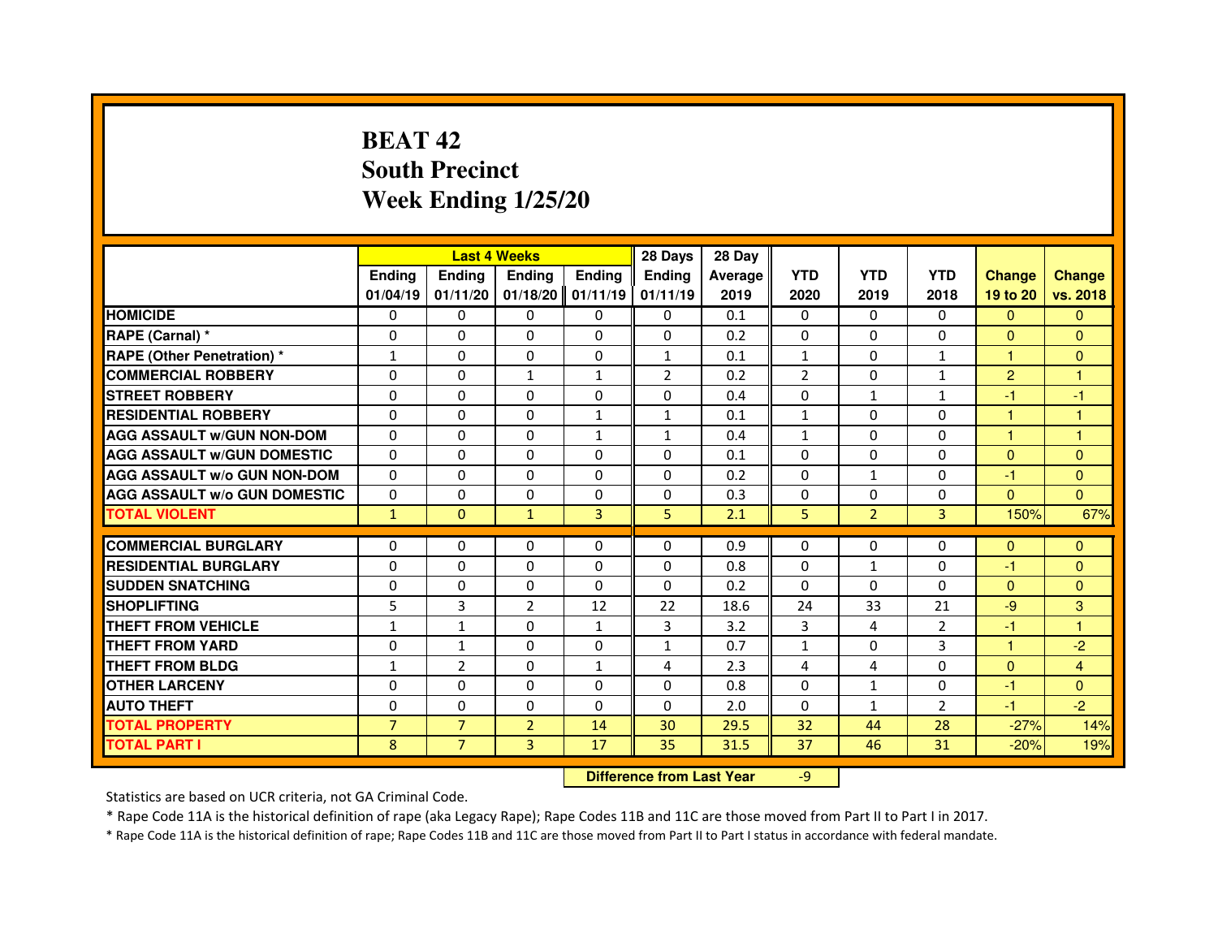# **BEAT 42 South PrecinctWeek Ending 1/25/20**

|                                     |                |                                  | <b>Last 4 Weeks</b> |               | 28 Days        | 28 Day  |                |                |                |                |                |
|-------------------------------------|----------------|----------------------------------|---------------------|---------------|----------------|---------|----------------|----------------|----------------|----------------|----------------|
|                                     | <b>Ending</b>  | <b>Ending</b>                    | <b>Ending</b>       | <b>Ending</b> | <b>Ending</b>  | Average | <b>YTD</b>     | <b>YTD</b>     | <b>YTD</b>     | <b>Change</b>  | <b>Change</b>  |
|                                     | 01/04/19       | 01/11/20                         | 01/18/20            | 01/11/19      | 01/11/19       | 2019    | 2020           | 2019           | 2018           | 19 to 20       | vs. 2018       |
| <b>HOMICIDE</b>                     | 0              | $\Omega$                         | $\Omega$            | $\Omega$      | 0              | 0.1     | $\Omega$       | 0              | $\Omega$       | $\mathbf{0}$   | $\mathbf{0}$   |
| RAPE (Carnal) *                     | 0              | 0                                | 0                   | 0             | 0              | 0.2     | 0              | 0              | 0              | $\Omega$       | $\mathbf{0}$   |
| RAPE (Other Penetration) *          | 1              | 0                                | $\Omega$            | $\Omega$      | $\mathbf{1}$   | 0.1     | $\mathbf{1}$   | $\Omega$       | 1              | 1              | $\mathbf{0}$   |
| <b>COMMERCIAL ROBBERY</b>           | $\Omega$       | $\Omega$                         | $\mathbf{1}$        | $\mathbf{1}$  | $\overline{2}$ | 0.2     | $\overline{2}$ | $\Omega$       | $\mathbf{1}$   | $\overline{2}$ | $\mathbf{1}$   |
| <b>STREET ROBBERY</b>               | $\Omega$       | $\Omega$                         | $\Omega$            | $\Omega$      | $\Omega$       | 0.4     | $\Omega$       | $\mathbf{1}$   | $\mathbf{1}$   | $-1$           | $-1$           |
| <b>RESIDENTIAL ROBBERY</b>          | 0              | 0                                | 0                   | 1             | $\mathbf{1}$   | 0.1     | $\mathbf{1}$   | 0              | $\Omega$       | 1              | 1              |
| <b>AGG ASSAULT W/GUN NON-DOM</b>    | $\Omega$       | $\Omega$                         | $\Omega$            | $\mathbf{1}$  | $\mathbf{1}$   | 0.4     | $\mathbf{1}$   | $\Omega$       | $\Omega$       | $\mathbf{1}$   | $\mathbf{1}$   |
| <b>AGG ASSAULT W/GUN DOMESTIC</b>   | $\Omega$       | $\Omega$                         | $\Omega$            | $\Omega$      | $\Omega$       | 0.1     | $\Omega$       | $\Omega$       | $\Omega$       | $\Omega$       | $\Omega$       |
| <b>AGG ASSAULT W/o GUN NON-DOM</b>  | $\Omega$       | $\Omega$                         | $\Omega$            | $\Omega$      | $\Omega$       | 0.2     | $\Omega$       | $\mathbf{1}$   | $\Omega$       | $-1$           | $\Omega$       |
| <b>AGG ASSAULT W/o GUN DOMESTIC</b> | $\Omega$       | $\Omega$                         | 0                   | $\Omega$      | $\Omega$       | 0.3     | $\Omega$       | $\Omega$       | 0              | $\Omega$       | $\Omega$       |
| <b>TOTAL VIOLENT</b>                | $\mathbf{1}$   | $\mathbf{0}$                     | $\mathbf{1}$        | 3             | 5              | 2.1     | 5              | $\overline{2}$ | 3              | 150%           | 67%            |
| <b>COMMERCIAL BURGLARY</b>          | 0              | 0                                | 0                   | 0             | 0              | 0.9     | 0              | 0              | 0              | $\Omega$       | $\mathbf{0}$   |
| <b>RESIDENTIAL BURGLARY</b>         | 0              | $\Omega$                         | $\Omega$            | $\Omega$      | $\Omega$       | 0.8     | $\Omega$       | $\mathbf{1}$   | $\Omega$       | $-1$           | $\mathbf{0}$   |
| <b>SUDDEN SNATCHING</b>             | $\Omega$       | $\Omega$                         | $\Omega$            | $\Omega$      | $\Omega$       | 0.2     | $\Omega$       | $\Omega$       | $\Omega$       | $\Omega$       | $\Omega$       |
| <b>SHOPLIFTING</b>                  | 5              | 3                                | $\overline{2}$      | 12            | 22             | 18.6    | 24             | 33             | 21             | $-9$           | 3              |
| THEFT FROM VEHICLE                  | 1              | 1                                | $\Omega$            | $\mathbf{1}$  | 3              | 3.2     | 3              | 4              | $\overline{2}$ | $-1$           | 1              |
| <b>THEFT FROM YARD</b>              | $\Omega$       | $\mathbf{1}$                     | $\Omega$            | $\Omega$      | $\mathbf{1}$   | 0.7     | $\mathbf{1}$   | $\Omega$       | 3              | $\mathbf{1}$   | $-2$           |
| <b>THEFT FROM BLDG</b>              | $\mathbf{1}$   | $\overline{2}$                   | $\Omega$            | $\mathbf{1}$  | 4              | 2.3     | 4              | 4              | $\Omega$       | $\Omega$       | $\overline{4}$ |
| <b>OTHER LARCENY</b>                | 0              | $\Omega$                         | 0                   | 0             | 0              | 0.8     | $\Omega$       | $\mathbf{1}$   | 0              | $-1$           | $\Omega$       |
| <b>AUTO THEFT</b>                   | $\Omega$       | $\Omega$                         | $\Omega$            | $\Omega$      | $\Omega$       | 2.0     | $\Omega$       | $\mathbf{1}$   | $\overline{2}$ | $-1$           | $-2$           |
| <b>TOTAL PROPERTY</b>               | $\overline{7}$ | $\overline{7}$                   | $\overline{2}$      | 14            | 30             | 29.5    | 32             | 44             | 28             | $-27%$         | 14%            |
| <b>TOTAL PART I</b>                 | 8              | $\overline{7}$                   | 3                   | 17            | 35             | 31.5    | 37             | 46             | 31             | $-20%$         | 19%            |
|                                     |                | <b>Difference from Last Year</b> |                     | $-9$          |                |         |                |                |                |                |                |

 **Difference from Last Year**

Statistics are based on UCR criteria, not GA Criminal Code.

\* Rape Code 11A is the historical definition of rape (aka Legacy Rape); Rape Codes 11B and 11C are those moved from Part II to Part I in 2017.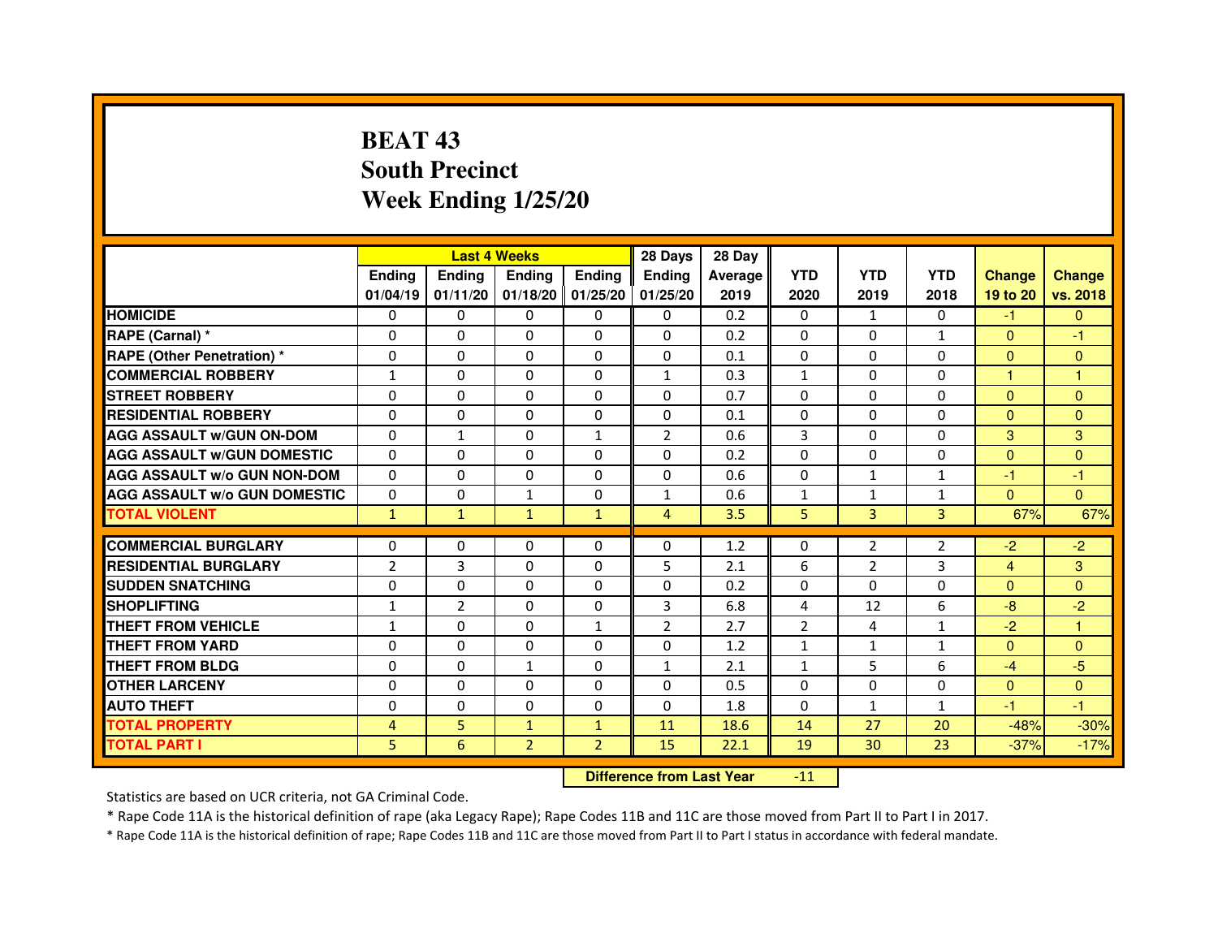# **BEAT 43 South PrecinctWeek Ending 1/25/20**

|                                     |                | <b>Last 4 Weeks</b> |                |                     | 28 Days        | 28 Day  |                |                |                |                |               |
|-------------------------------------|----------------|---------------------|----------------|---------------------|----------------|---------|----------------|----------------|----------------|----------------|---------------|
|                                     | <b>Ending</b>  | <b>Endina</b>       | <b>Ending</b>  | <b>Ending</b>       | <b>Ending</b>  | Average | <b>YTD</b>     | <b>YTD</b>     | <b>YTD</b>     | <b>Change</b>  | <b>Change</b> |
|                                     | 01/04/19       | 01/11/20            |                | $01/18/20$ 01/25/20 | 01/25/20       | 2019    | 2020           | 2019           | 2018           | 19 to 20       | vs. 2018      |
| <b>HOMICIDE</b>                     | 0              | 0                   | $\mathbf{0}$   | $\Omega$            | 0              | 0.2     | $\Omega$       | $\mathbf{1}$   | $\Omega$       | $-1$           | $\mathbf{0}$  |
| RAPE (Carnal) *                     | $\Omega$       | $\Omega$            | $\Omega$       | $\Omega$            | $\Omega$       | 0.2     | $\Omega$       | $\Omega$       | $\mathbf{1}$   | $\Omega$       | $-1$          |
| <b>RAPE (Other Penetration)*</b>    | 0              | 0                   | 0              | $\mathbf{0}$        | 0              | 0.1     | $\Omega$       | 0              | $\Omega$       | $\Omega$       | $\Omega$      |
| <b>COMMERCIAL ROBBERY</b>           | 1              | $\Omega$            | 0              | $\Omega$            | $\mathbf{1}$   | 0.3     | 1              | $\Omega$       | $\Omega$       | -1             | -1            |
| <b>STREET ROBBERY</b>               | $\Omega$       | $\Omega$            | 0              | $\Omega$            | 0              | 0.7     | $\Omega$       | $\Omega$       | $\Omega$       | $\Omega$       | $\mathbf{0}$  |
| <b>RESIDENTIAL ROBBERY</b>          | 0              | 0                   | $\Omega$       | $\Omega$            | $\Omega$       | 0.1     | $\Omega$       | 0              | $\Omega$       | $\Omega$       | $\mathbf{0}$  |
| <b>AGG ASSAULT w/GUN ON-DOM</b>     | $\Omega$       | $\mathbf{1}$        | $\Omega$       | $\mathbf{1}$        | $\overline{2}$ | 0.6     | $\overline{3}$ | $\Omega$       | $\Omega$       | 3              | 3             |
| <b>AGG ASSAULT W/GUN DOMESTIC</b>   | $\Omega$       | $\Omega$            | $\Omega$       | $\Omega$            | $\Omega$       | 0.2     | $\Omega$       | $\Omega$       | $\Omega$       | $\Omega$       | $\Omega$      |
| <b>AGG ASSAULT W/o GUN NON-DOM</b>  | $\Omega$       | 0                   | $\Omega$       | $\Omega$            | $\Omega$       | 0.6     | $\Omega$       | $\mathbf{1}$   | $\mathbf{1}$   | $-1$           | $-1$          |
| <b>AGG ASSAULT W/o GUN DOMESTIC</b> | $\Omega$       | 0                   | $\mathbf{1}$   | 0                   | 1              | 0.6     | 1              | $\mathbf{1}$   | 1              | $\Omega$       | $\Omega$      |
| <b>TOTAL VIOLENT</b>                | $\mathbf{1}$   | $\mathbf{1}$        | $\mathbf{1}$   | $\mathbf{1}$        | 4              | 3.5     | 5              | $\overline{3}$ | 3              | 67%            | 67%           |
|                                     |                |                     |                |                     |                |         |                |                |                |                |               |
| <b>COMMERCIAL BURGLARY</b>          | 0              | 0                   | 0              | 0                   | $\Omega$       | 1.2     | $\Omega$       | 2              | $\overline{2}$ | $-2$           | $-2$          |
| <b>RESIDENTIAL BURGLARY</b>         | $\overline{2}$ | 3                   | 0              | $\Omega$            | 5              | 2.1     | 6              | $\overline{2}$ | 3              | $\overline{4}$ | 3             |
| <b>SUDDEN SNATCHING</b>             | 0              | $\Omega$            | $\Omega$       | $\Omega$            | $\Omega$       | 0.2     | $\Omega$       | $\Omega$       | $\Omega$       | $\Omega$       | $\Omega$      |
| <b>SHOPLIFTING</b>                  | 1              | $\overline{2}$      | 0              | $\Omega$            | 3              | 6.8     | 4              | 12             | 6              | -8             | $-2$          |
| <b>THEFT FROM VEHICLE</b>           | $\mathbf{1}$   | $\Omega$            | $\Omega$       | $\mathbf{1}$        | $\overline{2}$ | 2.7     | $\overline{2}$ | 4              | $\mathbf{1}$   | $-2$           | $\mathbf{1}$  |
| <b>THEFT FROM YARD</b>              | 0              | $\Omega$            | $\Omega$       | $\Omega$            | $\Omega$       | 1.2     | $\mathbf{1}$   | $\mathbf{1}$   | $\mathbf{1}$   | $\Omega$       | $\mathbf{0}$  |
| <b>THEFT FROM BLDG</b>              | 0              | 0                   | $\mathbf{1}$   | 0                   | $\mathbf{1}$   | 2.1     | $\mathbf{1}$   | 5              | 6              | $-4$           | $-5$          |
| <b>OTHER LARCENY</b>                | 0              | 0                   | 0              | 0                   | $\Omega$       | 0.5     | $\Omega$       | 0              | $\Omega$       | $\Omega$       | $\mathbf{0}$  |
| <b>AUTO THEFT</b>                   | $\Omega$       | 0                   | $\Omega$       | $\Omega$            | $\Omega$       | 1.8     | $\Omega$       | $\mathbf{1}$   | $\mathbf{1}$   | $-1$           | $-1$          |
| <b>TOTAL PROPERTY</b>               | 4              | 5                   | $\mathbf{1}$   | $\mathbf{1}$        | 11             | 18.6    | 14             | 27             | 20             | $-48%$         | $-30%$        |
| <b>TOTAL PART I</b>                 | 5              | 6                   | $\overline{2}$ | $\overline{2}$      | 15             | 22.1    | 19             | 30             | 23             | $-37%$         | $-17%$        |

#### **Difference from Last Year**-11

Statistics are based on UCR criteria, not GA Criminal Code.

\* Rape Code 11A is the historical definition of rape (aka Legacy Rape); Rape Codes 11B and 11C are those moved from Part II to Part I in 2017.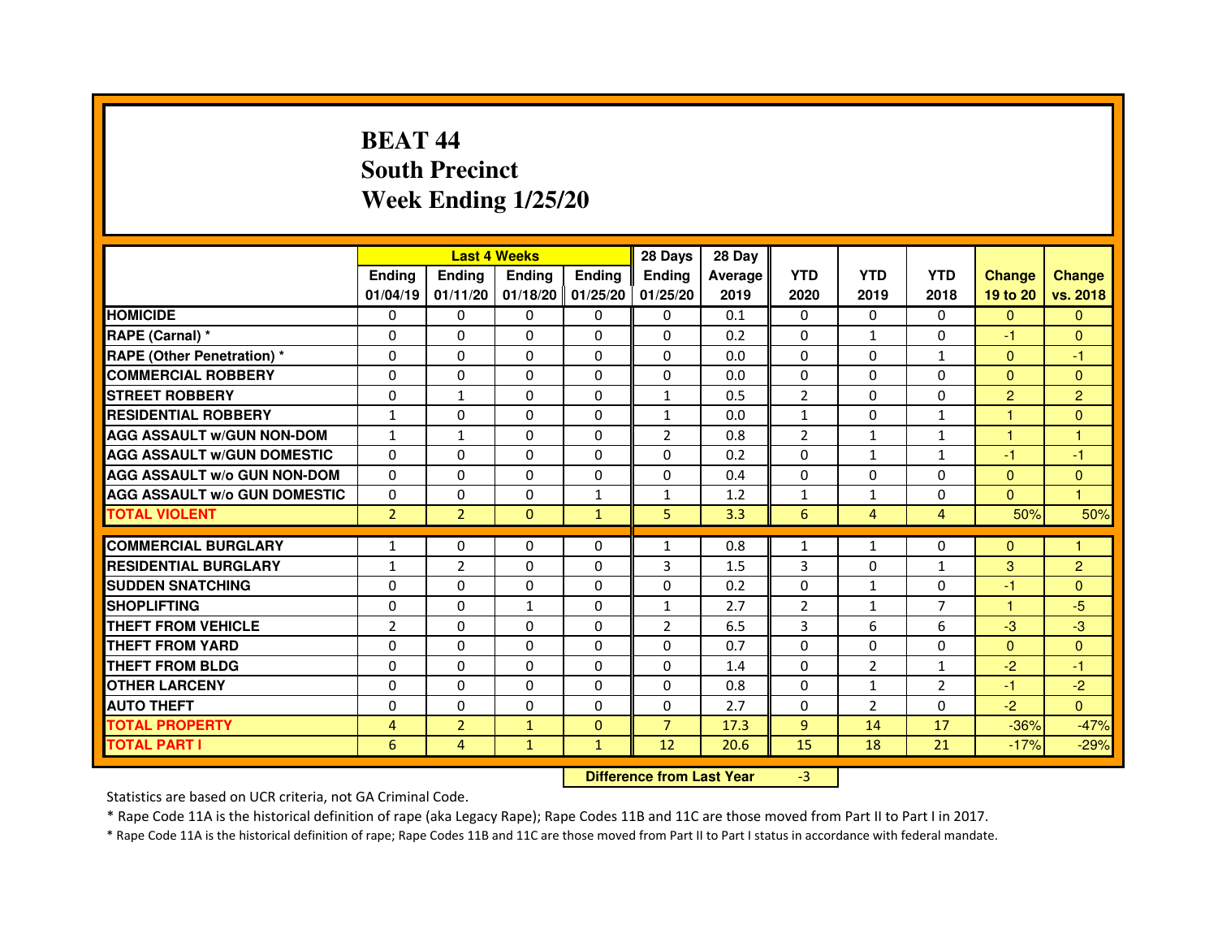# **BEAT 44 South PrecinctWeek Ending 1/25/20**

|                                     |                | <b>Last 4 Weeks</b> |               |                   | 28 Days                          | 28 Day  |                |                |                |                |                |
|-------------------------------------|----------------|---------------------|---------------|-------------------|----------------------------------|---------|----------------|----------------|----------------|----------------|----------------|
|                                     | <b>Ending</b>  | <b>Ending</b>       | <b>Ending</b> | <b>Ending</b>     | <b>Ending</b>                    | Average | <b>YTD</b>     | <b>YTD</b>     | <b>YTD</b>     | <b>Change</b>  | <b>Change</b>  |
|                                     | 01/04/19       | 01/11/20            |               | 01/18/20 01/25/20 | 01/25/20                         | 2019    | 2020           | 2019           | 2018           | 19 to 20       | vs. 2018       |
| <b>HOMICIDE</b>                     | 0              | 0                   | $\mathbf{0}$  | $\Omega$          | 0                                | 0.1     | $\Omega$       | $\Omega$       | 0              | $\mathbf{0}$   | $\mathbf{0}$   |
| RAPE (Carnal) *                     | 0              | $\mathbf{0}$        | 0             | 0                 | $\Omega$                         | 0.2     | 0              | $\mathbf{1}$   | $\Omega$       | $-1$           | $\mathbf{0}$   |
| <b>RAPE (Other Penetration) *</b>   | 0              | 0                   | 0             | $\mathbf{0}$      | $\Omega$                         | 0.0     | $\Omega$       | $\mathbf{0}$   | $\mathbf{1}$   | $\mathbf{0}$   | $-1$           |
| <b>COMMERCIAL ROBBERY</b>           | $\mathbf 0$    | 0                   | $\Omega$      | $\mathbf{0}$      | $\mathbf{0}$                     | 0.0     | $\mathbf{0}$   | $\mathbf{0}$   | $\Omega$       | $\Omega$       | $\mathbf{0}$   |
| <b>STREET ROBBERY</b>               | 0              | $\mathbf{1}$        | $\Omega$      | $\Omega$          | $\mathbf{1}$                     | 0.5     | $\overline{2}$ | $\Omega$       | $\Omega$       | $\overline{2}$ | $\overline{2}$ |
| <b>RESIDENTIAL ROBBERY</b>          | $\mathbf{1}$   | 0                   | 0             | 0                 | $\mathbf{1}$                     | 0.0     | $\mathbf{1}$   | 0              | $\mathbf{1}$   | 1              | $\mathbf{0}$   |
| <b>AGG ASSAULT W/GUN NON-DOM</b>    | $\mathbf{1}$   | $\mathbf{1}$        | 0             | $\Omega$          | $\overline{2}$                   | 0.8     | $\overline{2}$ | $\mathbf{1}$   | $\mathbf{1}$   | 1              | $\mathbf{1}$   |
| <b>AGG ASSAULT W/GUN DOMESTIC</b>   | $\Omega$       | $\Omega$            | $\Omega$      | $\Omega$          | $\Omega$                         | 0.2     | $\Omega$       | $\mathbf{1}$   | $\mathbf{1}$   | $-1$           | $-1$           |
| <b>AGG ASSAULT W/o GUN NON-DOM</b>  | $\Omega$       | $\Omega$            | $\Omega$      | $\Omega$          | $\Omega$                         | 0.4     | $\Omega$       | $\Omega$       | $\Omega$       | $\Omega$       | $\mathbf{0}$   |
| <b>AGG ASSAULT W/o GUN DOMESTIC</b> | $\Omega$       | 0                   | 0             | 1                 | $\mathbf{1}$                     | 1.2     | $\mathbf{1}$   | $\mathbf{1}$   | $\Omega$       | $\Omega$       | 1.             |
| <b>TOTAL VIOLENT</b>                | $\overline{2}$ | $\overline{2}$      | $\mathbf{0}$  | $\mathbf{1}$      | 5                                | 3.3     | 6              | $\overline{4}$ | $\overline{4}$ | 50%            | 50%            |
| <b>COMMERCIAL BURGLARY</b>          | $\mathbf{1}$   | 0                   | 0             | 0                 | $\mathbf{1}$                     | 0.8     | 1              | $\mathbf{1}$   | 0              | $\Omega$       | 1              |
| <b>RESIDENTIAL BURGLARY</b>         | $\mathbf{1}$   | $\overline{2}$      | $\Omega$      | $\mathbf{0}$      | 3                                | 1.5     | 3              | $\Omega$       | $\mathbf{1}$   | 3              | $\overline{c}$ |
| <b>SUDDEN SNATCHING</b>             | 0              | $\Omega$            | $\Omega$      | $\Omega$          | $\Omega$                         | 0.2     | $\Omega$       | $\mathbf{1}$   | $\Omega$       | $-1$           | $\Omega$       |
| <b>SHOPLIFTING</b>                  | 0              | $\mathbf{0}$        | $\mathbf{1}$  | $\mathbf{0}$      | $\mathbf{1}$                     | 2.7     | 2              | $\mathbf{1}$   | 7              | $\mathbf{1}$   | $-5$           |
| THEFT FROM VEHICLE                  | $\overline{2}$ | 0                   | 0             | $\Omega$          | $\overline{2}$                   | 6.5     | 3              | 6              | 6              | $-3$           | $-3$           |
| <b>THEFT FROM YARD</b>              | $\mathbf 0$    | 0                   | $\Omega$      | $\Omega$          | $\Omega$                         | 0.7     | $\Omega$       | $\Omega$       | $\Omega$       | $\Omega$       | $\overline{0}$ |
| <b>THEFT FROM BLDG</b>              | 0              | $\Omega$            | 0             | $\Omega$          | 0                                | 1.4     | $\Omega$       | $\overline{2}$ | $\mathbf{1}$   | $-2$           | $-1$           |
| <b>OTHER LARCENY</b>                | 0              | $\Omega$            | $\Omega$      | $\Omega$          | $\mathbf{0}$                     | 0.8     | $\Omega$       | $\mathbf{1}$   | $\overline{2}$ | $-1$           | $-2$           |
| <b>AUTO THEFT</b>                   | $\Omega$       | 0                   | $\Omega$      | $\Omega$          | $\Omega$                         | 2.7     | $\Omega$       | $\overline{2}$ | $\Omega$       | $-2$           | $\Omega$       |
| <b>TOTAL PROPERTY</b>               | 4              | $\overline{2}$      | $\mathbf{1}$  | $\mathbf{0}$      | $\overline{7}$                   | 17.3    | 9              | 14             | 17             | $-36%$         | $-47%$         |
| <b>TOTAL PART I</b>                 | 6              | 4                   | $\mathbf{1}$  | $\mathbf{1}$      | 12                               | 20.6    | 15             | 18             | 21             | $-17%$         | $-29%$         |
|                                     |                |                     |               |                   | <b>Difference from Last Year</b> |         | $-3$           |                |                |                |                |

 **Difference from Last Year**

Statistics are based on UCR criteria, not GA Criminal Code.

\* Rape Code 11A is the historical definition of rape (aka Legacy Rape); Rape Codes 11B and 11C are those moved from Part II to Part I in 2017.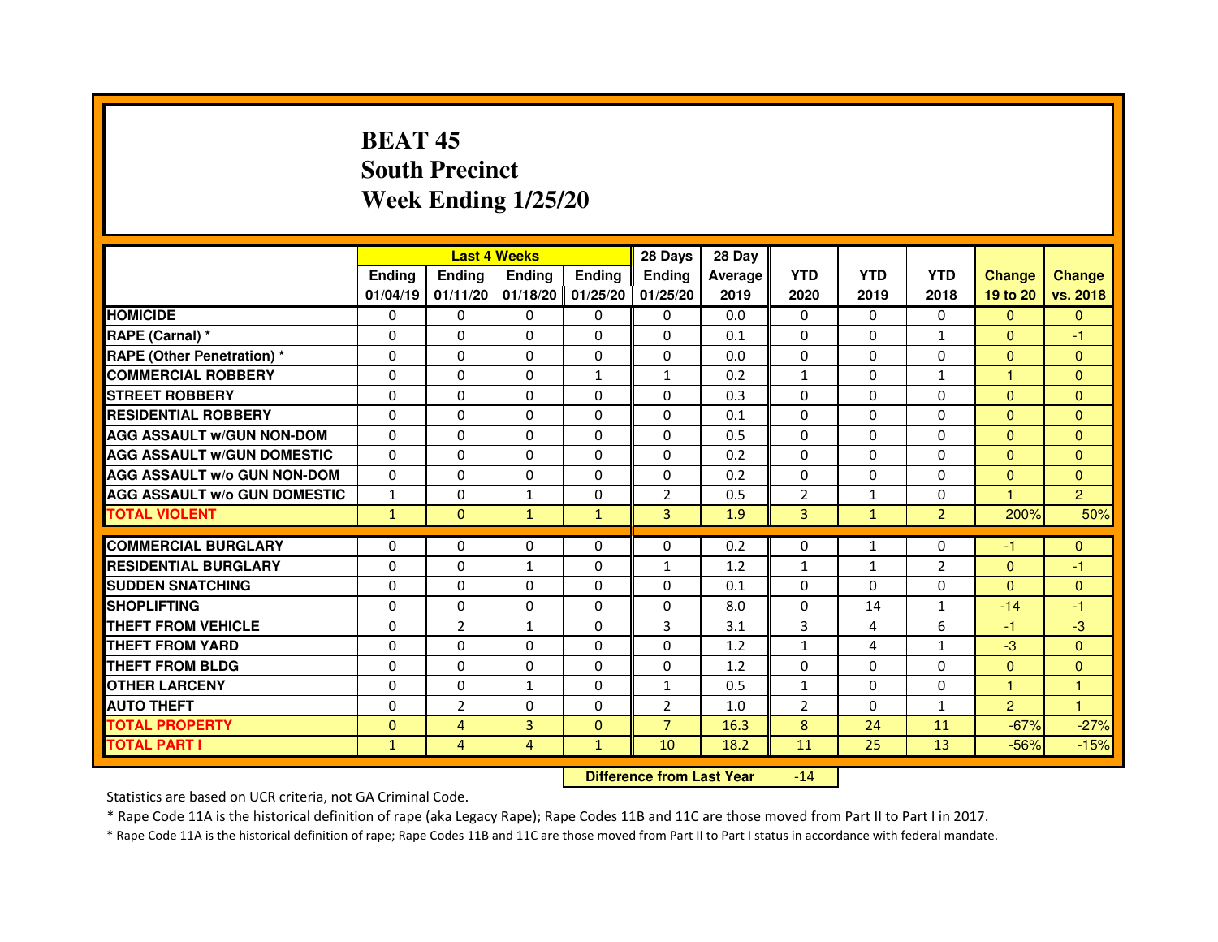# **BEAT 45 South PrecinctWeek Ending 1/25/20**

|                                     |               | <b>Last 4 Weeks</b> |               |                     | 28 Days        | 28 Day  |                |              |                |                |                |
|-------------------------------------|---------------|---------------------|---------------|---------------------|----------------|---------|----------------|--------------|----------------|----------------|----------------|
|                                     | <b>Endina</b> | <b>Endina</b>       | <b>Endina</b> | <b>Endina</b>       | <b>Endina</b>  | Average | <b>YTD</b>     | <b>YTD</b>   | <b>YTD</b>     | <b>Change</b>  | <b>Change</b>  |
|                                     | 01/04/19      | 01/11/20            |               | $01/18/20$ 01/25/20 | 01/25/20       | 2019    | 2020           | 2019         | 2018           | 19 to 20       | vs. 2018       |
| <b>HOMICIDE</b>                     | 0             | 0                   | 0             | 0                   | 0              | 0.0     | $\mathbf{0}$   | 0            | $\Omega$       | $\mathbf{0}$   | $\Omega$       |
| RAPE (Carnal) *                     | $\Omega$      | $\Omega$            | $\Omega$      | $\Omega$            | $\Omega$       | 0.1     | $\Omega$       | $\Omega$     | $\mathbf{1}$   | $\Omega$       | $-1$           |
| <b>RAPE (Other Penetration)*</b>    | 0             | $\Omega$            | $\Omega$      | $\Omega$            | $\Omega$       | 0.0     | $\Omega$       | $\Omega$     | $\Omega$       | $\mathbf{0}$   | $\Omega$       |
| <b>COMMERCIAL ROBBERY</b>           | 0             | 0                   | $\Omega$      | $\mathbf{1}$        | $\mathbf{1}$   | 0.2     | $\mathbf{1}$   | $\Omega$     | 1              | 1              | $\Omega$       |
| <b>STREET ROBBERY</b>               | 0             | $\Omega$            | 0             | $\Omega$            | 0              | 0.3     | $\Omega$       | $\Omega$     | $\Omega$       | $\Omega$       | $\Omega$       |
| <b>RESIDENTIAL ROBBERY</b>          | 0             | $\Omega$            | 0             | $\Omega$            | 0              | 0.1     | 0              | 0            | $\Omega$       | $\Omega$       | $\Omega$       |
| <b>AGG ASSAULT W/GUN NON-DOM</b>    | $\Omega$      | $\mathbf 0$         | $\Omega$      | $\Omega$            | $\Omega$       | 0.5     | $\Omega$       | $\Omega$     | $\Omega$       | $\Omega$       | $\mathbf{0}$   |
| <b>AGG ASSAULT W/GUN DOMESTIC</b>   | $\Omega$      | $\Omega$            | 0             | 0                   | $\Omega$       | 0.2     | $\Omega$       | $\Omega$     | $\Omega$       | $\Omega$       | $\Omega$       |
| <b>AGG ASSAULT W/o GUN NON-DOM</b>  | $\Omega$      | 0                   | $\Omega$      | 0                   | $\Omega$       | 0.2     | $\Omega$       | $\Omega$     | $\Omega$       | $\Omega$       | $\Omega$       |
| <b>AGG ASSAULT W/o GUN DOMESTIC</b> | $\mathbf{1}$  | 0                   | $\mathbf{1}$  | $\Omega$            | $\overline{2}$ | 0.5     | $\overline{2}$ | $\mathbf{1}$ | $\Omega$       | 1.             | $\overline{2}$ |
| <b>TOTAL VIOLENT</b>                | $\mathbf{1}$  | $\mathbf{0}$        | $\mathbf{1}$  | $\mathbf{1}$        | 3              | 1.9     | 3              | $\mathbf{1}$ | $\overline{2}$ | 200%           | 50%            |
|                                     |               |                     |               |                     |                |         |                |              |                |                |                |
| <b>COMMERCIAL BURGLARY</b>          | 0             | 0                   | $\Omega$      | 0                   | $\Omega$       | 0.2     | $\Omega$       | $\mathbf{1}$ | $\Omega$       | $-1$           | $\mathbf{0}$   |
| <b>RESIDENTIAL BURGLARY</b>         | 0             | 0                   | $\mathbf{1}$  | $\Omega$            | $\mathbf{1}$   | 1.2     | $\mathbf{1}$   | $\mathbf{1}$ | $\overline{2}$ | $\mathbf{0}$   | $-1$           |
| <b>SUDDEN SNATCHING</b>             | 0             | 0                   | $\Omega$      | $\Omega$            | $\Omega$       | 0.1     | $\Omega$       | $\Omega$     | $\Omega$       | $\Omega$       | $\Omega$       |
| <b>SHOPLIFTING</b>                  | $\mathbf 0$   | 0                   | $\mathbf 0$   | $\Omega$            | 0              | 8.0     | $\Omega$       | 14           | $\mathbf{1}$   | $-14$          | $-1$           |
| <b>THEFT FROM VEHICLE</b>           | 0             | $\overline{2}$      | $\mathbf{1}$  | $\Omega$            | 3              | 3.1     | 3              | 4            | 6              | $-1$           | $-3$           |
| <b>THEFT FROM YARD</b>              | 0             | 0                   | $\Omega$      | $\Omega$            | $\Omega$       | 1.2     | $\mathbf{1}$   | 4            | $\mathbf{1}$   | $-3$           | $\Omega$       |
| <b>THEFT FROM BLDG</b>              | 0             | 0                   | 0             | 0                   | 0              | 1.2     | 0              | 0            | 0              | $\mathbf{0}$   | $\Omega$       |
| <b>OTHER LARCENY</b>                | 0             | 0                   | 1             | 0                   | $\mathbf{1}$   | 0.5     | $\mathbf{1}$   | $\Omega$     | $\Omega$       | 1              | 1              |
| <b>AUTO THEFT</b>                   | $\mathbf 0$   | $\overline{2}$      | $\mathbf 0$   | $\Omega$            | $\overline{2}$ | 1.0     | $\overline{2}$ | $\Omega$     | $\mathbf{1}$   | $\overline{2}$ | $\mathbf{1}$   |
| <b>TOTAL PROPERTY</b>               | 0             | 4                   | 3             | $\mathbf{0}$        | $\overline{7}$ | 16.3    | 8              | 24           | 11             | $-67%$         | $-27%$         |
| <b>TOTAL PART I</b>                 | $\mathbf{1}$  | 4                   | 4             | $\mathbf{1}$        | 10             | 18.2    | 11             | 25           | 13             | $-56%$         | $-15%$         |

 **Difference from Last Year**-14

Statistics are based on UCR criteria, not GA Criminal Code.

\* Rape Code 11A is the historical definition of rape (aka Legacy Rape); Rape Codes 11B and 11C are those moved from Part II to Part I in 2017.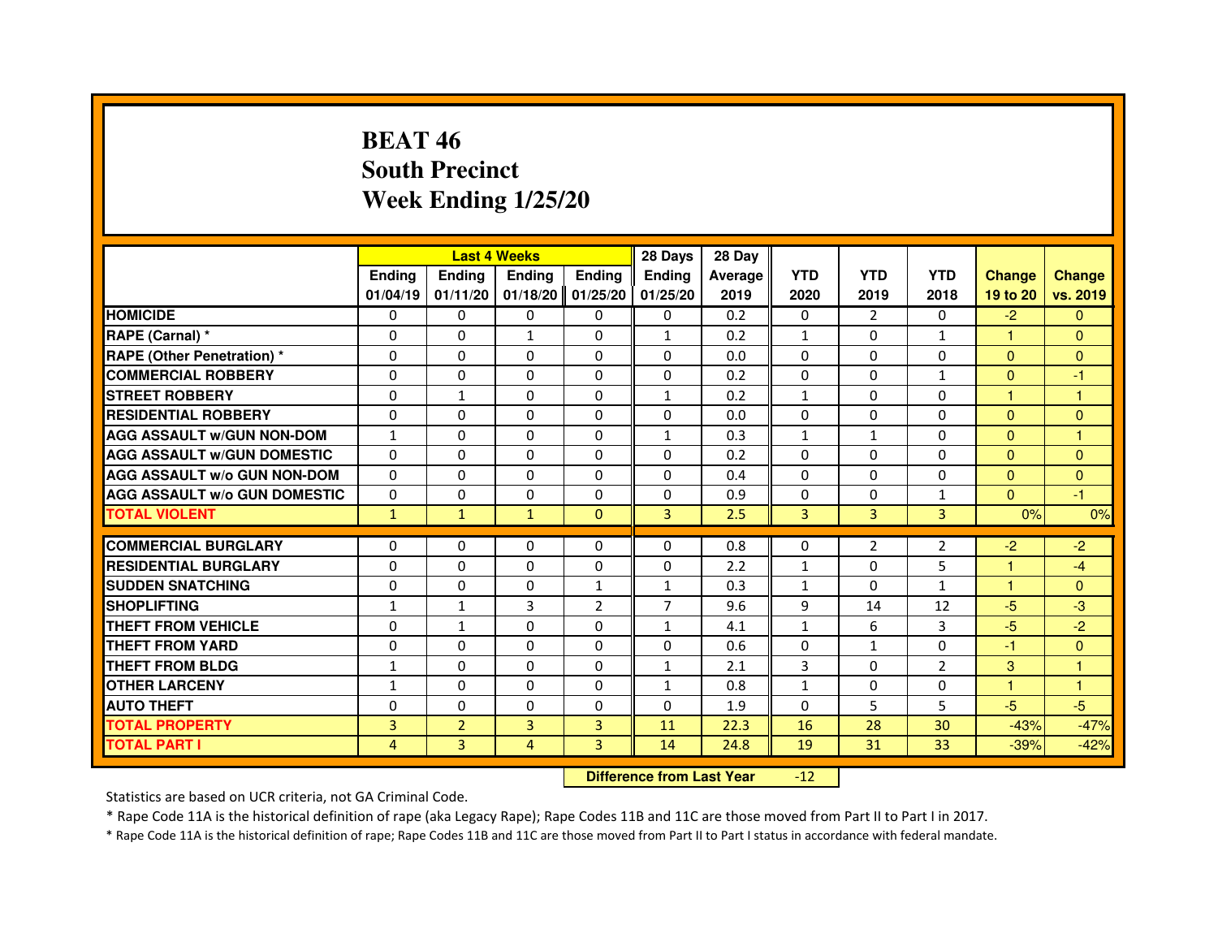# **BEAT 46 South PrecinctWeek Ending 1/25/20**

|                                     |               | <b>Last 4 Weeks</b> |               |                | 28 Days        | 28 Day  |              |                |                |                      |                |
|-------------------------------------|---------------|---------------------|---------------|----------------|----------------|---------|--------------|----------------|----------------|----------------------|----------------|
|                                     | <b>Ending</b> | <b>Endina</b>       | <b>Ending</b> | Ending         | <b>Endina</b>  | Average | <b>YTD</b>   | <b>YTD</b>     | <b>YTD</b>     | <b>Change</b>        | <b>Change</b>  |
|                                     | 01/04/19      | 01/11/20            | 01/18/20      | 01/25/20       | 01/25/20       | 2019    | 2020         | 2019           | 2018           | 19 to 20             | vs. 2019       |
| <b>HOMICIDE</b>                     | $\mathbf{0}$  | $\Omega$            | $\mathbf{0}$  | $\mathbf{0}$   | 0              | 0.2     | 0            | $\overline{2}$ | $\mathbf{0}$   | $-2$                 | $\mathbf{0}$   |
| RAPE (Carnal) *                     | $\Omega$      | $\Omega$            | $\mathbf{1}$  | $\Omega$       | $\mathbf{1}$   | 0.2     | $\mathbf{1}$ | $\Omega$       | $\mathbf{1}$   | 1.                   | $\mathbf{0}$   |
| <b>RAPE (Other Penetration) *</b>   | 0             | $\mathbf{0}$        | $\mathbf{0}$  | $\mathbf{0}$   | $\mathbf{0}$   | 0.0     | $\Omega$     | $\mathbf{0}$   | 0              | $\mathbf{0}$         | $\mathbf{0}$   |
| <b>COMMERCIAL ROBBERY</b>           | 0             | $\Omega$            | 0             | $\Omega$       | $\Omega$       | 0.2     | $\Omega$     | $\Omega$       | $\mathbf{1}$   | $\Omega$             | $-1$           |
| <b>STREET ROBBERY</b>               | $\Omega$      | 1                   | 0             | $\Omega$       | $\mathbf{1}$   | 0.2     | $\mathbf{1}$ | $\Omega$       | 0              | $\mathbf{1}$         | 1              |
| <b>RESIDENTIAL ROBBERY</b>          | $\Omega$      | $\Omega$            | $\Omega$      | $\Omega$       | $\Omega$       | 0.0     | $\Omega$     | $\Omega$       | 0              | $\mathbf{0}$         | $\Omega$       |
| <b>AGG ASSAULT W/GUN NON-DOM</b>    | $\mathbf{1}$  | $\Omega$            | $\Omega$      | $\Omega$       | $\mathbf{1}$   | 0.3     | $\mathbf{1}$ | $\mathbf{1}$   | $\Omega$       | $\mathbf{0}$         | $\mathbf{1}$   |
| <b>AGG ASSAULT W/GUN DOMESTIC</b>   | $\Omega$      | $\mathbf{0}$        | 0             | $\mathbf{0}$   | $\Omega$       | 0.2     | $\Omega$     | 0              | $\Omega$       | $\mathbf{0}$         | $\mathbf{0}$   |
| <b>AGG ASSAULT W/o GUN NON-DOM</b>  | 0             | $\Omega$            | 0             | 0              | $\Omega$       | 0.4     | 0            | $\Omega$       | $\Omega$       | $\overline{0}$       | $\overline{0}$ |
| <b>AGG ASSAULT W/o GUN DOMESTIC</b> | 0             | $\Omega$            | 0             | $\Omega$       | $\Omega$       | 0.9     | $\Omega$     | $\Omega$       | $\mathbf{1}$   | $\mathbf{0}$         | $-1$           |
| <b>TOTAL VIOLENT</b>                | $\mathbf{1}$  | $\mathbf{1}$        | $\mathbf{1}$  | $\mathbf{0}$   | $\overline{3}$ | 2.5     | 3            | 3              | 3              | 0%                   | 0%             |
|                                     |               |                     |               |                |                |         |              |                |                |                      |                |
| <b>COMMERCIAL BURGLARY</b>          | 0             | $\mathbf{0}$        | 0             | 0              | 0              | 0.8     | 0            | 2              | $\overline{2}$ | $-2$                 | $-2$           |
| <b>RESIDENTIAL BURGLARY</b>         | 0             | 0                   | 0             | $\Omega$       | 0              | 2.2     | $\mathbf{1}$ | 0              | 5              | 1                    | $-4$           |
| <b>SUDDEN SNATCHING</b>             | 0             | $\Omega$            | 0             | $\mathbf{1}$   | $\mathbf{1}$   | 0.3     | $\mathbf{1}$ | 0              | $\mathbf{1}$   | 1                    | $\mathbf{0}$   |
| <b>SHOPLIFTING</b>                  | $\mathbf{1}$  | $\mathbf{1}$        | 3             | $\overline{2}$ | $\overline{7}$ | 9.6     | 9            | 14             | 12             | $-5$                 | $-3$           |
| THEFT FROM VEHICLE                  | 0             | $\mathbf{1}$        | $\Omega$      | $\Omega$       | $\mathbf{1}$   | 4.1     | $\mathbf{1}$ | 6              | 3              | $-5$                 | $-2$           |
| THEFT FROM YARD                     | 0             | 0                   | $\Omega$      | $\Omega$       | $\Omega$       | 0.6     | $\Omega$     | $\mathbf{1}$   | $\Omega$       | -1                   | $\Omega$       |
| THEFT FROM BLDG                     | $\mathbf{1}$  | $\Omega$            | 0             | $\Omega$       | $\mathbf{1}$   | 2.1     | 3            | $\Omega$       | $\overline{2}$ | 3                    | 1              |
| <b>OTHER LARCENY</b>                | $\mathbf{1}$  | $\Omega$            | 0             | $\Omega$       | $\mathbf{1}$   | 0.8     | $\mathbf{1}$ | $\mathbf{0}$   | $\Omega$       | $\blacktriangleleft$ | $\mathbf{1}$   |
| <b>AUTO THEFT</b>                   | $\Omega$      | $\Omega$            | $\Omega$      | $\Omega$       | $\Omega$       | 1.9     | $\Omega$     | 5              | 5              | $-5$                 | $-5$           |
| <b>TOTAL PROPERTY</b>               | 3             | $\overline{2}$      | 3             | 3              | 11             | 22.3    | 16           | 28             | 30             | $-43%$               | $-47%$         |
| <b>TOTAL PART I</b>                 | 4             | 3                   | 4             | 3              | 14             | 24.8    | 19           | 31             | 33             | $-39%$               | $-42%$         |

 **Difference from Last Year**-12

Statistics are based on UCR criteria, not GA Criminal Code.

\* Rape Code 11A is the historical definition of rape (aka Legacy Rape); Rape Codes 11B and 11C are those moved from Part II to Part I in 2017.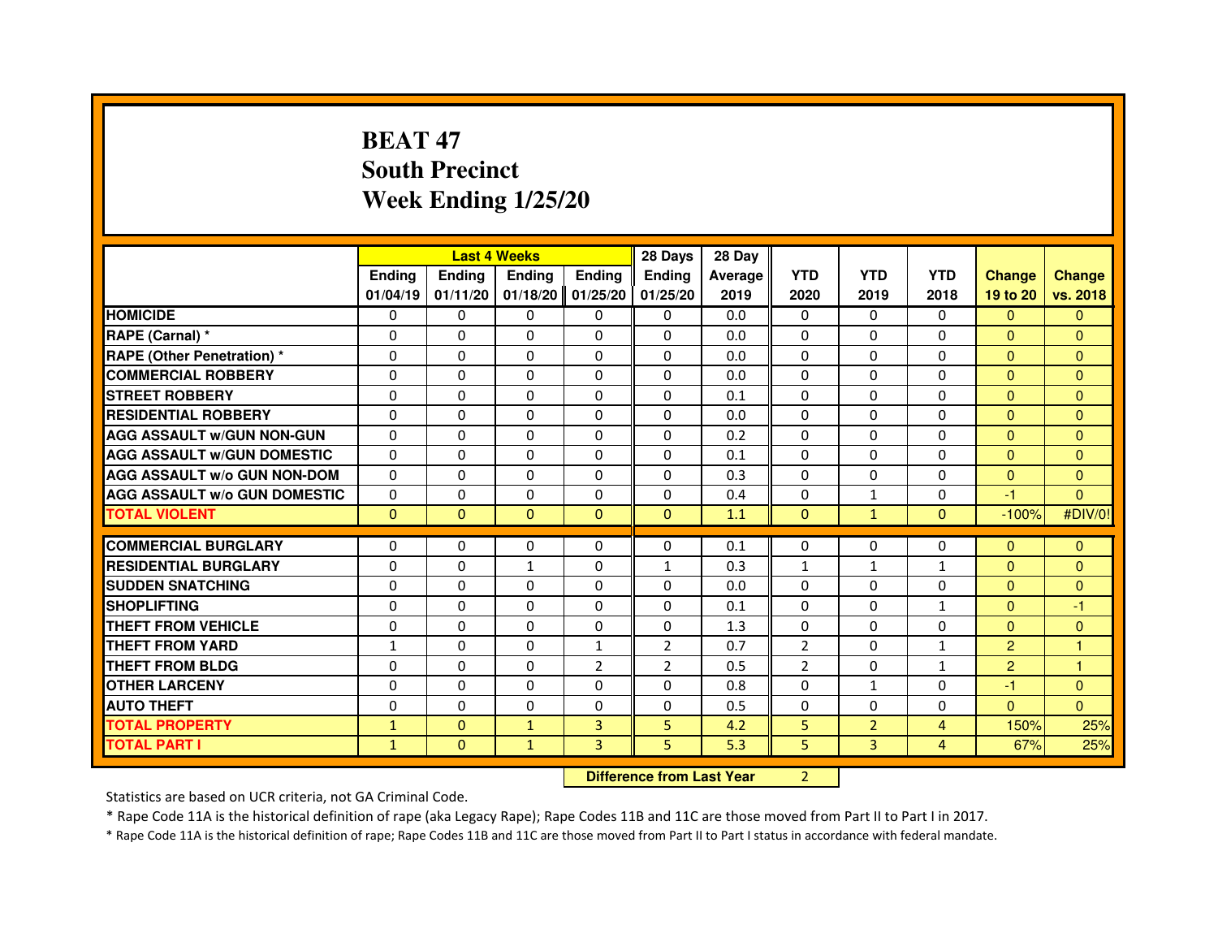# **BEAT 47 South PrecinctWeek Ending 1/25/20**

|                                     |               | <b>Last 4 Weeks</b>              |               |                | 28 Days        | 28 Day  |                |                |                |                |               |
|-------------------------------------|---------------|----------------------------------|---------------|----------------|----------------|---------|----------------|----------------|----------------|----------------|---------------|
|                                     | <b>Ending</b> | <b>Ending</b>                    | <b>Ending</b> | <b>Ending</b>  | <b>Ending</b>  | Average | <b>YTD</b>     | <b>YTD</b>     | <b>YTD</b>     | <b>Change</b>  | <b>Change</b> |
|                                     | 01/04/19      | 01/11/20                         | 01/18/20      | 01/25/20       | 01/25/20       | 2019    | 2020           | 2019           | 2018           | 19 to 20       | vs. 2018      |
| <b>HOMICIDE</b>                     | $\mathbf{0}$  | $\Omega$                         | $\mathbf{0}$  | 0              | 0              | 0.0     | $\mathbf{0}$   | $\Omega$       | $\Omega$       | $\Omega$       | $\mathbf{0}$  |
| RAPE (Carnal) *                     | 0             | 0                                | 0             | 0              | 0              | 0.0     | 0              | 0              | 0              | $\Omega$       | $\mathbf{0}$  |
| <b>RAPE (Other Penetration) *</b>   | $\Omega$      | $\Omega$                         | $\Omega$      | $\Omega$       | $\Omega$       | 0.0     | $\Omega$       | $\Omega$       | $\Omega$       | $\Omega$       | $\mathbf{0}$  |
| <b>COMMERCIAL ROBBERY</b>           | 0             | 0                                | $\Omega$      | $\Omega$       | 0              | 0.0     | 0              | $\Omega$       | $\Omega$       | $\overline{0}$ | $\mathbf{0}$  |
| <b>STREET ROBBERY</b>               | $\Omega$      | $\Omega$                         | $\Omega$      | $\Omega$       | $\Omega$       | 0.1     | $\Omega$       | $\Omega$       | $\Omega$       | $\mathbf{0}$   | $\mathbf{0}$  |
| <b>RESIDENTIAL ROBBERY</b>          | 0             | 0                                | $\Omega$      | 0              | $\Omega$       | 0.0     | $\Omega$       | 0              | $\Omega$       | $\Omega$       | $\mathbf{0}$  |
| <b>AGG ASSAULT W/GUN NON-GUN</b>    | $\Omega$      | $\Omega$                         | 0             | $\Omega$       | $\Omega$       | 0.2     | $\Omega$       | $\Omega$       | 0              | $\mathbf{0}$   | $\Omega$      |
| <b>AGG ASSAULT W/GUN DOMESTIC</b>   | $\Omega$      | $\Omega$                         | $\Omega$      | $\Omega$       | $\Omega$       | 0.1     | $\Omega$       | $\Omega$       | 0              | $\Omega$       | $\Omega$      |
| <b>AGG ASSAULT W/o GUN NON-DOM</b>  | $\Omega$      | $\Omega$                         | $\Omega$      | $\Omega$       | $\Omega$       | 0.3     | $\Omega$       | $\Omega$       | $\Omega$       | $\Omega$       | $\mathbf{0}$  |
| <b>AGG ASSAULT W/o GUN DOMESTIC</b> | 0             | 0                                | 0             | $\Omega$       | $\Omega$       | 0.4     | $\Omega$       | 1              | 0              | -1             | $\Omega$      |
| <b>TOTAL VIOLENT</b>                | $\mathbf{0}$  | $\mathbf{0}$                     | $\mathbf{0}$  | $\mathbf{0}$   | $\mathbf{0}$   | 1.1     | $\mathbf{0}$   | $\mathbf{1}$   | $\mathbf{0}$   | $-100%$        | #DIV/0!       |
| <b>COMMERCIAL BURGLARY</b>          | 0             | 0                                | 0             | 0              | 0              | 0.1     | 0              | 0              | 0              | $\mathbf{0}$   | $\mathbf{0}$  |
| <b>RESIDENTIAL BURGLARY</b>         | $\Omega$      | $\Omega$                         | $\mathbf{1}$  | $\Omega$       | $\mathbf{1}$   | 0.3     | $\mathbf{1}$   | $\mathbf{1}$   | $\mathbf{1}$   | $\mathbf{0}$   | $\mathbf{0}$  |
| <b>SUDDEN SNATCHING</b>             | $\Omega$      | $\Omega$                         | $\Omega$      | $\Omega$       | $\Omega$       | 0.0     | $\Omega$       | $\Omega$       | $\Omega$       | $\Omega$       | $\Omega$      |
| <b>SHOPLIFTING</b>                  | 0             | $\mathbf{0}$                     | 0             | $\Omega$       | 0              | 0.1     | $\mathbf{0}$   | $\mathbf{0}$   | $\mathbf{1}$   | $\mathbf{0}$   | -1            |
| THEFT FROM VEHICLE                  | 0             | $\Omega$                         | 0             | $\Omega$       | 0              | 1.3     | $\Omega$       | $\mathbf{0}$   | 0              | $\overline{0}$ | $\mathbf{0}$  |
| <b>THEFT FROM YARD</b>              | $\mathbf{1}$  | $\Omega$                         | $\Omega$      | $\mathbf{1}$   | $\overline{2}$ | 0.7     | $\overline{2}$ | $\Omega$       | $\mathbf{1}$   | $\overline{2}$ | $\mathbf{1}$  |
| <b>THEFT FROM BLDG</b>              | $\Omega$      | $\Omega$                         | $\Omega$      | $\overline{2}$ | $\overline{2}$ | 0.5     | $\overline{2}$ | $\mathbf{0}$   | $\mathbf{1}$   | $\overline{2}$ | $\mathbf{1}$  |
| <b>OTHER LARCENY</b>                | $\Omega$      | $\Omega$                         | 0             | $\Omega$       | $\Omega$       | 0.8     | $\Omega$       | $\mathbf{1}$   | $\Omega$       | $-1$           | $\mathbf{0}$  |
| <b>AUTO THEFT</b>                   | $\Omega$      | $\Omega$                         | $\Omega$      | $\Omega$       | $\Omega$       | 0.5     | $\Omega$       | $\Omega$       | $\Omega$       | $\Omega$       | $\Omega$      |
| <b>TOTAL PROPERTY</b>               | $\mathbf{1}$  | $\mathbf{0}$                     | $\mathbf{1}$  | 3              | 5              | 4.2     | 5              | $\overline{2}$ | $\overline{4}$ | 150%           | 25%           |
| <b>TOTAL PART I</b>                 | $\mathbf{1}$  | $\mathbf{0}$                     | $\mathbf{1}$  | 3              | 5              | 5.3     | 5              | 3              | $\overline{4}$ | 67%            | 25%           |
|                                     |               | <b>Difference from Last Year</b> |               | $\overline{2}$ |                |         |                |                |                |                |               |

 **Difference from Last Year**

Statistics are based on UCR criteria, not GA Criminal Code.

\* Rape Code 11A is the historical definition of rape (aka Legacy Rape); Rape Codes 11B and 11C are those moved from Part II to Part I in 2017.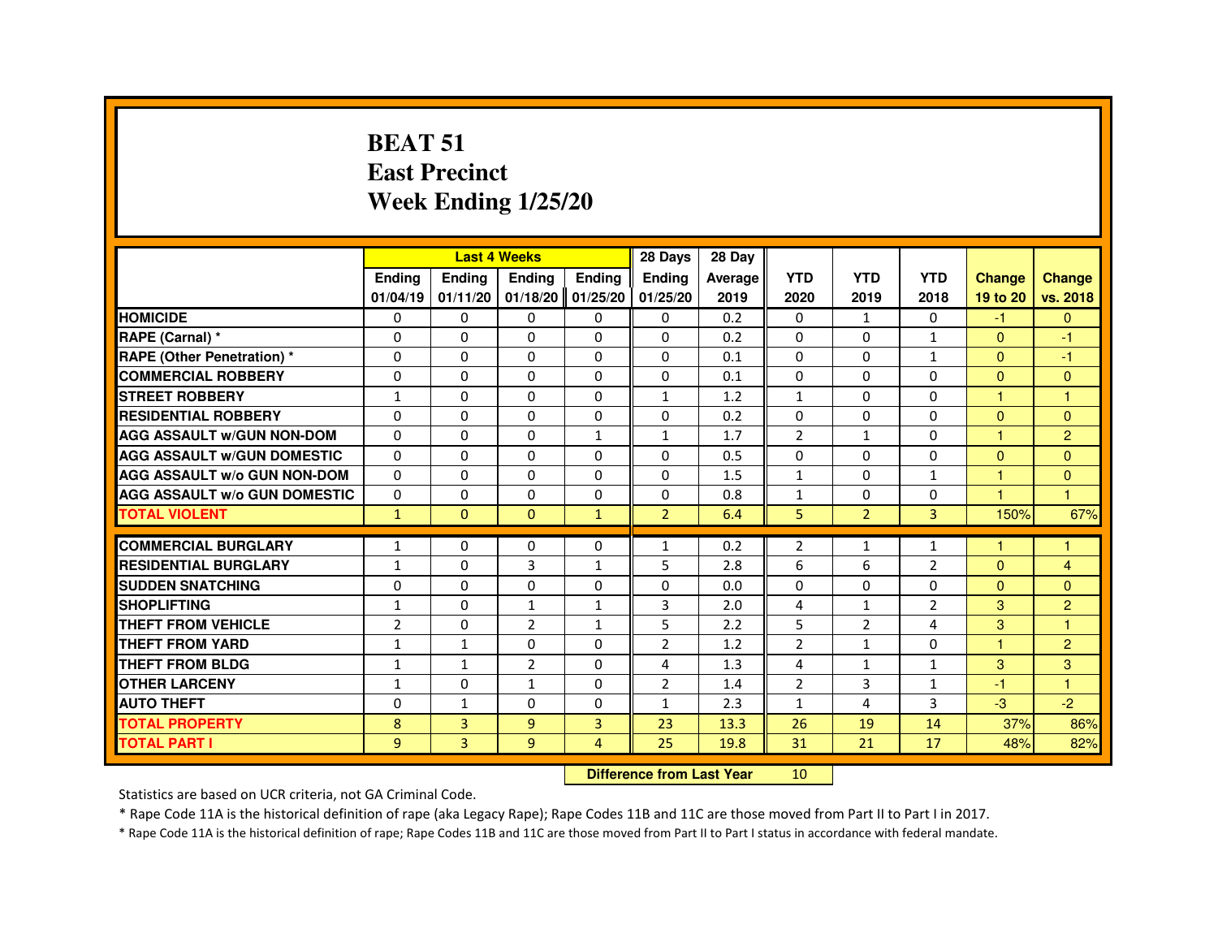#### **BEAT 51 East PrecinctWeek Ending 1/25/20**

|                                     |                |                                  | <b>Last 4 Weeks</b> |               | 28 Days        | 28 Day  |                |                |                |                      |                      |
|-------------------------------------|----------------|----------------------------------|---------------------|---------------|----------------|---------|----------------|----------------|----------------|----------------------|----------------------|
|                                     | <b>Ending</b>  | Ending                           | Ending              | <b>Ending</b> | <b>Ending</b>  | Average | <b>YTD</b>     | <b>YTD</b>     | <b>YTD</b>     | <b>Change</b>        | <b>Change</b>        |
|                                     | 01/04/19       | 01/11/20                         | 01/18/20            | 01/25/20      | 01/25/20       | 2019    | 2020           | 2019           | 2018           | 19 to 20             | vs. 2018             |
| <b>HOMICIDE</b>                     | $\Omega$       | $\Omega$                         | $\Omega$            | $\Omega$      | 0              | 0.2     | $\Omega$       | $\mathbf{1}$   | $\Omega$       | $-1$                 | $\overline{0}$       |
| <b>RAPE (Carnal)</b> *              | 0              | 0                                | 0                   | $\Omega$      | $\Omega$       | 0.2     | 0              | 0              | $\mathbf{1}$   | $\Omega$             | $-1$                 |
| <b>RAPE (Other Penetration) *</b>   | $\Omega$       | $\Omega$                         | $\Omega$            | $\Omega$      | $\Omega$       | 0.1     | $\Omega$       | $\Omega$       | $\mathbf{1}$   | $\Omega$             | $-1$                 |
| <b>COMMERCIAL ROBBERY</b>           | $\Omega$       | $\Omega$                         | $\Omega$            | $\Omega$      | $\Omega$       | 0.1     | $\Omega$       | $\Omega$       | $\Omega$       | $\Omega$             | $\Omega$             |
| <b>STREET ROBBERY</b>               | $\mathbf{1}$   | $\Omega$                         | $\Omega$            | $\Omega$      | $\mathbf{1}$   | 1.2     | $\mathbf{1}$   | $\Omega$       | $\Omega$       | $\mathbf{1}$         | $\overline{1}$       |
| <b>RESIDENTIAL ROBBERY</b>          | 0              | 0                                | 0                   | $\Omega$      | $\Omega$       | 0.2     | 0              | 0              | 0              | $\mathbf{0}$         | $\overline{0}$       |
| <b>AGG ASSAULT W/GUN NON-DOM</b>    | $\Omega$       | $\Omega$                         | $\Omega$            | $\mathbf{1}$  | $\mathbf{1}$   | 1.7     | $\overline{2}$ | $\mathbf{1}$   | $\Omega$       | $\blacktriangleleft$ | $\overline{2}$       |
| <b>AGG ASSAULT W/GUN DOMESTIC</b>   | $\Omega$       | $\Omega$                         | $\Omega$            | $\Omega$      | $\Omega$       | 0.5     | $\Omega$       | $\Omega$       | $\Omega$       | $\Omega$             | $\Omega$             |
| <b>AGG ASSAULT W/o GUN NON-DOM</b>  | $\Omega$       | 0                                | 0                   | $\Omega$      | $\Omega$       | 1.5     | 1              | $\Omega$       | $\mathbf{1}$   | $\mathbf{1}$         | $\overline{0}$       |
| <b>AGG ASSAULT W/o GUN DOMESTIC</b> | $\Omega$       | $\Omega$                         | $\Omega$            | $\Omega$      | $\Omega$       | 0.8     | $\mathbf{1}$   | $\Omega$       | $\Omega$       | $\overline{1}$       | $\overline{1}$       |
| <b>TOTAL VIOLENT</b>                | $\mathbf{1}$   | $\mathbf{0}$                     | $\mathbf{0}$        | $\mathbf{1}$  | $\overline{2}$ | 6.4     | 5              | $\overline{2}$ | 3              | 150%                 | 67%                  |
| <b>COMMERCIAL BURGLARY</b>          | $\mathbf{1}$   | 0                                | 0                   | $\Omega$      | 1              | 0.2     | $\overline{2}$ | $\mathbf{1}$   | $\mathbf{1}$   | -1                   |                      |
| <b>RESIDENTIAL BURGLARY</b>         | $\mathbf{1}$   | $\Omega$                         | $\overline{3}$      | $\mathbf{1}$  | 5              | 2.8     | 6              | 6              | $\overline{2}$ | $\Omega$             | $\overline{4}$       |
| <b>SUDDEN SNATCHING</b>             | $\Omega$       | $\Omega$                         | $\Omega$            | $\Omega$      | $\Omega$       | 0.0     | 0              | $\Omega$       | 0              | $\Omega$             | $\Omega$             |
| <b>SHOPLIFTING</b>                  | 1              | 0                                | $\mathbf{1}$        | 1             | 3              | 2.0     | 4              | $\mathbf{1}$   | $\overline{2}$ | 3                    | $\overline{2}$       |
| <b>THEFT FROM VEHICLE</b>           | $\overline{2}$ | $\Omega$                         | 2                   | $\mathbf{1}$  | 5              | 2.2     | 5              | 2              | 4              | 3                    | $\overline{1}$       |
| <b>THEFT FROM YARD</b>              | $\mathbf{1}$   | $\mathbf{1}$                     | $\Omega$            | $\Omega$      | $\overline{2}$ | 1.2     | $\overline{2}$ | $\mathbf{1}$   | $\Omega$       | $\mathbf{1}$         | $\overline{2}$       |
| <b>THEFT FROM BLDG</b>              | $\mathbf{1}$   | $\mathbf{1}$                     | $\overline{2}$      | $\Omega$      | $\overline{4}$ | 1.3     | 4              | $\mathbf{1}$   | $\mathbf{1}$   | 3                    | 3                    |
| <b>OTHER LARCENY</b>                | $\mathbf{1}$   | $\Omega$                         | $\mathbf{1}$        | $\Omega$      | $\overline{2}$ | 1.4     | $\overline{2}$ | 3              | $\mathbf{1}$   | $-1$                 | $\blacktriangleleft$ |
| <b>AUTO THEFT</b>                   | 0              | $\mathbf{1}$                     | $\Omega$            | $\Omega$      | $\mathbf{1}$   | 2.3     | $\mathbf{1}$   | 4              | 3              | $-3$                 | $-2$                 |
| <b>TOTAL PROPERTY</b>               | 8              | $\overline{3}$                   | $\overline{9}$      | 3             | 23             | 13.3    | 26             | 19             | 14             | 37%                  | 86%                  |
| <b>TOTAL PART I</b>                 | 9              | 3                                | 9                   | 4             | 25             | 19.8    | 31             | 21             | 17             | 48%                  | 82%                  |
|                                     |                | <b>Difference from Last Year</b> |                     | 10            |                |         |                |                |                |                      |                      |

 **Difference from Last Year**

Statistics are based on UCR criteria, not GA Criminal Code.

\* Rape Code 11A is the historical definition of rape (aka Legacy Rape); Rape Codes 11B and 11C are those moved from Part II to Part I in 2017.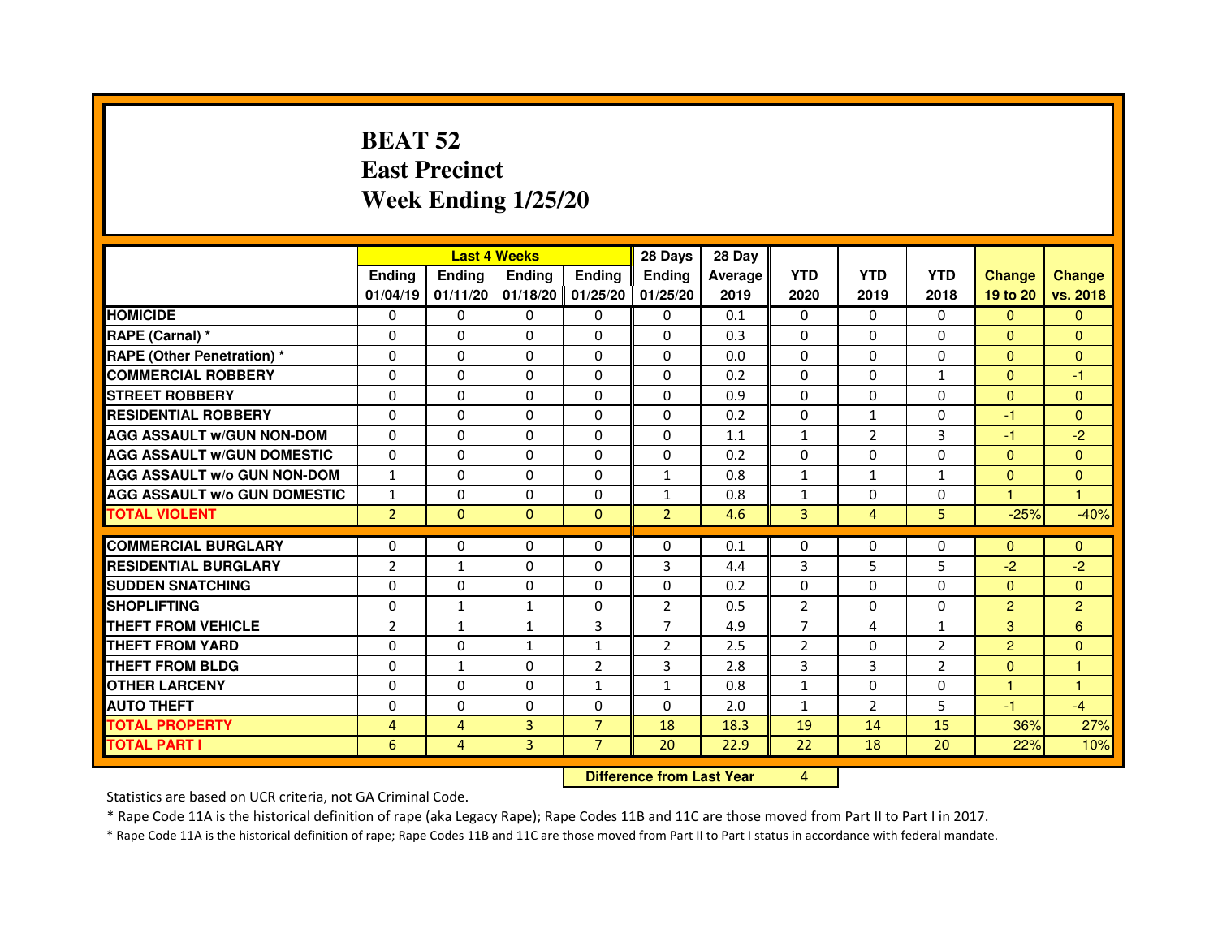# **BEAT 52 East PrecinctWeek Ending 1/25/20**

|                                     |                |               | <b>Last 4 Weeks</b> |                     | 28 Days        | 28 Day  |                |                |                |                |                |
|-------------------------------------|----------------|---------------|---------------------|---------------------|----------------|---------|----------------|----------------|----------------|----------------|----------------|
|                                     | <b>Ending</b>  | <b>Endina</b> | <b>Endina</b>       | <b>Ending</b>       | <b>Endina</b>  | Average | <b>YTD</b>     | <b>YTD</b>     | <b>YTD</b>     | <b>Change</b>  | <b>Change</b>  |
|                                     | 01/04/19       | 01/11/20      |                     | $01/18/20$ 01/25/20 | 01/25/20       | 2019    | 2020           | 2019           | 2018           | 19 to 20       | vs. 2018       |
| <b>HOMICIDE</b>                     | 0              | 0             | $\mathbf{0}$        | 0                   | 0              | 0.1     | $\mathbf{0}$   | 0              | $\mathbf{0}$   | $\mathbf{0}$   | $\mathbf{0}$   |
| RAPE (Carnal) *                     | $\Omega$       | $\Omega$      | $\Omega$            | $\Omega$            | $\Omega$       | 0.3     | $\Omega$       | $\Omega$       | $\Omega$       | $\Omega$       | $\Omega$       |
| <b>RAPE (Other Penetration) *</b>   | 0              | $\Omega$      | 0                   | $\Omega$            | $\Omega$       | 0.0     | $\Omega$       | $\Omega$       | $\Omega$       | $\Omega$       | $\Omega$       |
| <b>COMMERCIAL ROBBERY</b>           | 0              | 0             | 0                   | 0                   | $\Omega$       | 0.2     | $\Omega$       | $\Omega$       | $\mathbf{1}$   | $\mathbf{0}$   | $-1$           |
| <b>STREET ROBBERY</b>               | 0              | 0             | 0                   | 0                   | 0              | 0.9     | 0              | 0              | 0              | $\mathbf{0}$   | $\Omega$       |
| <b>RESIDENTIAL ROBBERY</b>          | 0              | $\Omega$      | $\Omega$            | $\Omega$            | $\Omega$       | 0.2     | $\Omega$       | $\mathbf{1}$   | $\Omega$       | $-1$           | $\Omega$       |
| <b>AGG ASSAULT W/GUN NON-DOM</b>    | $\Omega$       | $\mathbf 0$   | $\Omega$            | $\Omega$            | $\Omega$       | 1.1     | $\mathbf{1}$   | $\overline{2}$ | $\overline{3}$ | $-1$           | $-2$           |
| <b>AGG ASSAULT W/GUN DOMESTIC</b>   | 0              | 0             | 0                   | 0                   | 0              | 0.2     | 0              | 0              | $\Omega$       | $\mathbf{0}$   | $\Omega$       |
| <b>AGG ASSAULT W/o GUN NON-DOM</b>  | $\mathbf{1}$   | 0             | 0                   | 0                   | $\mathbf{1}$   | 0.8     | $\mathbf{1}$   | $\mathbf{1}$   | 1              | $\Omega$       | $\Omega$       |
| <b>AGG ASSAULT W/o GUN DOMESTIC</b> | $\mathbf{1}$   | $\Omega$      | 0                   | $\Omega$            | $\mathbf{1}$   | 0.8     | $\mathbf{1}$   | 0              | 0              | 1.             | 1              |
| <b>TOTAL VIOLENT</b>                | $\overline{2}$ | $\Omega$      | $\Omega$            | $\Omega$            | $\overline{2}$ | 4.6     | 3              | $\overline{4}$ | 5              | $-25%$         | $-40%$         |
|                                     |                |               |                     |                     |                |         |                |                |                |                |                |
| <b>COMMERCIAL BURGLARY</b>          | 0              | 0             | 0                   | 0                   | $\Omega$       | 0.1     | $\Omega$       | 0              | $\Omega$       | $\mathbf{0}$   | $\Omega$       |
| <b>RESIDENTIAL BURGLARY</b>         | $\overline{2}$ | $\mathbf{1}$  | 0                   | $\Omega$            | 3              | 4.4     | 3              | 5              | 5              | $-2$           | $-2$           |
| <b>SUDDEN SNATCHING</b>             | 0              | 0             | 0                   | 0                   | $\Omega$       | 0.2     | 0              | $\Omega$       | $\Omega$       | $\Omega$       | $\Omega$       |
| <b>SHOPLIFTING</b>                  | 0              | $\mathbf{1}$  | $\mathbf{1}$        | $\Omega$            | $\overline{2}$ | 0.5     | $\overline{2}$ | $\Omega$       | $\Omega$       | $\overline{2}$ | $\overline{c}$ |
| <b>THEFT FROM VEHICLE</b>           | $\overline{2}$ | $\mathbf{1}$  | $\mathbf{1}$        | 3                   | $\overline{7}$ | 4.9     | $\overline{7}$ | 4              | $\mathbf{1}$   | 3              | 6              |
| <b>THEFT FROM YARD</b>              | $\Omega$       | 0             | $\mathbf{1}$        | $\mathbf{1}$        | $\overline{2}$ | 2.5     | $\overline{2}$ | $\Omega$       | 2              | $\overline{2}$ | $\Omega$       |
| <b>THEFT FROM BLDG</b>              | 0              | 1             | 0                   | $\overline{2}$      | 3              | 2.8     | 3              | 3              | $\overline{2}$ | $\Omega$       | 1              |
| <b>OTHER LARCENY</b>                | 0              | 0             | $\Omega$            | $\mathbf{1}$        | $\mathbf{1}$   | 0.8     | $\mathbf{1}$   | $\Omega$       | $\Omega$       | 1              | 1              |
| <b>AUTO THEFT</b>                   | $\mathbf 0$    | 0             | $\Omega$            | $\Omega$            | $\Omega$       | 2.0     | $\mathbf{1}$   | $\overline{2}$ | 5              | $-1$           | $-4$           |
| <b>TOTAL PROPERTY</b>               | 4              | 4             | 3                   | $\overline{7}$      | 18             | 18.3    | 19             | 14             | 15             | 36%            | 27%            |
| <b>TOTAL PART I</b>                 | 6              | 4             | $\overline{3}$      | $\overline{7}$      | 20             | 22.9    | 22             | 18             | 20             | 22%            | 10%            |

 **Difference from Last Year**

<sup>4</sup>

Statistics are based on UCR criteria, not GA Criminal Code.

\* Rape Code 11A is the historical definition of rape (aka Legacy Rape); Rape Codes 11B and 11C are those moved from Part II to Part I in 2017.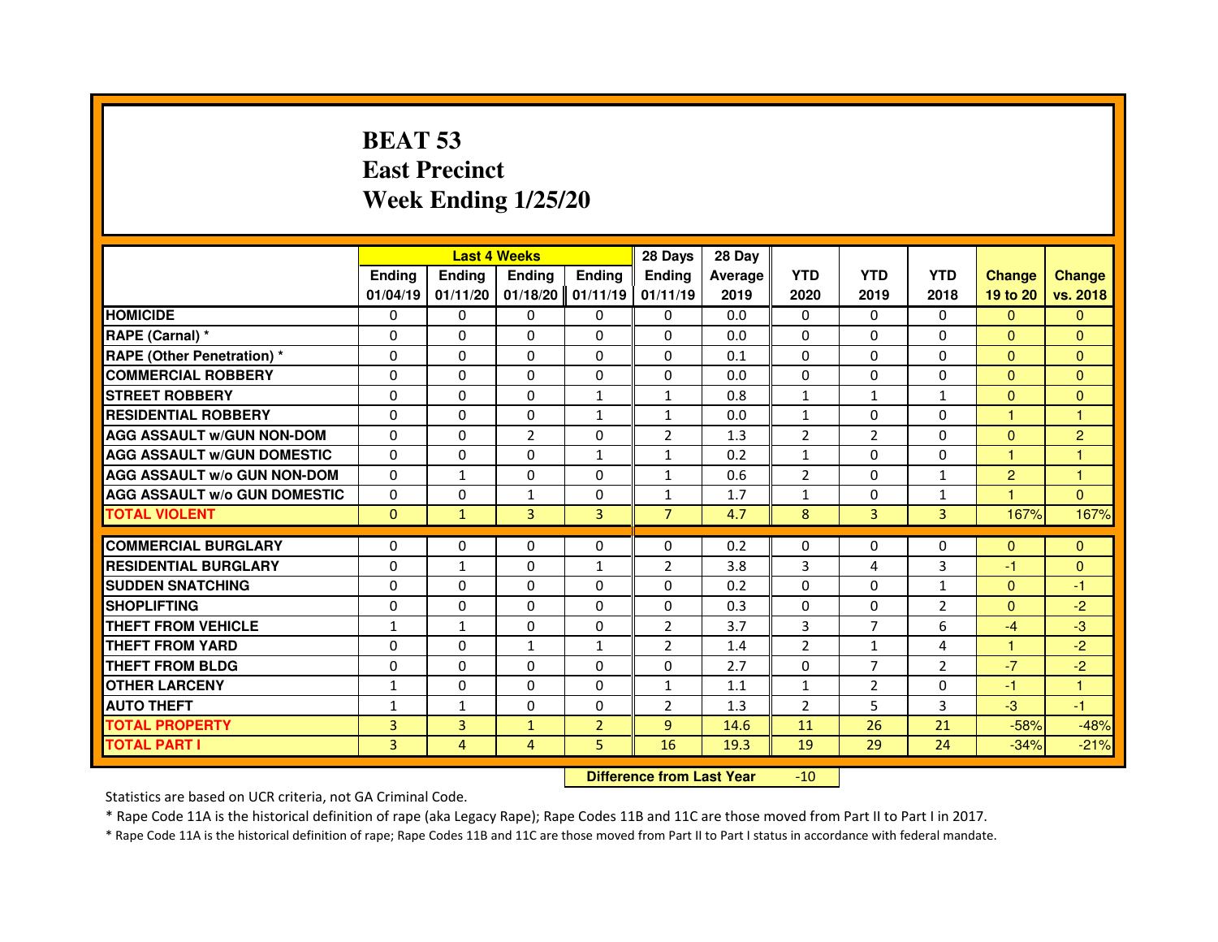# **BEAT 53 East PrecinctWeek Ending 1/25/20**

|                                     |               |                | <b>Last 4 Weeks</b> |                | 28 Days        | 28 Day  |                |                |                |                      |                |
|-------------------------------------|---------------|----------------|---------------------|----------------|----------------|---------|----------------|----------------|----------------|----------------------|----------------|
|                                     | <b>Endina</b> | <b>Endina</b>  | <b>Endina</b>       | <b>Endina</b>  | <b>Endina</b>  | Average | <b>YTD</b>     | <b>YTD</b>     | <b>YTD</b>     | <b>Change</b>        | <b>Change</b>  |
|                                     | 01/04/19      | 01/11/20       | $01/18/20$ 01/11/19 |                | 01/11/19       | 2019    | 2020           | 2019           | 2018           | 19 to 20             | vs. 2018       |
| <b>HOMICIDE</b>                     | $\Omega$      | $\Omega$       | $\Omega$            | 0              | $\mathbf{0}$   | 0.0     | $\mathbf{0}$   | $\mathbf{0}$   | $\mathbf{0}$   | $\Omega$             | $\mathbf{0}$   |
| RAPE (Carnal) *                     | $\Omega$      | $\Omega$       | $\Omega$            | $\Omega$       | $\Omega$       | 0.0     | $\Omega$       | $\Omega$       | $\Omega$       | $\Omega$             | $\Omega$       |
| <b>RAPE (Other Penetration) *</b>   | $\Omega$      | $\Omega$       | $\Omega$            | $\Omega$       | $\Omega$       | 0.1     | $\Omega$       | $\Omega$       | $\Omega$       | $\Omega$             | $\Omega$       |
| <b>COMMERCIAL ROBBERY</b>           | $\Omega$      | 0              | $\Omega$            | 0              | $\Omega$       | 0.0     | $\Omega$       | 0              | 0              | $\Omega$             | $\Omega$       |
| <b>STREET ROBBERY</b>               | 0             | 0              | $\Omega$            | $\mathbf{1}$   | $\mathbf{1}$   | 0.8     | $\mathbf{1}$   | $\mathbf{1}$   | $\mathbf{1}$   | $\Omega$             | $\Omega$       |
| <b>RESIDENTIAL ROBBERY</b>          | $\Omega$      | $\Omega$       | $\Omega$            | $\mathbf{1}$   | $\mathbf{1}$   | 0.0     | $\mathbf{1}$   | $\Omega$       | $\Omega$       | $\mathbf{1}$         | $\mathbf{1}$   |
| <b>AGG ASSAULT w/GUN NON-DOM</b>    | $\Omega$      | $\Omega$       | $\overline{2}$      | $\Omega$       | $\overline{2}$ | 1.3     | $\overline{2}$ | $\overline{2}$ | $\Omega$       | $\Omega$             | $\overline{c}$ |
| <b>AGG ASSAULT W/GUN DOMESTIC</b>   | $\Omega$      | $\Omega$       | $\Omega$            | $\mathbf{1}$   | $\mathbf{1}$   | 0.2     | $\mathbf{1}$   | $\Omega$       | $\Omega$       | $\mathbf{1}$         | $\mathbf{1}$   |
| AGG ASSAULT w/o GUN NON-DOM         | $\Omega$      | $\mathbf{1}$   | $\Omega$            | $\Omega$       | $\mathbf{1}$   | 0.6     | $\overline{2}$ | 0              | $\mathbf{1}$   | $\overline{2}$       | 1              |
| <b>AGG ASSAULT W/o GUN DOMESTIC</b> | 0             | 0              | $\mathbf{1}$        | 0              | 1              | 1.7     | $\mathbf{1}$   | 0              | $\mathbf{1}$   | $\blacktriangleleft$ | $\Omega$       |
| <b>TOTAL VIOLENT</b>                | $\mathbf{0}$  | $\mathbf{1}$   | $\overline{3}$      | $\overline{3}$ | $\overline{7}$ | 4.7     | 8              | 3              | 3              | 167%                 | 167%           |
|                                     |               |                |                     |                |                |         |                |                |                |                      |                |
| <b>COMMERCIAL BURGLARY</b>          | $\Omega$      | 0              | $\Omega$            | 0              | 0              | 0.2     | 0              | 0              | 0              | $\Omega$             | $\mathbf{0}$   |
| <b>RESIDENTIAL BURGLARY</b>         | $\Omega$      | $\mathbf{1}$   | $\Omega$            | $\mathbf{1}$   | $\overline{2}$ | 3.8     | 3              | 4              | 3              | $-1$                 | $\Omega$       |
| <b>SUDDEN SNATCHING</b>             | $\Omega$      | $\Omega$       | $\Omega$            | $\Omega$       | $\Omega$       | 0.2     | $\Omega$       | $\Omega$       | $\mathbf{1}$   | $\Omega$             | $-1$           |
| <b>SHOPLIFTING</b>                  | $\Omega$      | $\Omega$       | $\Omega$            | $\Omega$       | $\mathbf 0$    | 0.3     | $\Omega$       | $\Omega$       | $\overline{2}$ | $\Omega$             | $-2$           |
| <b>THEFT FROM VEHICLE</b>           | $\mathbf{1}$  | $\mathbf{1}$   | $\Omega$            | $\Omega$       | $\overline{2}$ | 3.7     | 3              | $\overline{7}$ | 6              | $-4$                 | $-3$           |
| <b>THEFT FROM YARD</b>              | $\Omega$      | $\Omega$       | $\mathbf{1}$        | $\mathbf{1}$   | $\overline{2}$ | 1.4     | 2              | $\mathbf{1}$   | 4              | $\blacktriangleleft$ | $-2$           |
| <b>THEFT FROM BLDG</b>              | $\Omega$      | 0              | $\Omega$            | $\Omega$       | 0              | 2.7     | 0              | $\overline{7}$ | $\overline{2}$ | $-7$                 | $-2$           |
| <b>OTHER LARCENY</b>                | $\mathbf{1}$  | $\Omega$       | $\Omega$            | $\Omega$       | $\mathbf{1}$   | 1.1     | $\mathbf{1}$   | $\overline{2}$ | 0              | $-1$                 | 1              |
| <b>AUTO THEFT</b>                   | $\mathbf{1}$  | $\mathbf{1}$   | $\Omega$            | 0              | $\overline{2}$ | 1.3     | $\overline{2}$ | 5              | 3              | $-3$                 | $-1$           |
| <b>TOTAL PROPERTY</b>               | 3             | $\overline{3}$ | $\mathbf{1}$        | $\overline{2}$ | $\overline{9}$ | 14.6    | 11             | 26             | 21             | $-58%$               | $-48%$         |
| <b>TOTAL PART I</b>                 | $\mathbf{3}$  | 4              | 4                   | 5              | 16             | 19.3    | 19             | 29             | 24             | $-34%$               | $-21%$         |

 **Difference from Last Year**-10

Statistics are based on UCR criteria, not GA Criminal Code.

\* Rape Code 11A is the historical definition of rape (aka Legacy Rape); Rape Codes 11B and 11C are those moved from Part II to Part I in 2017.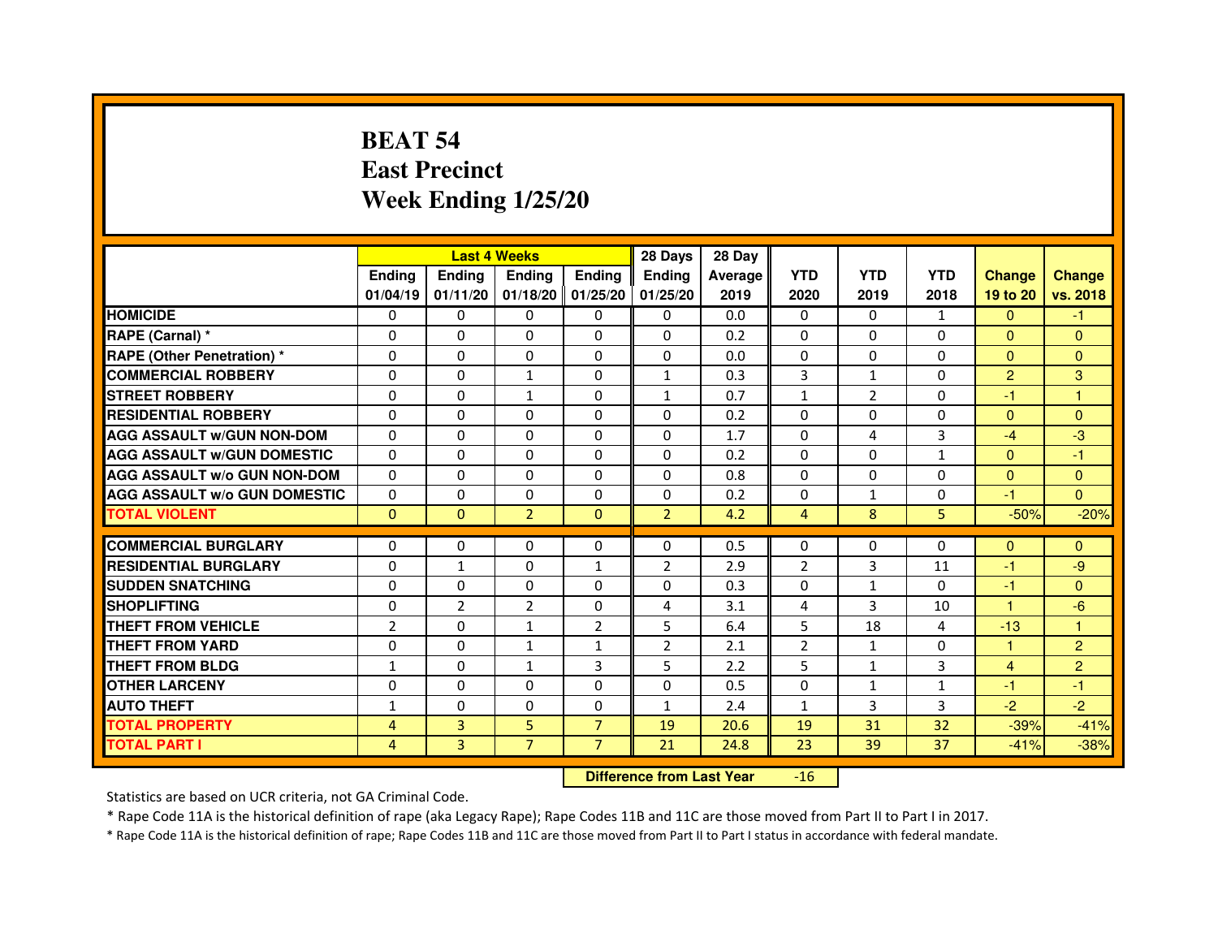# **BEAT 54 East PrecinctWeek Ending 1/25/20**

|                                     |                | <b>Last 4 Weeks</b> |                |                     | 28 Days        | 28 Day  |                |                |                |                |                |
|-------------------------------------|----------------|---------------------|----------------|---------------------|----------------|---------|----------------|----------------|----------------|----------------|----------------|
|                                     | <b>Endina</b>  | <b>Endina</b>       | <b>Endina</b>  | <b>Endina</b>       | <b>Endina</b>  | Average | <b>YTD</b>     | <b>YTD</b>     | <b>YTD</b>     | <b>Change</b>  | <b>Change</b>  |
|                                     | 01/04/19       | 01/11/20            |                | $01/18/20$ 01/25/20 | 01/25/20       | 2019    | 2020           | 2019           | 2018           | 19 to 20       | vs. 2018       |
| <b>HOMICIDE</b>                     | 0              | 0                   | 0              | 0                   | 0              | 0.0     | $\mathbf{0}$   | 0              | $\mathbf{1}$   | $\mathbf{0}$   | -1             |
| RAPE (Carnal) *                     | $\Omega$       | $\Omega$            | $\Omega$       | $\Omega$            | $\Omega$       | 0.2     | $\Omega$       | $\Omega$       | $\Omega$       | $\Omega$       | $\Omega$       |
| <b>RAPE (Other Penetration) *</b>   | 0              | 0                   | $\Omega$       | $\Omega$            | $\Omega$       | 0.0     | $\Omega$       | $\Omega$       | $\Omega$       | $\Omega$       | $\Omega$       |
| <b>COMMERCIAL ROBBERY</b>           | 0              | 0                   | 1              | $\Omega$            | $\mathbf{1}$   | 0.3     | 3              | $\mathbf{1}$   | $\Omega$       | $\overline{2}$ | 3              |
| <b>STREET ROBBERY</b>               | 0              | $\Omega$            | $\mathbf{1}$   | $\Omega$            | $\mathbf{1}$   | 0.7     | $\mathbf{1}$   | $\overline{2}$ | $\Omega$       | $-1$           | 1              |
| <b>RESIDENTIAL ROBBERY</b>          | 0              | $\Omega$            | 0              | $\Omega$            | 0              | 0.2     | 0              | 0              | $\Omega$       | $\mathbf{0}$   | $\Omega$       |
| <b>AGG ASSAULT W/GUN NON-DOM</b>    | $\Omega$       | $\mathbf 0$         | $\Omega$       | $\Omega$            | $\Omega$       | 1.7     | $\Omega$       | 4              | 3              | $-4$           | -3             |
| <b>AGG ASSAULT W/GUN DOMESTIC</b>   | $\Omega$       | $\Omega$            | 0              | 0                   | $\Omega$       | 0.2     | $\Omega$       | $\Omega$       | $\mathbf{1}$   | $\mathbf{0}$   | $-1$           |
| <b>AGG ASSAULT W/o GUN NON-DOM</b>  | $\Omega$       | 0                   | $\Omega$       | 0                   | $\Omega$       | 0.8     | $\Omega$       | $\Omega$       | $\Omega$       | $\Omega$       | $\Omega$       |
| <b>AGG ASSAULT W/o GUN DOMESTIC</b> | $\Omega$       | 0                   | 0              | $\Omega$            | $\Omega$       | 0.2     | 0              | $\mathbf{1}$   | $\Omega$       | $-1$           | $\Omega$       |
| <b>TOTAL VIOLENT</b>                | $\Omega$       | $\Omega$            | $\overline{2}$ | $\mathbf{0}$        | $\overline{2}$ | 4.2     | $\overline{4}$ | 8              | 5              | $-50%$         | $-20%$         |
|                                     |                |                     |                |                     |                |         |                |                |                |                |                |
| <b>COMMERCIAL BURGLARY</b>          | 0              | 0                   | $\Omega$       | 0                   | $\Omega$       | 0.5     | $\Omega$       | $\Omega$       | $\Omega$       | $\Omega$       | $\Omega$       |
| <b>RESIDENTIAL BURGLARY</b>         | 0              | $\mathbf{1}$        | 0              | $\mathbf{1}$        | $\overline{2}$ | 2.9     | $\overline{2}$ | 3              | 11             | $-1$           | -9             |
| <b>SUDDEN SNATCHING</b>             | 0              | 0                   | $\Omega$       | $\Omega$            | $\Omega$       | 0.3     | $\Omega$       | $\mathbf{1}$   | $\Omega$       | $-1$           | $\Omega$       |
| <b>SHOPLIFTING</b>                  | $\mathbf 0$    | $\overline{2}$      | $\overline{2}$ | $\Omega$            | 4              | 3.1     | 4              | 3              | 10             | $\mathbf{1}$   | $-6$           |
| <b>THEFT FROM VEHICLE</b>           | $\overline{2}$ | $\Omega$            | $\mathbf{1}$   | $\overline{2}$      | 5              | 6.4     | 5              | 18             | $\overline{4}$ | $-13$          | $\mathbf{1}$   |
| <b>THEFT FROM YARD</b>              | 0              | 0                   | $\mathbf{1}$   | $\mathbf{1}$        | $\overline{2}$ | 2.1     | $\overline{2}$ | $\mathbf{1}$   | $\Omega$       | 1              | $\overline{2}$ |
| <b>THEFT FROM BLDG</b>              | 1              | 0                   | 1              | 3                   | 5              | 2.2     | 5              | 1              | 3              | $\overline{4}$ | $\overline{2}$ |
| <b>OTHER LARCENY</b>                | 0              | 0                   | 0              | 0                   | $\Omega$       | 0.5     | $\Omega$       | $\mathbf{1}$   | 1              | $-1$           | $-1$           |
| <b>AUTO THEFT</b>                   | $\mathbf{1}$   | 0                   | $\mathbf 0$    | $\Omega$            | $\mathbf{1}$   | 2.4     | $\mathbf{1}$   | 3              | 3              | $-2$           | $-2$           |
| <b>TOTAL PROPERTY</b>               | 4              | 3                   | 5              | $\overline{7}$      | 19             | 20.6    | 19             | 31             | 32             | $-39%$         | $-41%$         |
| <b>TOTAL PART I</b>                 | 4              | 3                   | $\overline{7}$ | $\overline{7}$      | 21             | 24.8    | 23             | 39             | 37             | $-41%$         | $-38%$         |

#### **Difference from Last Year**-16

Statistics are based on UCR criteria, not GA Criminal Code.

\* Rape Code 11A is the historical definition of rape (aka Legacy Rape); Rape Codes 11B and 11C are those moved from Part II to Part I in 2017.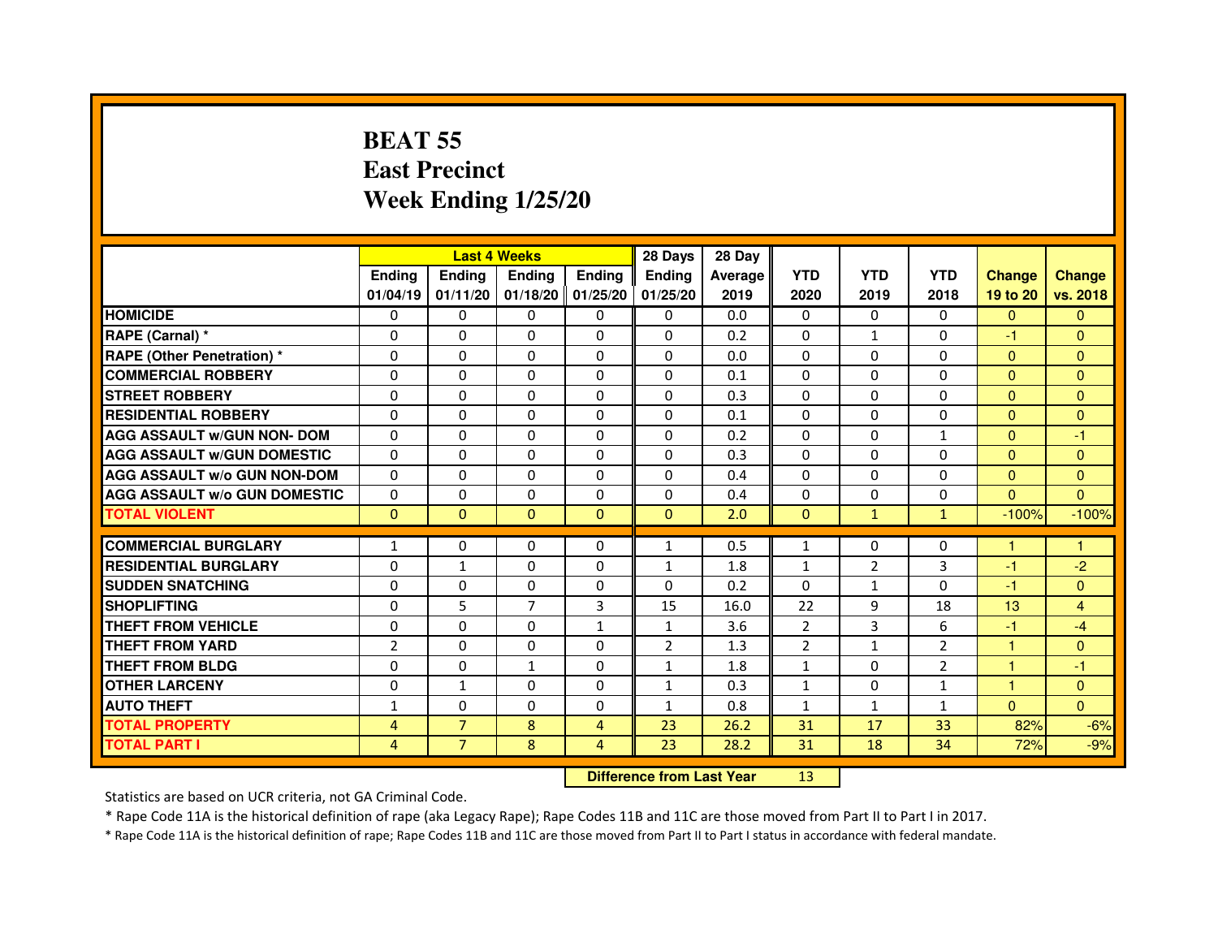# **BEAT 55 East PrecinctWeek Ending 1/25/20**

|                                     |                |                                  | <b>Last 4 Weeks</b> |                | 28 Days        | 28 Day  |                |                |                |               |                |
|-------------------------------------|----------------|----------------------------------|---------------------|----------------|----------------|---------|----------------|----------------|----------------|---------------|----------------|
|                                     | <b>Ending</b>  | <b>Ending</b>                    | <b>Ending</b>       | <b>Ending</b>  | <b>Ending</b>  | Average | <b>YTD</b>     | <b>YTD</b>     | <b>YTD</b>     | <b>Change</b> | <b>Change</b>  |
|                                     | 01/04/19       | 01/11/20                         | 01/18/20            | 01/25/20       | 01/25/20       | 2019    | 2020           | 2019           | 2018           | 19 to 20      | vs. 2018       |
| <b>HOMICIDE</b>                     | $\Omega$       | $\Omega$                         | $\Omega$            | 0              | 0              | 0.0     | $\Omega$       | $\Omega$       | $\Omega$       | $\mathbf{0}$  | $\Omega$       |
| RAPE (Carnal) *                     | $\Omega$       | $\Omega$                         | $\Omega$            | 0              | 0              | 0.2     | 0              | $\mathbf{1}$   | 0              | $-1$          | $\mathbf{0}$   |
| <b>RAPE (Other Penetration) *</b>   | $\mathbf{0}$   | $\Omega$                         | $\Omega$            | $\Omega$       | $\Omega$       | 0.0     | $\Omega$       | $\Omega$       | $\Omega$       | $\mathbf{0}$  | $\overline{0}$ |
| <b>COMMERCIAL ROBBERY</b>           | $\mathbf{0}$   | $\Omega$                         | $\Omega$            | $\Omega$       | $\Omega$       | 0.1     | $\Omega$       | $\Omega$       | $\Omega$       | $\mathbf{0}$  | $\overline{0}$ |
| <b>STREET ROBBERY</b>               | $\Omega$       | $\Omega$                         | $\Omega$            | $\Omega$       | $\Omega$       | 0.3     | $\Omega$       | $\Omega$       | $\Omega$       | $\Omega$      | $\Omega$       |
| <b>RESIDENTIAL ROBBERY</b>          | $\Omega$       | $\Omega$                         | $\Omega$            | 0              | 0              | 0.1     | $\Omega$       | 0              | $\Omega$       | $\Omega$      | $\mathbf{0}$   |
| <b>AGG ASSAULT w/GUN NON- DOM</b>   | $\Omega$       | $\Omega$                         | $\Omega$            | $\Omega$       | $\Omega$       | 0.2     | $\Omega$       | $\Omega$       | $\mathbf{1}$   | $\Omega$      | $-1$           |
| <b>AGG ASSAULT w/GUN DOMESTIC</b>   | $\Omega$       | $\Omega$                         | $\Omega$            | $\Omega$       | $\Omega$       | 0.3     | $\Omega$       | $\Omega$       | $\Omega$       | $\Omega$      | $\Omega$       |
| <b>AGG ASSAULT w/o GUN NON-DOM</b>  | $\Omega$       | $\Omega$                         | $\Omega$            | $\Omega$       | $\Omega$       | 0.4     | $\Omega$       | $\Omega$       | $\Omega$       | $\Omega$      | $\Omega$       |
| <b>AGG ASSAULT W/o GUN DOMESTIC</b> | $\Omega$       | $\Omega$                         | $\Omega$            | $\Omega$       | $\Omega$       | 0.4     | $\Omega$       | $\Omega$       | $\Omega$       | $\Omega$      | $\Omega$       |
| <b>TOTAL VIOLENT</b>                | $\mathbf{0}$   | $\mathbf{0}$                     | $\mathbf{0}$        | $\mathbf{0}$   | $\mathbf{0}$   | 2.0     | $\mathbf 0$    | $\mathbf{1}$   | $\mathbf{1}$   | $-100%$       | $-100%$        |
| <b>COMMERCIAL BURGLARY</b>          | 1              | $\mathbf{0}$                     | $\mathbf{0}$        | 0              | $\mathbf{1}$   | 0.5     | 1              | 0              | 0              | 1             | 1              |
| <b>RESIDENTIAL BURGLARY</b>         | $\Omega$       | $\mathbf{1}$                     | $\Omega$            | $\Omega$       | $\mathbf{1}$   | 1.8     | $\mathbf{1}$   | $\overline{2}$ | 3              | $-1$          | $-2$           |
| <b>SUDDEN SNATCHING</b>             | $\Omega$       | $\Omega$                         | $\Omega$            | $\Omega$       | $\Omega$       | 0.2     | $\Omega$       | $\mathbf{1}$   | $\Omega$       | $-1$          | $\overline{0}$ |
| <b>SHOPLIFTING</b>                  | $\Omega$       | 5                                | $\overline{7}$      | 3              | 15             | 16.0    | 22             | 9              | 18             | 13            | $\overline{4}$ |
| THEFT FROM VEHICLE                  | $\mathbf{0}$   | $\Omega$                         | $\Omega$            | 1              | 1              | 3.6     | $\overline{2}$ | 3              | 6              | $-1$          | $-4$           |
| <b>THEFT FROM YARD</b>              | $\overline{2}$ | $\Omega$                         | $\Omega$            | $\Omega$       | $\overline{2}$ | 1.3     | $\overline{2}$ | $\mathbf{1}$   | $\overline{2}$ | $\mathbf{1}$  | $\overline{0}$ |
| THEFT FROM BLDG                     | $\Omega$       | $\Omega$                         | $\mathbf{1}$        | $\Omega$       | $\mathbf{1}$   | 1.8     | $\mathbf{1}$   | $\Omega$       | $\overline{2}$ | 1             | $-1$           |
| <b>OTHER LARCENY</b>                | $\mathbf{0}$   | $\mathbf{1}$                     | $\Omega$            | $\Omega$       | 1              | 0.3     | $\mathbf{1}$   | 0              | $\mathbf{1}$   | 1.            | $\mathbf{0}$   |
| <b>AUTO THEFT</b>                   | $\mathbf{1}$   | $\Omega$                         | $\Omega$            | $\Omega$       | $\mathbf{1}$   | 0.8     | $\mathbf{1}$   | $\mathbf{1}$   | $\mathbf{1}$   | $\Omega$      | $\overline{0}$ |
| <b>TOTAL PROPERTY</b>               | $\overline{4}$ | $\overline{7}$                   | 8                   | $\overline{4}$ | 23             | 26.2    | 31             | 17             | 33             | 82%           | $-6%$          |
| <b>TOTAL PART I</b>                 | $\overline{4}$ | $\overline{7}$                   | 8                   | $\overline{4}$ | 23             | 28.2    | 31             | 18             | 34             | 72%           | $-9%$          |
|                                     |                | <b>Difference from Last Year</b> |                     | 13             |                |         |                |                |                |               |                |

 **Difference from Last Year**

Statistics are based on UCR criteria, not GA Criminal Code.

\* Rape Code 11A is the historical definition of rape (aka Legacy Rape); Rape Codes 11B and 11C are those moved from Part II to Part I in 2017.